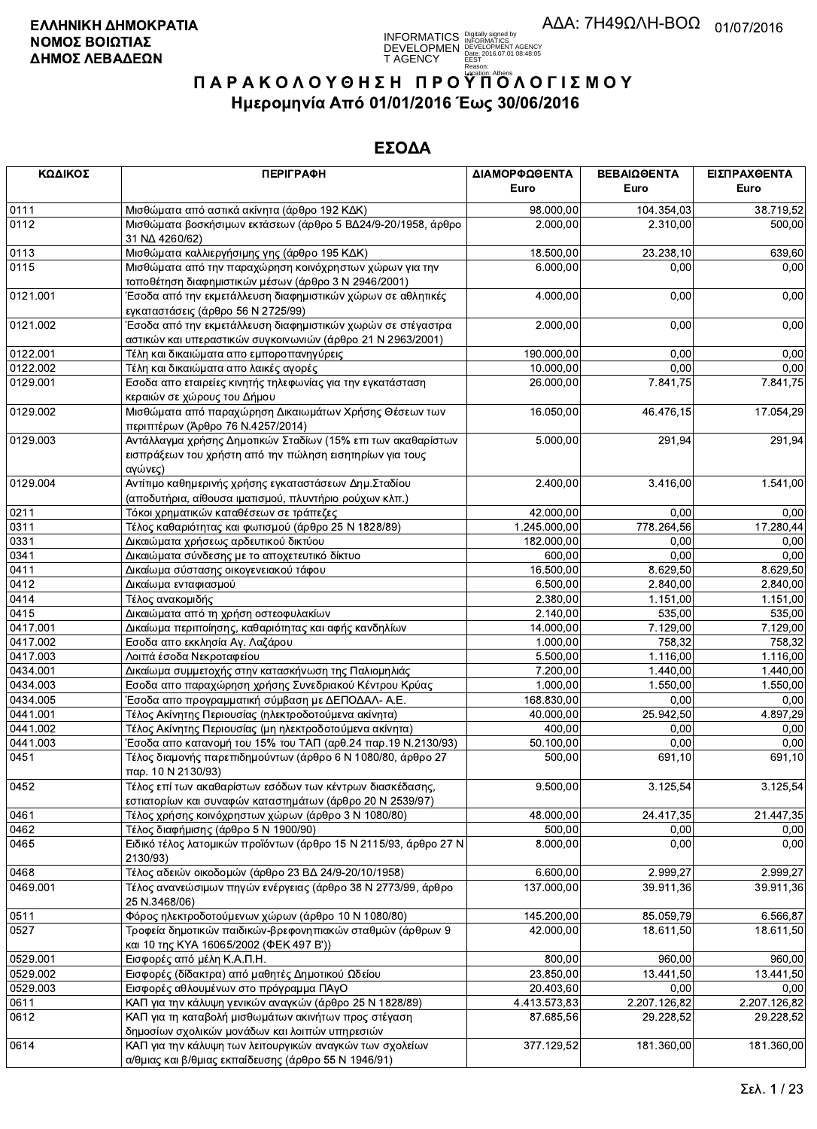

| ΚΩΔΙΚΟΣ  | <b>ПЕРІГРАФН</b>                                                                                                                    | ΔΙΑΜΟΡΦΩΘΕΝΤΑ | ΒΕΒΑΙΩΘΕΝΤΑ  | ΕΙΣΠΡΑΧΘΕΝΤΑ |
|----------|-------------------------------------------------------------------------------------------------------------------------------------|---------------|--------------|--------------|
|          |                                                                                                                                     | Euro          | Euro         | Euro         |
| 0111     | Μισθώματα από αστικά ακίνητα (άρθρο 192 ΚΔΚ)                                                                                        | 98.000,00     | 104.354,03   | 38.719,52    |
| 0112     | Μισθώματα βοσκήσιμων εκτάσεων (άρθρο 5 ΒΔ24/9-20/1958, άρθρο<br>31 NA 4260/62)                                                      | 2.000,00      | 2.310,00     | 500,00       |
| 0113     | Μισθώματα καλλιεργήσιμης γης (άρθρο 195 ΚΔΚ)                                                                                        | 18.500,00     | 23.238,10    | 639,60       |
| 0115     | Μισθώματα από την παραχώρηση κοινόχρηστων χώρων για την<br>τοποθέτηση διαφημιστικών μέσων (άρθρο 3 Ν 2946/2001)                     | 6.000,00      | 0.00         | 0,00         |
| 0121.001 | Έσοδα από την εκμετάλλευση διαφημιστικών χώρων σε αθλητικές<br>εγκαταστάσεις (άρθρο 56 Ν 2725/99)                                   | 4.000,00      | 0,00         | 0,00         |
| 0121.002 | Έσοδα από την εκμετάλλευση διαφημιστικών χωρών σε στέγαστρα<br>αστικών και υπεραστικών συγκοινωνιών (άρθρο 21 Ν 2963/2001)          | 2.000,00      | 0,00         | 0,00         |
| 0122.001 | Τέλη και δικαιώματα απο εμποροπανηγύρεις                                                                                            | 190.000,00    | 0,00         | 0,00         |
| 0122.002 | Τέλη και δικαιώματα απο λαικές αγορές                                                                                               | 10.000,00     | 0,00         | 0,00         |
| 0129.001 | Εσοδα απο εταιρείες κινητής τηλεφωνίας για την εγκατάσταση<br>κεραιών σε χώρους του Δήμου                                           | 26.000,00     | 7.841,75     | 7.841,75     |
| 0129.002 | Μισθώματα από παραχώρηση Δικαιωμάτων Χρήσης Θέσεων των<br>περιπτέρων (Άρθρο 76 Ν.4257/2014)                                         | 16.050,00     | 46.476,15    | 17.054,29    |
| 0129.003 | Αντάλλαγμα χρήσης Δημοτικών Σταδίων (15% επι των ακαθαρίστων<br>εισπράξεων του χρήστη από την πώληση εισητηρίων για τους<br>αγώνες) | 5.000,00      | 291,94       | 291,94       |
| 0129.004 | Αντίτιμο καθημερινής χρήσης εγκαταστάσεων Δημ. Σταδίου<br>(αποδυτήρια, αίθουσα ιματισμού, πλυντήριο ρούχων κλπ.)                    | 2.400,00      | 3.416,00     | 1.541,00     |
| 0211     | Τόκοι χρηματικών καταθέσεων σε τράπεζες                                                                                             | 42.000,00     | 0,00         | 0,00         |
| 0311     | Τέλος καθαριότητας και φωτισμού (άρθρο 25 Ν 1828/89)                                                                                | 1.245.000,00  | 778.264,56   | 17.280,44    |
| 0331     | Δικαιώματα χρήσεως αρδευτικού δικτύου                                                                                               | 182.000,00    | 0,00         | 0,00         |
| 0341     | Δικαιώματα σύνδεσης με το αποχετευτικό δίκτυο                                                                                       | 600.00        | 0,00         | 0,00         |
| 0411     | Δικαίωμα σύστασης οικογενειακού τάφου                                                                                               | 16.500,00     | 8.629,50     | 8.629,50     |
| 0412     | Δικαίωμα ενταφιασμού                                                                                                                | 6.500,00      | 2.840,00     | 2.840,00     |
| 0414     | Τέλος ανακομιδής                                                                                                                    | 2.380,00      | 1.151,00     | 1.151,00     |
| 0415     | Δικαιώματα από τη χρήση οστεοφυλακίων                                                                                               | 2.140,00      | 535,00       | 535,00       |
| 0417.001 | Δικαίωμα περιποίησης, καθαριότητας και αφής κανδηλίων                                                                               | 14.000,00     | 7.129,00     | 7.129,00     |
| 0417.002 | Εσοδα απο εκκλησία Αγ. Λαζάρου                                                                                                      | 1.000,00      | 758,32       | 758,32       |
| 0417.003 | Λοιπά έσοδα Νεκροταφείου                                                                                                            | 5.500,00      | 1.116,00     | 1.116,00     |
| 0434.001 | Δικαίωμα συμμετοχής στην κατασκήνωση της Παλιομηλιάς                                                                                | 7.200,00      | 1.440,00     | 1.440,00     |
| 0434.003 | Εσοδα απο παραχώρηση χρήσης Συνεδριακού Κέντρου Κρύας                                                                               | 1.000,00      | 1.550,00     | 1.550,00     |
| 0434.005 | Έσοδα απο προγραμματική σύμβαση με ΔΕΠΟΔΑΛ- Α.Ε.                                                                                    | 168.830,00    | 0,00         | 0,00         |
| 0441.001 | Τέλος Ακίνητης Περιουσίας (ηλεκτροδοτούμενα ακίνητα)                                                                                | 40.000,00     | 25.942,50    | 4.897,29     |
| 0441.002 | Τέλος Ακίνητης Περιουσίας (μη ηλεκτροδοτούμενα ακίνητα)                                                                             | 400,00        | 0,00         | 0,00         |
| 0441.003 | Έσοδα απο κατανομή του 15% του ΤΑΠ (αρθ.24 παρ.19 Ν.2130/93)                                                                        | 50.100,00     | 0,00         | 0,00         |
| 0451     | Τέλος διαμονής παρεπιδημούντων (άρθρο 6 Ν 1080/80, άρθρο 27<br>παρ. 10 Ν 2130/93)                                                   | 500,00        | 691,10       | 691,10       |
| 0452     | Τέλος επί των ακαθαρίστων εσόδων των κέντρων διασκέδασης,<br>εστιατορίων και συναφών καταστημάτων (άρθρο 20 Ν 2539/97)              | 9.500,00      | 3.125,54     | 3.125,54     |
| 0461     | Τέλος χρήσης κοινόχρηστων χώρων (άρθρο 3 Ν 1080/80)                                                                                 | 48.000,00     | 24.417,35    | 21.447,35    |
| 0462     | Τέλος διαφήμισης (άρθρο 5 Ν 1900/90)                                                                                                | 500,00        | 0,00         | 0,00         |
| 0465     | Ειδικό τέλος λατομικών προϊόντων (άρθρο 15 Ν 2115/93, άρθρο 27 Ν<br>2130/93)                                                        | 8.000,00      | 0,00         | 0,00         |
| 0468     | Τέλος αδειών οικοδομών (άρθρο 23 ΒΔ 24/9-20/10/1958)                                                                                | 6.600,00      | 2.999,27     | 2.999.27     |
| 0469.001 | Τέλος ανανεώσιμων πηγών ενέργειας (άρθρο 38 Ν 2773/99, άρθρο<br>25 N.3468/06)                                                       | 137.000,00    | 39.911,36    | 39.911,36    |
| 0511     | Φόρος ηλεκτροδοτούμενων χώρων (άρθρο 10 Ν 1080/80)                                                                                  | 145.200,00    | 85.059,79    | 6.566,87     |
| 0527     | Τροφεία δημοτικών παιδικών-βρεφονηπιακών σταθμών (άρθρων 9<br>και 10 της ΚΥΑ 16065/2002 (ΦΕΚ 497 Β'))                               | 42.000,00     | 18.611,50    | 18.611.50    |
| 0529.001 | Εισφορές από μέλη Κ.Α.Π.Η.                                                                                                          | 800,00        | 960,00       | 960,00       |
| 0529.002 | Εισφορές (δίδακτρα) από μαθητές Δημοτικού Ωδείου                                                                                    | 23.850,00     | 13.441,50    | 13.441,50    |
| 0529.003 | Εισφορές αθλουμένων στο πρόγραμμα ΠΑγΟ                                                                                              | 20.403,60     | 0,00         | 0,00         |
| 0611     | ΚΑΠ για την κάλυψη γενικών αναγκών (άρθρο 25 Ν 1828/89)                                                                             | 4.413.573,83  | 2.207.126,82 | 2.207.126,82 |
| 0612     | ΚΑΠ για τη καταβολή μισθωμάτων ακινήτων προς στέγαση<br>δημοσίων σχολικών μονάδων και λοιπών υπηρεσιών                              | 87.685,56     | 29.228,52    | 29.228,52    |
| 0614     | ΚΑΠ για την κάλυψη των λειτουργικών αναγκών των σχολείων<br>α/θμιας και β/θμιας εκπαίδευσης (άρθρο 55 Ν 1946/91)                    | 377.129,52    | 181.360,00   | 181.360,00   |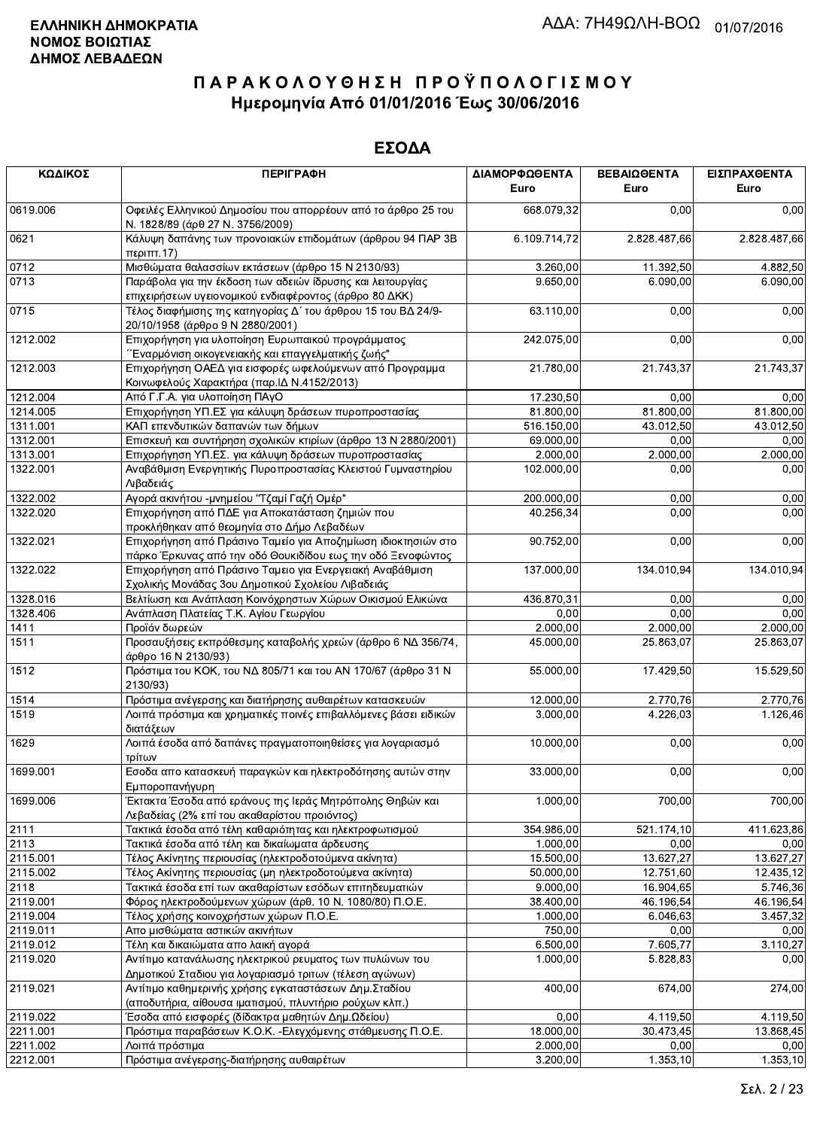| ΚΩΔΙΚΟΣ  | <b>ПЕРІГРАФН</b>                                                                                                             | ΔΙΑΜΟΡΦΩΘΕΝΤΑ<br>Euro | ΒΕΒΑΙΩΘΕΝΤΑ<br>Euro | ΕΙΣΠΡΑΧΘΕΝΤΑ<br>Euro |
|----------|------------------------------------------------------------------------------------------------------------------------------|-----------------------|---------------------|----------------------|
| 0619.006 | Οφειλές Ελληνικού Δημοσίου που απορρέουν από το άρθρο 25 του<br>Ν. 1828/89 (άρθ 27 Ν. 3756/2009)                             | 668.079,32            | 0,00                | 0,00                 |
| 0621     | Κάλυψη δαπάνης των προνοιακών επιδομάτων (άρθρου 94 ΠΑΡ 3Β<br>περιπτ.17)                                                     | 6.109.714,72          | 2.828.487,66        | 2.828.487,66         |
| 0712     | Μισθώματα θαλασσίων εκτάσεων (άρθρο 15 Ν 2130/93)                                                                            | 3.260,00              | 11.392,50           | 4.882,50             |
| 0713     | Παράβολα για την έκδοση των αδειών ίδρυσης και λειτουργίας<br>επιχειρήσεων υγειονομικού ενδιαφέροντος (άρθρο 80 ΔΚΚ)         | 9.650,00              | 6.090,00            | 6.090,00             |
| 0715     | Τέλος διαφήμισης της κατηγορίας Δ΄ του άρθρου 15 του ΒΔ 24/9-<br>20/10/1958 (άρθρο 9 Ν 2880/2001)                            | 63.110,00             | 0,00                | 0,00                 |
| 1212.002 | Επιχορήγηση για υλοποίηση Ευρωπαικού προγράμματος<br>΄΄Εναρμόνιση οικογενειακής και επαγγελματικής ζωής''                    | 242.075,00            | 0,00                | 0,00                 |
| 1212.003 | Επιχορήγηση ΟΑΕΔ για εισφορές ωφελούμενων από Προγραμμα<br>Κοινωφελούς Χαρακτήρα (παρ. ΙΔ Ν.4152/2013)                       | 21.780,00             | 21.743,37           | 21.743,37            |
| 1212.004 | Από Γ.Γ.Α. για υλοποίηση ΠΑγΟ                                                                                                | 17.230,50             | 0,00                | 0,00                 |
| 1214.005 | Επιχορήγηση ΥΠ.ΕΣ για κάλυψη δράσεων πυροπροστασίας                                                                          | 81.800,00             | 81.800,00           | 81.800,00            |
| 1311.001 | ΚΑΠ επενδυτικών δαπανών των δήμων                                                                                            | 516.150,00            | 43.012,50           | 43.012,50            |
| 1312.001 | Επισκευή και συντήρηση σχολικών κτιρίων (άρθρο 13 Ν 2880/2001)                                                               | 69.000,00             | 0,00                | 0,00                 |
| 1313.001 | Επιχορήγηση ΥΠ.ΕΣ. για κάλυψη δράσεων πυροπροστασίας                                                                         | 2.000,00              | 2.000,00            | 2.000,00             |
| 1322.001 | Αναβάθμιση Ενεργητικής Πυροπροστασίας Κλειστού Γυμναστηρίου<br>Λιβαδειάς                                                     | 102.000,00            | 0,00                | 0,00                 |
| 1322.002 | Αγορά ακινήτου -μνημείου "Τζαμί Γαζή Ομέρ"                                                                                   | 200.000,00            | 0,00                | 0,00                 |
| 1322.020 | Επιχορήγηση από ΠΔΕ για Αποκατάσταση ζημιών που<br>προκλήθηκαν από θεομηνία στο Δήμο Λεβαδέων                                | 40.256,34             | 0,00                | 0,00                 |
| 1322.021 | Επιχορήγηση από Πράσινο Ταμείο για Αποζημίωση ιδιοκτησιών στο<br>πάρκο Έρκυνας από την οδό Θουκιδίδου εως την οδό Ξενοφώντος | 90.752,00             | 0,00                | 0,00                 |
| 1322.022 | Επιχορήγηση από Πράσινο Ταμειο για Ενεργειακή Αναβάθμιση<br>Σχολικής Μονάδας 3ου Δημοτικού Σχολείου Λιβαδειάς                | 137.000,00            | 134.010,94          | 134.010,94           |
| 1328.016 | Βελτίωση και Ανάπλαση Κοινόχρηστων Χώρων Οικισμού Ελικώνα                                                                    | 436.870,31            | 0,00                | 0,00                 |
| 1328.406 | Ανάπλαση Πλατείας Τ.Κ. Αγίου Γεωργίου                                                                                        | 0,00                  | 0,00                | 0,00                 |
| 1411     | Προϊόν δωρεών                                                                                                                | 2.000,00              | 2.000,00            | 2.000,00             |
| 1511     | Προσαυξήσεις εκπρόθεσμης καταβολής χρεών (άρθρο 6 ΝΔ 356/74,<br>άρθρο 16 Ν 2130/93)                                          | 45.000,00             | 25.863,07           | 25.863,07            |
| 1512     | Πρόστιμα του ΚΟΚ, του ΝΔ 805/71 και του ΑΝ 170/67 (άρθρο 31 Ν<br>2130/93)                                                    | 55.000,00             | 17.429,50           | 15.529,50            |
| 1514     | Πρόστιμα ανέγερσης και διατήρησης αυθαιρέτων κατασκευών                                                                      | 12.000,00             | 2.770,76            | 2.770.76             |
| 1519     | Λοιπά πρόστιμα και χρηματικές ποινές επιβαλλόμενες βάσει ειδικών<br>διατάξεων                                                | 3.000,00              | 4.226,03            | 1.126,46             |
| 1629     | Λοιπά έσοδα από δαπάνες πραγματοποιηθείσες για λογαριασμό<br>τρίτων                                                          | 10.000,00             | 0,00                | 0,00                 |
| 1699.001 | Εσοδα απο κατασκευή παραγκών και ηλεκτροδότησης αυτών στην<br>Εμποροπανήγυρη                                                 | 33.000,00             | 0,00                | 0,00                 |
| 1699.006 | Έκτακτα Έσοδα από εράνους της Ιεράς Μητρόπολης Θηβών και<br>Λεβαδείας (2% επί του ακαθαρίστου προιόντος)                     | 1.000,00              | 700,00              | 700,00               |
| 2111     | Τακτικά έσοδα από τέλη καθαριότητας και ηλεκτροφωτισμού                                                                      | 354.986,00            | 521.174,10          | 411.623,86           |
| 2113     | Τακτικά έσοδα από τέλη και δικαίωματα άρδευσης                                                                               | $\overline{1.000,00}$ | 0,00                | 0,00                 |
| 2115.001 | Τέλος Ακίνητης περιουσίας (ηλεκτροδοτούμενα ακίνητα)                                                                         | 15.500,00             | 13.627,27           | 13.627,27            |
| 2115.002 | Τέλος Ακίνητης περιουσίας (μη ηλεκτροδοτούμενα ακίνητα)                                                                      | 50.000,00             | 12.751,60           | 12.435,12            |
| 2118     | Τακτικά έσοδα επί των ακαθαρίστων εσόδων επιτηδευματιών                                                                      | 9.000,00              | 16.904,65           | 5.746,36             |
| 2119.001 | Φόρος ηλεκτροδούμενων χώρων (άρθ. 10 Ν. 1080/80) Π.Ο.Ε.                                                                      | 38.400,00             | 46.196,54           | 46.196,54            |
| 2119.004 | Τέλος χρήσης κοινοχρήστων χώρων Π.Ο.Ε.                                                                                       | 1.000,00              | 6.046,63            | 3.457,32             |
| 2119.011 | Απο μισθώματα αστικών ακινήτων                                                                                               | 750,00                | 0,00                | 0,00                 |
| 2119.012 | Τέλη και δικαιώματα απο λαική αγορά                                                                                          | 6.500,00              | 7.605,77            | 3.110,27             |
| 2119.020 | Αντίτιμο κατανάλωσης ηλεκτρικού ρευματος των πυλώνων του<br>Δημοτικού Σταδιου για λογαριασμό τριτων (τέλεση αγώνων)          | 1.000,00              | 5.828,83            | 0,00                 |
| 2119.021 | Αντίτιμο καθημερινής χρήσης εγκαταστάσεων Δημ. Σταδίου<br>(αποδυτήρια, αίθουσα ιματισμού, πλυντήριο ρούχων κλπ.)             | 400,00                | 674,00              | 274,00               |
| 2119.022 | Έσοδα από εισφορές (δίδακτρα μαθητών Δημ.Ωδείου)                                                                             | 0,00                  | 4.119,50            | 4.119,50             |
| 2211.001 | Πρόστιμα παραβάσεων Κ.Ο.Κ. - Ελεγχόμενης στάθμευσης Π.Ο.Ε.                                                                   | 18.000,00             | 30.473,45           | 13.868,45            |
| 2211.002 | Λοιπά πρόστιμα                                                                                                               | 2.000,00              | 0,00                | 0,00                 |
| 2212.001 | Πρόστιμα ανέγερσης-διατήρησης αυθαιρέτων                                                                                     | 3.200,00              | 1.353,10            | 1.353,10             |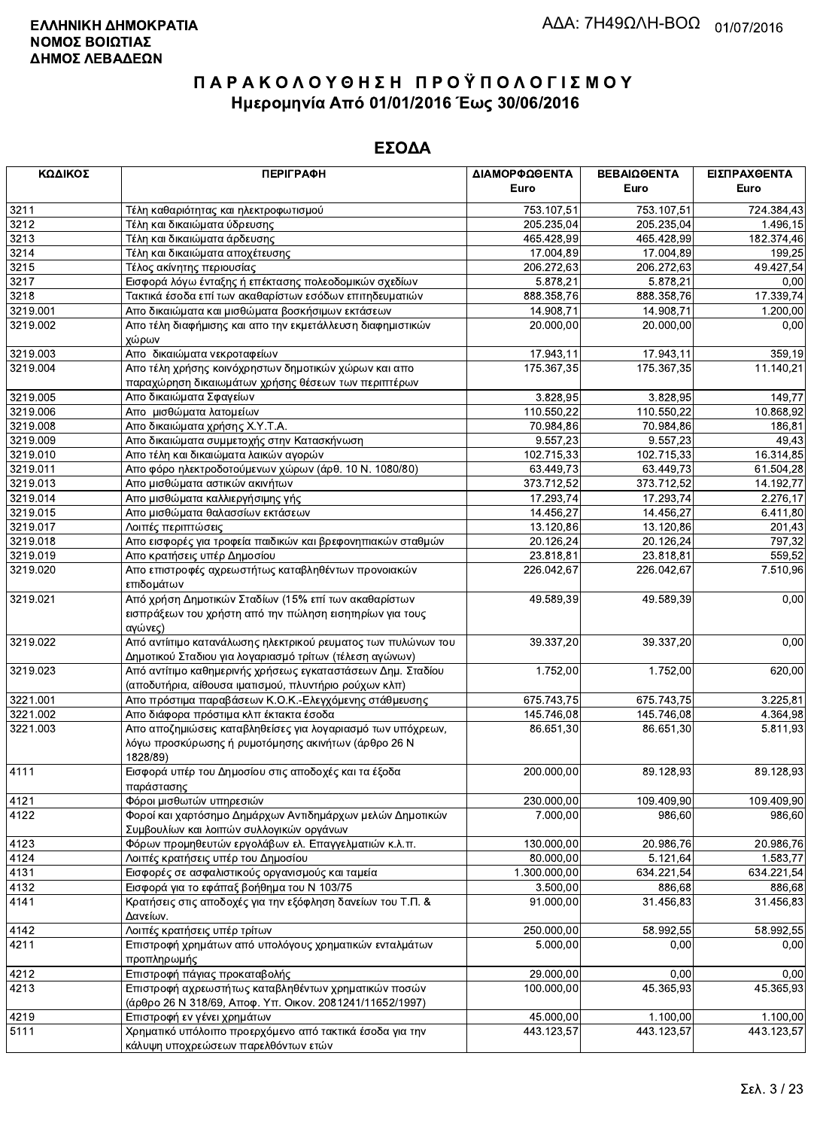| ΚΩΔΙΚΟΣ  | <b>ПЕРІГРАФН</b>                                                                                                               | ΔΙΑΜΟΡΦΩΘΕΝΤΑ<br>Euro | ΒΕΒΑΙΩΘΕΝΤΑ<br>Euro | ΕΙΣΠΡΑΧΘΕΝΤΑ<br>Euro |
|----------|--------------------------------------------------------------------------------------------------------------------------------|-----------------------|---------------------|----------------------|
| 3211     | Τέλη καθαριότητας και ηλεκτροφωτισμού                                                                                          | 753.107,51            | 753.107,51          | 724.384,43           |
| 3212     | Τέλη και δικαιώματα ύδρευσης                                                                                                   | 205.235,04            | 205.235,04          | 1.496,15             |
| 3213     | Τέλη και δικαιώματα άρδευσης                                                                                                   | 465.428,99            | 465.428,99          | 182.374,46           |
| 3214     | Τέλη και δικαιώματα αποχέτευσης                                                                                                | 17.004,89             | 17.004,89           | 199,25               |
| 3215     | Τέλος ακίνητης περιουσίας                                                                                                      | 206.272,63            | 206.272,63          | 49.427,54            |
| 3217     | Εισφορά λόγω ένταξης ή επέκτασης πολεοδομικών σχεδίων                                                                          | 5.878,21              | 5.878,21            | 0,00                 |
| 3218     | Τακτικά έσοδα επί των ακαθαρίστων εσόδων επιτηδευματιών                                                                        | 888.358,76            | 888.358,76          | 17.339,74            |
| 3219.001 | Απο δικαιώματα και μισθώματα βοσκήσιμων εκτάσεων                                                                               | 14.908,71             | 14.908,71           | 1.200,00             |
| 3219.002 | Απο τέλη διαφήμισης και απο την εκμετάλλευση διαφημιστικών                                                                     | 20.000,00             | 20.000,00           | 0,00                 |
|          | χώρων                                                                                                                          |                       |                     |                      |
| 3219.003 | Απο δικαιώματα νεκροταφείων                                                                                                    | 17.943,11             | 17.943,11           | 359,19               |
| 3219.004 | Απο τέλη χρήσης κοινόχρηστων δημοτικών χώρων και απο                                                                           | 175.367,35            | 175.367,35          | 11.140,21            |
|          | παραχώρηση δικαιωμάτων χρήσης θέσεων των περιπτέρων                                                                            |                       |                     |                      |
| 3219.005 | Απο δικαιώματα Σφαγείων                                                                                                        | 3.828,95              | 3.828,95            | 149,77               |
| 3219.006 | Απο μισθώματα λατομείων                                                                                                        | 110.550,22            | 110.550,22          | 10.868,92            |
| 3219.008 | Απο δικαιώματα χρήσης Χ.Υ.Τ.Α.                                                                                                 | 70.984,86             | 70.984,86           | 186,81               |
| 3219.009 | Απο δικαιώματα συμμετοχής στην Κατασκήνωση                                                                                     | 9.557,23              | 9.557.23            | 49,43                |
| 3219.010 | Απο τέλη και δικαιώματα λαικών αγορών                                                                                          | 102.715,33            | 102.715,33          | 16.314,85            |
| 3219.011 | Απο φόρο ηλεκτροδοτούμενων χώρων (άρθ. 10 Ν. 1080/80)                                                                          | 63.449,73             | 63.449,73           | 61.504,28            |
| 3219.013 | Απο μισθώματα αστικών ακινήτων                                                                                                 | 373.712,52            | 373.712,52          | 14.192,77            |
| 3219.014 | Απο μισθώματα καλλιεργήσιμης γής                                                                                               | 17.293,74             | 17.293,74           | 2.276.17             |
| 3219.015 | Απο μισθώματα θαλασσίων εκτάσεων                                                                                               | 14.456,27             | 14.456,27           | 6.411,80             |
| 3219.017 | Λοιπές περιπτώσεις                                                                                                             | 13.120,86             | 13.120,86           | 201,43               |
| 3219.018 | Απο εισφορές για τροφεία παιδικών και βρεφονηπιακών σταθμών                                                                    | 20.126,24             | 20.126,24           | 797,32               |
| 3219.019 | Απο κρατήσεις υπέρ Δημοσίου                                                                                                    | 23.818,81             | 23.818,81           | 559,52               |
| 3219.020 | Απο επιστροφές αχρεωστήτως καταβληθέντων προνοιακών<br>επιδομάτων                                                              | 226.042,67            | 226.042,67          | 7.510,96             |
| 3219.021 | Από χρήση Δημοτικών Σταδίων (15% επί των ακαθαρίστων<br>εισπράξεων του χρήστη από την πώληση εισητηρίων για τους<br>αγώνες)    | 49.589,39             | 49.589,39           | 0,00                 |
| 3219.022 | Από αντίιτιμο κατανάλωσης ηλεκτρικού ρευματος των πυλώνων του<br>Δημοτικού Σταδιου για λογαριασμό τρίτων (τέλεση αγώνων)       | 39.337,20             | 39.337,20           | 0,00                 |
| 3219.023 | Από αντίτιμο καθημερινής χρήσεως εγκαταστάσεων Δημ. Σταδίου                                                                    | 1.752,00              | 1.752,00            | 620,00               |
|          | (αποδυτήρια, αίθουσα ιματισμού, πλυντήριο ρούχων κλπ)                                                                          |                       |                     |                      |
| 3221.001 | Απο πρόστιμα παραβάσεων Κ.Ο.Κ.-Ελεγχόμενης στάθμευσης                                                                          | 675.743,75            | 675.743,75          | 3.225,81             |
| 3221.002 | Απο διάφορα πρόστιμα κλπ έκτακτα έσοδα                                                                                         | 145.746,08            | 145.746,08          | 4.364,98             |
| 3221.003 | Απο αποζημιώσεις καταβληθείσες για λογαριασμό των υπόχρεων,<br>λόγω προσκύρωσης ή ρυμοτόμησης ακινήτων (άρθρο 26 Ν<br>1828/89) | 86.651,30             | 86.651,30           | 5.811,93             |
| 4111     | Εισφορά υπέρ του Δημοσίου στις αποδοχές και τα έξοδα<br>παράστασης                                                             | 200.000,00            | 89.128,93           | 89.128,93            |
| 4121     | Φόροι μισθωτών υπηρεσιών                                                                                                       | 230.000,00            | 109.409,90          | 109.409.90           |
| 4122     | Φοροί και χαρτόσημο Δημάρχων Αντιδημάρχων μελών Δημοτικών<br>Συμβουλίων και λοιπών συλλογικών οργάνων                          | 7.000.00              | 986,60              | 986,60               |
| 4123     | Φόρων προμηθευτών εργολάβων ελ. Επαγγελματιών κ.λ.π.                                                                           | 130.000,00            | 20.986,76           | 20.986,76            |
| 4124     | Λοιπές κρατήσεις υπέρ του Δημοσίου                                                                                             | 80.000.00             | 5.121,64            | 1.583,77             |
| 4131     | Εισφορές σε ασφαλιστικούς οργανισμούς και ταμεία                                                                               | 1.300.000,00          | 634.221,54          | 634.221,54           |
| 4132     | Εισφορά για το εφάπαξ βοήθημα του Ν 103/75                                                                                     | 3.500,00              | 886,68              | 886,68               |
| 4141     | Κρατήσεις στις αποδοχές για την εξόφληση δανείων του Τ.Π. &                                                                    | 91.000,00             | 31.456,83           | 31.456,83            |
|          | Δανείων.                                                                                                                       |                       |                     |                      |
| 4142     | Λοιπές κρατήσεις υπέρ τρίτων                                                                                                   | 250.000,00            | 58.992,55           | 58.992,55            |
| 4211     | Επιστροφή χρημάτων από υπολόγους χρηματικών ενταλμάτων<br>προπληρωμής                                                          | 5.000,00              | 0,00                | 0,00                 |
| 4212     | Επιστροφή πάγιας προκαταβολής                                                                                                  | 29.000,00             | 0,00                | 0,00                 |
| 4213     | Επιστροφή αχρεωστήτως καταβληθέντων χρηματικών ποσών<br>(άρθρο 26 Ν 318/69, Αποφ. Υπ. Οικον. 2081241/11652/1997)               | 100.000,00            | 45.365,93           | 45.365,93            |
| 4219     | Επιστροφή εν γένει χρημάτων                                                                                                    | 45.000,00             | 1.100,00            | 1.100,00             |
| 5111     | Χρηματικό υπόλοιπο προερχόμενο από τακτικά έσοδα για την<br>κάλυψη υποχρεώσεων παρελθόντων ετών                                | 443.123,57            | 443.123,57          | 443.123,57           |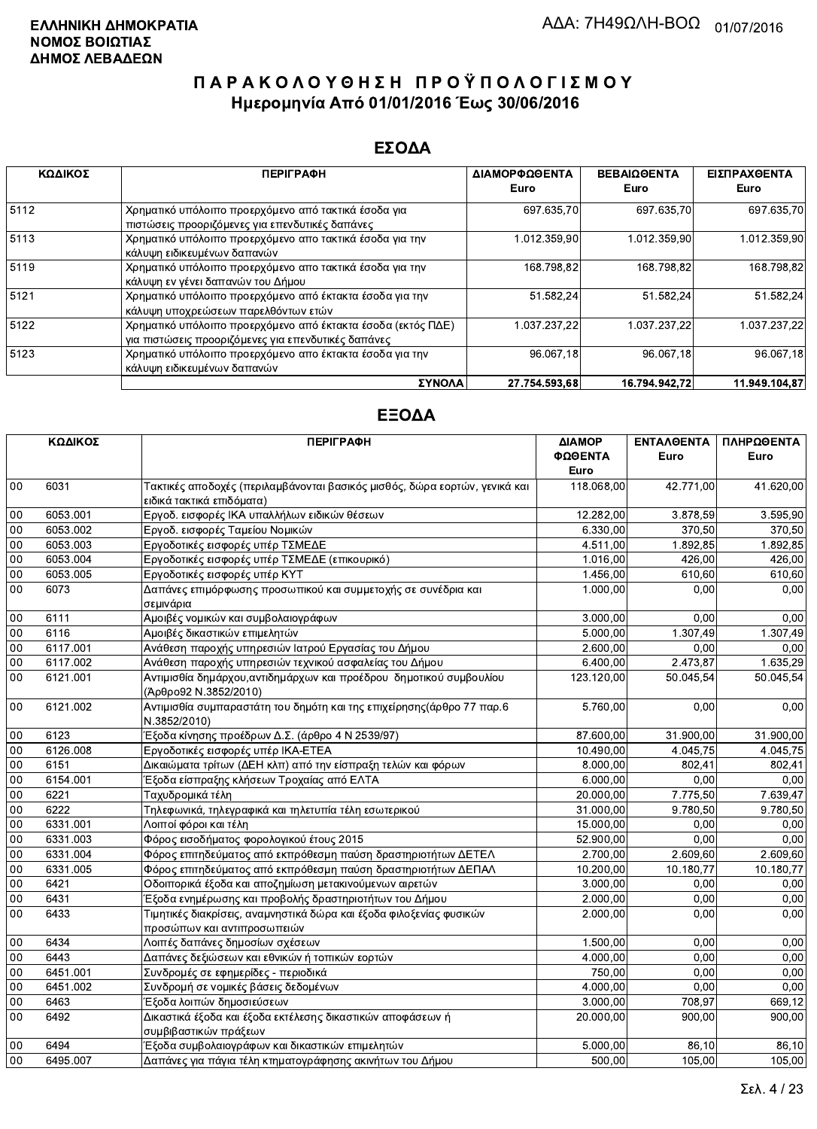#### ΕΣΟΔΑ

| ΚΩΔΙΚΟΣ | <b>ПЕРІГРАФН</b>                                                                                                    | ΔΙΑΜΟΡΦΩΘΕΝΤΑ | <b>ΒΕΒΑΙΩΘΕΝΤΑ</b> | ΕΙΣΠΡΑΧΘΕΝΤΑ  |
|---------|---------------------------------------------------------------------------------------------------------------------|---------------|--------------------|---------------|
|         |                                                                                                                     | Euro          | Euro               | Euro          |
| 5112    | Χρηματικό υπόλοιπο προερχόμενο από τακτικά έσοδα για<br>πιστώσεις προοριζόμενες για επενδυτικές δαπάνες             | 697 635,70    | 697.635.70         | 697.635,70    |
| 5113    | Χρηματικό υπόλοιπο προερχόμενο απο τακτικά έσοδα για την<br>κάλυψη ειδικευμένων δαπανών                             | 1.012.359,90  | 1.012.359,90       | 1.012.359,90  |
| 5119    | Χρηματικό υπόλοιπο προερχόμενο απο τακτικά έσοδα για την<br>κάλυψη εν γένει δαπανών του Δήμου                       | 168.798,82    | 168.798.82         | 168.798,82    |
| 5121    | Χρηματικό υπόλοιπο προερχόμενο από έκτακτα έσοδα για την<br>κάλυψη υποχρεώσεων παρελθόντων ετών                     | 51.582,24     | 51.582,24          | 51.582,24     |
| 5122    | Χρηματικό υπόλοιπο προερχόμενο από έκτακτα έσοδα (εκτός ΠΔΕ)<br>για πιστώσεις προοριζόμενες για επενδυτικές δαπάνες | 1.037.237.22  | 1.037.237.22       | 1.037.237.22  |
| 5123    | Χρηματικό υπόλοιπο προερχόμενο απο έκτακτα έσοδα για την<br>κάλυψη ειδικευμένων δαπανών                             | 96.067,18     | 96.067.18          | 96.067,18     |
|         | ΣΥΝΟΛΑ                                                                                                              | 27.754.593.68 | 16.794.942.72      | 11.949.104.87 |

|                 | ΚΩΔΙΚΟΣ  | <b>ПЕРІГРАФН</b>                                                                                        | ΔΙΑΜΟΡ<br>ΦΩΘΕΝΤΑ | <b>ENTAAGENTA</b><br>Euro | ΠΛΗΡΩΘΕΝΤΑ<br>Euro    |
|-----------------|----------|---------------------------------------------------------------------------------------------------------|-------------------|---------------------------|-----------------------|
|                 |          |                                                                                                         | Euro              |                           |                       |
| 00              | 6031     | Τακτικές αποδοχές (περιλαμβάνονται βασικός μισθός, δώρα εορτών, γενικά και<br>ειδικά τακτικά επιδόματα) | 118.068,00        | 42.771.00                 | 41.620,00             |
| 00              | 6053.001 | Εργοδ. εισφορές ΙΚΑ υπαλλήλων ειδικών θέσεων                                                            | 12.282,00         | 3.878.59                  | 3.595,90              |
| 00              | 6053.002 | Εργοδ. εισφορές Ταμείου Νομικών                                                                         | 6.330,00          | 370,50                    | 370,50                |
| 00              | 6053.003 | Εργοδοτικές εισφορές υπέρ ΤΣΜΕΔΕ                                                                        | 4.511,00          | 1.892,85                  | 1.892,85              |
| 00              | 6053.004 | Εργοδοτικές εισφορές υπέρ ΤΣΜΕΔΕ (επικουρικό)                                                           | 1.016,00          | 426,00                    | 426,00                |
| $\overline{00}$ | 6053.005 | Εργοδοτικές εισφορές υπέρ ΚΥΤ                                                                           | 1.456,00          | 610,60                    | 610,60                |
| 00              | 6073     | Δαπάνες επιμόρφωσης προσωπικού και συμμετοχής σε συνέδρια και<br>σεμινάρια                              | 1.000,00          | 0,00                      | 0,00                  |
| $00\,$          | 6111     | Αμοιβές νομικών και συμβολαιογράφων                                                                     | 3.000,00          | 0,00                      | 0,00                  |
| 00              | 6116     | Αμοιβές δικαστικών επιμελητών                                                                           | 5.000,00          | 1.307,49                  | 1.307,49              |
| 00              | 6117.001 | Ανάθεση παροχής υπηρεσιών Ιατρού Εργασίας του Δήμου                                                     | 2.600,00          | 0,00                      | 0,00                  |
| 00              | 6117.002 | Ανάθεση παροχής υπηρεσιών τεχνικού ασφαλείας του Δήμου                                                  | 6.400,00          | 2.473,87                  | 1.635,29              |
| 00              | 6121.001 | Αντιμισθία δημάρχου, αντιδημάρχων και προέδρου δημοτικού συμβουλίου<br>(Άρθρο92 Ν.3852/2010)            | 123.120,00        | 50.045,54                 | 50.045,54             |
| $00\,$          | 6121.002 | Αντιμισθία συμπαραστάτη του δημότη και της επιχείρησης(άρθρο 77 παρ.6<br>N.3852/2010)                   | 5.760,00          | 0,00                      | 0,00                  |
| 00              | 6123     | Έξοδα κίνησης προέδρων Δ.Σ. (άρθρο 4 Ν 2539/97)                                                         | 87.600,00         | 31.900,00                 | 31.900,00             |
| 00              | 6126.008 | Εργοδοτικές εισφορές υπέρ ΙΚΑ-ΕΤΕΑ                                                                      | 10.490,00         | 4.045.75                  | $\overline{4.045,75}$ |
| 00              | 6151     | Δικαιώματα τρίτων (ΔΕΗ κλπ) από την είσπραξη τελών και φόρων                                            | 8.000,00          | 802,41                    | 802,41                |
| 00              | 6154.001 | Έξοδα είσπραξης κλήσεων Τροχαίας από ΕΛΤΑ                                                               | 6.000,00          | 0,00                      | 0,00                  |
| 00              | 6221     | Ταχυδρομικά τέλη                                                                                        | 20.000,00         | 7.775,50                  | 7.639,47              |
| 00              | 6222     | Τηλεφωνικά, τηλεγραφικά και τηλετυπία τέλη εσωτερικού                                                   | 31.000,00         | 9.780,50                  | 9.780,50              |
| 00              | 6331.001 | Λοιποί φόροι και τέλη                                                                                   | 15.000,00         | 0,00                      | 0,00                  |
| 00              | 6331.003 | Φόρος εισοδήματος φορολογικού έτους 2015                                                                | 52.900,00         | 0,00                      | 0,00                  |
| 00              | 6331.004 | Φόρος επιτηδεύματος από εκπρόθεσμη παύση δραστηριοτήτων ΔΕΤΕΛ                                           | 2.700,00          | 2.609,60                  | 2.609,60              |
| 00              | 6331.005 | Φόρος επιτηδεύματος από εκπρόθεσμη παύση δραστηριοτήτων ΔΕΠΑΛ                                           | 10.200,00         | 10.180,77                 | 10.180,77             |
| 00              | 6421     | Οδοιπορικά έξοδα και αποζημίωση μετακινούμενων αιρετών                                                  | 3.000,00          | 0.00                      | 0,00                  |
| $\overline{00}$ | 6431     | Έξοδα ενημέρωσης και προβολής δραστηριοτήτων του Δήμου                                                  | 2.000,00          | 0,00                      | 0,00                  |
| 00              | 6433     | Τιμητικές διακρίσεις, αναμνηστικά δώρα και έξοδα φιλοξενίας φυσικών<br>προσώπων και αντιπροσωπειών      | 2.000,00          | 0,00                      | 0,00                  |
| $00\,$          | 6434     | Λοιπές δαπάνες δημοσίων σχέσεων                                                                         | 1.500,00          | 0,00                      | 0,00                  |
| $00\,$          | 6443     | Δαπάνες δεξιώσεων και εθνικών ή τοπικών εορτών                                                          | 4.000,00          | 0,00                      | 0,00                  |
| 00              | 6451.001 | Συνδρομές σε εφημερίδες - περιοδικά                                                                     | 750,00            | 0.00                      | 0,00                  |
| 00              | 6451.002 | Συνδρομή σε νομικές βάσεις δεδομένων                                                                    | 4.000,00          | 0,00                      | 0,00                  |
| $00\,$          | 6463     | Έξοδα λοιπών δημοσιεύσεων                                                                               | 3.000,00          | 708,97                    | 669,12                |
| 00              | 6492     | Δικαστικά έξοδα και έξοδα εκτέλεσης δικαστικών αποφάσεων ή<br>συμβιβαστικών πράξεων                     | 20,000.00         | 900,00                    | 900,00                |
| 00              | 6494     | Έξοδα συμβολαιογράφων και δικαστικών επιμελητών                                                         | 5.000,00          | 86,10                     | 86,10                 |
| 00              | 6495.007 | Δαπάνες για πάγια τέλη κτηματογράφησης ακινήτων του Δήμου                                               | 500,00            | 105,00                    | 105,00                |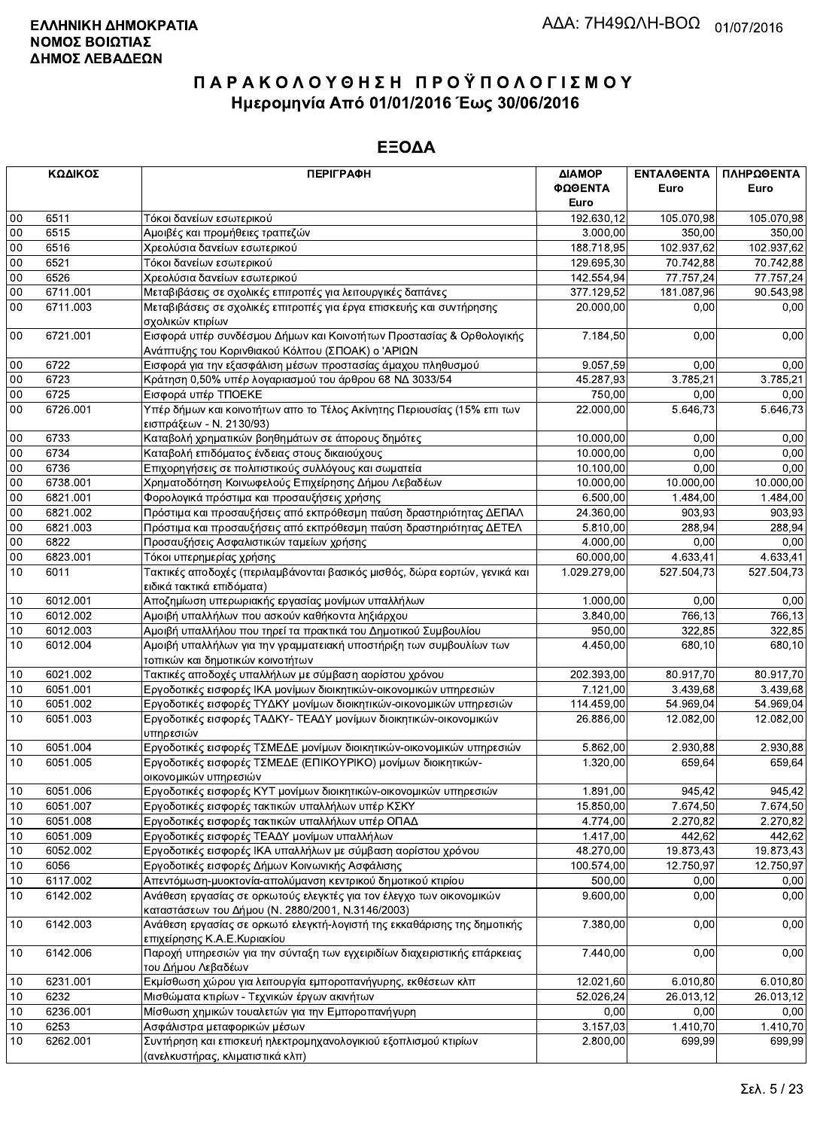|        | ΚΩΔΙΚΟΣ  | <b>ПЕРІГРАФН</b>                                                                                                          | ΔΙΑΜΟΡ<br>ΦΩΘΕΝΤΑ | <b>ENTAAGENTA</b><br>Euro | ΠΛΗΡΩΘΕΝΤΑ<br>Euro |
|--------|----------|---------------------------------------------------------------------------------------------------------------------------|-------------------|---------------------------|--------------------|
|        |          |                                                                                                                           | Euro              |                           |                    |
| 00     | 6511     | Τόκοι δανείων εσωτερικού                                                                                                  | 192.630,12        | 105.070,98                | 105.070,98         |
| $00\,$ | 6515     | Αμοιβές και προμήθειες τραπεζών                                                                                           | 3.000,00          | 350,00                    | 350,00             |
| $00\,$ | 6516     | Χρεολύσια δανείων εσωτερικού                                                                                              | 188.718,95        | 102.937,62                | 102.937,62         |
| 00     | 6521     | Τόκοι δανείων εσωτερικού                                                                                                  | 129.695,30        | 70.742,88                 | 70.742,88          |
| 00     | 6526     | Χρεολύσια δανείων εσωτερικού                                                                                              | 142.554,94        | 77.757,24                 | 77.757,24          |
| 00     | 6711.001 | Μεταβιβάσεις σε σχολικές επιτροπές για λειτουργικές δαπάνες                                                               | 377.129,52        | 181.087,96                | 90.543,98          |
| $00\,$ | 6711.003 | Μεταβιβάσεις σε σχολικές επιτροπές για έργα επισκευής και συντήρησης<br>σχολικών κτιρίων                                  | 20.000,00         | 0,00                      | 0,00               |
| $00\,$ | 6721.001 | Εισφορά υπέρ συνδέσμου Δήμων και Κοινοτήτων Προστασίας & Ορθολογικής<br>Ανάπτυξης του Κορινθιακού Κόλπου (ΣΠΟΑΚ) ο 'ΑΡΙΩΝ | 7.184,50          | 0,00                      | 0,00               |
| $00\,$ | 6722     | Εισφορά για την εξασφάλιση μέσων προστασίας άμαχου πληθυσμού                                                              | 9.057,59          | 0,00                      | 0,00               |
| 00     | 6723     | Κράτηση 0,50% υπέρ λογαριασμού του άρθρου 68 ΝΔ 3033/54                                                                   | 45.287,93         | 3.785,21                  | 3.785,21           |
| $00\,$ | 6725     | Εισφορά υπέρ ΤΠΟΕΚΕ                                                                                                       | 750,00            | 0.00                      | 0,00               |
| 00     | 6726.001 | Υπέρ δήμων και κοινοτήτων απο το Τέλος Ακίνητης Περιουσίας (15% επι των                                                   | 22.000,00         | 5.646,73                  | 5.646,73           |
|        |          | εισπράξεων - Ν. 2130/93)                                                                                                  |                   |                           |                    |
| $00\,$ | 6733     | Καταβολή χρηματικών βοηθημάτων σε άπορους δημότες                                                                         | 10.000,00         | 0,00                      | 0,00               |
| 00     | 6734     | Καταβολή επιδόματος ένδειας στους δικαιούχους                                                                             | 10.000,00         | 0,00                      | 0,00               |
| 00     | 6736     | Επιχορηγήσεις σε πολιτιστικούς συλλόγους και σωματεία                                                                     | 10.100,00         | 0,00                      | 0,00               |
| $00\,$ | 6738.001 | Χρηματοδότηση Κοινωφελούς Επιχείρησης Δήμου Λεβαδέων                                                                      | 10.000,00         | 10.000,00                 | 10.000,00          |
| $00\,$ | 6821.001 | Φορολογικά πρόστιμα και προσαυξήσεις χρήσης                                                                               | 6.500,00          | $\overline{1.484,00}$     | 1.484,00           |
| $00\,$ | 6821.002 | Πρόστιμα και προσαυξήσεις από εκπρόθεσμη παύση δραστηριότητας ΔΕΠΑΛ                                                       | 24.360,00         | 903,93                    | 903,93             |
| $00\,$ | 6821.003 | Πρόστιμα και προσαυξήσεις από εκπρόθεσμη παύση δραστηριότητας ΔΕΤΕΛ                                                       | 5.810,00          | 288,94                    | 288,94             |
| 00     | 6822     | Προσαυξήσεις Ασφαλιστικών ταμείων χρήσης                                                                                  | 4.000,00          | 0,00                      | 0,00               |
| 00     | 6823.001 | Τόκοι υπερημερίας χρήσης                                                                                                  | 60.000,00         | 4.633,41                  | 4.633,41           |
| 10     | 6011     | Τακτικές αποδοχές (περιλαμβάνονται βασικός μισθός, δώρα εορτών, γενικά και                                                | 1.029.279,00      | 527.504,73                | 527.504,73         |
|        |          | ειδικά τακτικά επιδόματα)                                                                                                 |                   |                           |                    |
| $10$   | 6012.001 | Αποζημίωση υπερωριακής εργασίας μονίμων υπαλλήλων                                                                         | 1.000,00          | 0,00                      | 0,00               |
| 10     | 6012.002 | Αμοιβή υπαλλήλων που ασκούν καθήκοντα ληξιάρχου                                                                           | 3.840,00          | 766,13                    | 766,13             |
| 10     | 6012.003 | Αμοιβή υπαλλήλου που τηρεί τα πρακτικά του Δημοτικού Συμβουλίου                                                           | 950,00            | 322,85                    | 322,85             |
| 10     | 6012.004 | Αμοιβή υπαλλήλων για την γραμματειακή υποστήριξη των συμβουλίων των<br>τοπικών και δημοτικών κοινοτήτων                   | 4.450,00          | 680,10                    | 680,10             |
| 10     | 6021.002 | Τακτικές αποδοχές υπαλλήλων με σύμβαση αορίστου χρόνου                                                                    | 202.393,00        | 80.917,70                 | 80.917,70          |
| 10     | 6051.001 | Εργοδοτικές εισφορές ΙΚΑ μονίμων διοικητικών-οικονομικών υπηρεσιών                                                        | 7.121,00          | 3.439,68                  | 3.439,68           |
| 10     | 6051.002 | Εργοδοτικές εισφορές ΤΥΔΚΥ μονίμων διοικητικών-οικονομικών υπηρεσιών                                                      | 114.459,00        | 54.969,04                 | 54.969,04          |
| 10     | 6051.003 | Εργοδοτικές εισφορές ΤΑΔΚΥ- ΤΕΑΔΥ μονίμων διοικητικών-οικονομικών<br>υπηρεσιών                                            | 26.886,00         | 12.082,00                 | 12.082,00          |
| 10     | 6051.004 | Εργοδοτικές εισφορές ΤΣΜΕΔΕ μονίμων διοικητικών-οικονομικών υπηρεσιών                                                     | 5.862,00          | 2.930,88                  | 2.930,88           |
| 10     | 6051.005 | Εργοδοτικές εισφορές ΤΣΜΕΔΕ (ΕΠΙΚΟΥΡΙΚΟ) μονίμων διοικητικών-                                                             | 1.320,00          | 659,64                    | 659,64             |
|        |          | οικονομικών υπηρεσιών                                                                                                     |                   |                           |                    |
| $10$   | 6051.006 | Εργοδοτικές εισφορές ΚΥΤ μονίμων διοικητικών-οικονομικών υπηρεσιών                                                        | 1.891,00          | 945,42                    | 945,42             |
| 10     | 6051.007 | Εργοδοτικές εισφορές τακτικών υπαλλήλων υπέρ ΚΣΚΥ                                                                         | 15.850,00         | 7.674,50                  | 7.674,50           |
| 10     | 6051.008 | Εργοδοτικές εισφορές τακτικών υπαλλήλων υπέρ ΟΠΑΔ                                                                         | 4.774,00          | 2.270,82                  | 2.270,82           |
| 10     | 6051.009 | Εργοδοτικές εισφορές ΤΕΑΔΥ μονίμων υπαλλήλων                                                                              | 1.417,00          | 442.62                    | 442,62             |
| $10$   | 6052.002 | Εργοδοτικές εισφορές ΙΚΑ υπαλλήλων με σύμβαση αορίστου χρόνου                                                             | 48.270,00         | 19.873,43                 | 19.873,43          |
| 10     | 6056     | Εργοδοτικές εισφορές Δήμων Κοινωνικής Ασφάλισης                                                                           | 100.574,00        | 12.750,97                 | 12.750,97          |
| $10$   | 6117.002 | Απεντόμωση-μυοκτονία-απολύμανση κεντρικού δημοτικού κτιρίου                                                               | 500,00            | 0,00                      | 0,00               |
| 10     | 6142.002 | Ανάθεση εργασίας σε ορκωτούς ελεγκτές για τον έλεγχο των οικονομικών                                                      | 9.600,00          | 0,00                      | 0,00               |
|        |          | καταστάσεων του Δήμου (Ν. 2880/2001, Ν.3146/2003)                                                                         |                   |                           |                    |
| 10     | 6142.003 | Ανάθεση εργασίας σε ορκωτό ελεγκτή-λογιστή της εκκαθάρισης της δημοτικής<br>επιχείρησης Κ.Α.Ε.Κυριακίου                   | 7.380,00          | 0,00                      | 0,00               |
| 10     | 6142.006 | Παροχή υπηρεσιών για την σύνταξη των εγχειριδίων διαχειριστικής επάρκειας<br>του Δήμου Λεβαδέων                           | 7.440,00          | 0,00                      | 0,00               |
| 10     | 6231.001 | Εκμίσθωση χώρου για λειτουργία εμποροπανήγυρης, εκθέσεων κλπ                                                              | 12.021,60         | 6.010, 80                 | 6.010,80           |
| 10     | 6232     | Μισθώματα κτιρίων - Τεχνικών έργων ακινήτων                                                                               | 52.026,24         | 26.013,12                 | 26.013,12          |
| $10$   | 6236.001 | Μίσθωση χημικών τουαλετών για την Εμποροπανήγυρη                                                                          | 0,00              | 0,00                      | 0,00               |
| 10     | 6253     | Ασφάλιστρα μεταφορικών μέσων                                                                                              | 3.157,03          | 1.410,70                  | 1.410,70           |
| 10     | 6262.001 | Συντήρηση και επισκευή ηλεκτρομηχανολογικιού εξοπλισμού κτιρίων                                                           | 2.800,00          | 699,99                    | 699,99             |
|        |          | (ανελκυστήρας, κλιματιστικά κλπ).                                                                                         |                   |                           |                    |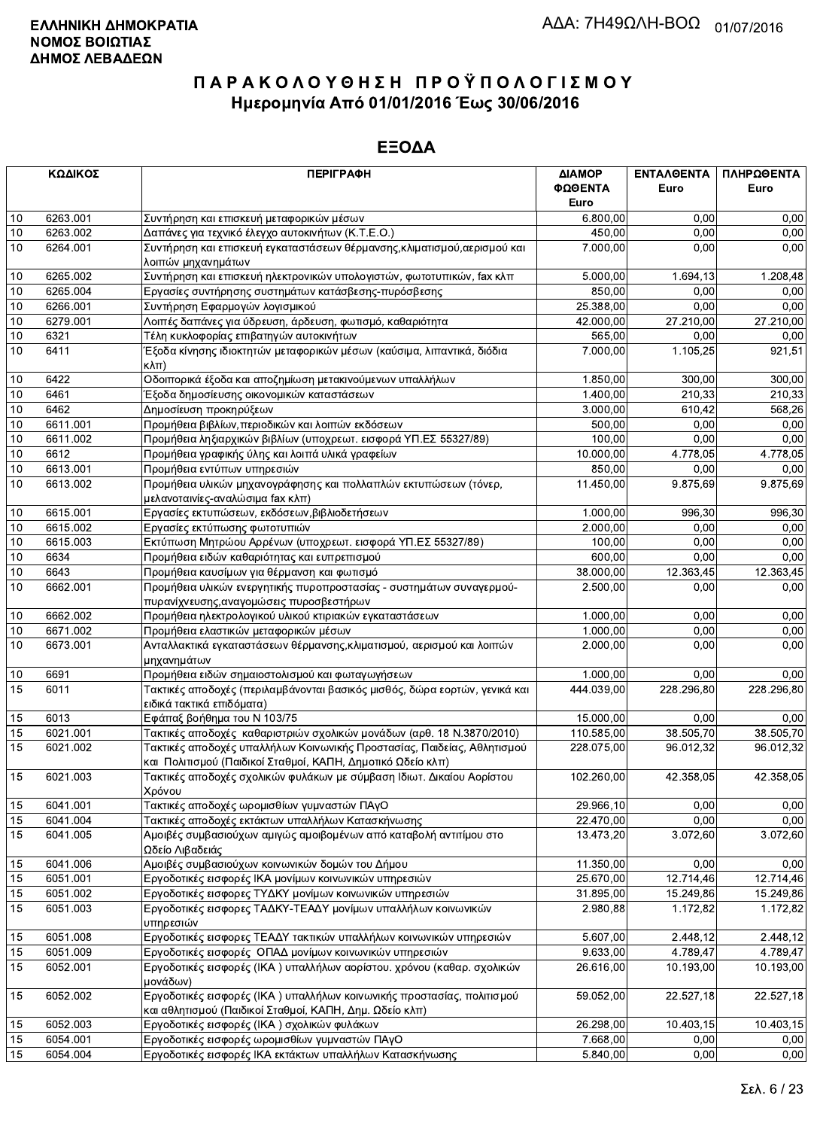|          | ΚΩΔΙΚΟΣ  | <b>ПЕРІГРАФН</b>                                                                                                                       | ΔΙΑΜΟΡ     | ΕΝΤΑΛΘΕΝΤΑ | ΠΛΗΡΩΘΕΝΤΑ |
|----------|----------|----------------------------------------------------------------------------------------------------------------------------------------|------------|------------|------------|
|          |          |                                                                                                                                        | ΦΩΘΕΝΤΑ    | Euro       | Euro       |
|          |          |                                                                                                                                        | Euro       |            |            |
| $10$     | 6263.001 | Συντήρηση και επισκευή μεταφορικών μέσων                                                                                               | 6.800,00   | 0.00       | 0,00       |
| 10       | 6263.002 | Δαπάνες για τεχνικό έλεγχο αυτοκινήτων (Κ.Τ.Ε.Ο.)                                                                                      | 450,00     | 0,00       | 0,00       |
| 10       | 6264.001 | Συντήρηση και επισκευή εγκαταστάσεων θέρμανσης, κλιματισμού, αερισμού και                                                              | 7.000,00   | 0.00       | 0,00       |
|          |          | λοιπών μηχανημάτων                                                                                                                     |            |            |            |
| 10       | 6265.002 | Συντήρηση και επισκευή ηλεκτρονικών υπολογιστών, φωτοτυπικών, fax κλπ                                                                  | 5.000,00   | 1.694,13   | 1.208,48   |
| 10       | 6265.004 | Εργασίες συντήρησης συστημάτων κατάσβεσης-πυρόσβεσης                                                                                   | 850,00     | 0,00       | 0,00       |
| 10       | 6266.001 | Συντήρηση Εφαρμογών λογισμικού                                                                                                         | 25.388,00  | 0,00       | 0,00       |
| $10$     | 6279.001 | Λοιπές δαπάνες για ύδρευση, άρδευση, φωτισμό, καθαριότητα                                                                              | 42.000,00  | 27.210,00  | 27.210,00  |
| 10       | 6321     | Τέλη κυκλοφορίας επιβατηγών αυτοκινήτων                                                                                                | 565,00     | 0,00       | 0,00       |
| 10       | 6411     | Έξοδα κίνησης ιδιοκτητών μεταφορικών μέσων (καύσιμα, λιπαντικά, διόδια                                                                 | 7.000,00   | 1.105,25   | 921,51     |
|          |          | $\kappa\lambda\pi$                                                                                                                     |            |            |            |
| 10       | 6422     | Οδοιπορικά έξοδα και αποζημίωση μετακινούμενων υπαλλήλων                                                                               | 1.850,00   | 300,00     | 300,00     |
| 10       | 6461     | Έξοδα δημοσίευσης οικονομικών καταστάσεων                                                                                              | 1.400,00   | 210,33     | 210,33     |
| 10       | 6462     | Δημοσίευση προκηρύξεων                                                                                                                 | 3.000,00   | 610.42     | 568,26     |
| 10       | 6611.001 | Προμήθεια βιβλίων, περιοδικών και λοιπών εκδόσεων                                                                                      | 500,00     | 0,00       | 0,00       |
| $10$     | 6611.002 | Προμήθεια ληξιαρχικών βιβλίων (υποχρεωτ. εισφορά ΥΠ.ΕΣ 55327/89)                                                                       | 100,00     | 0,00       | 0,00       |
| $10$     | 6612     | Προμήθεια γραφικής ύλης και λοιπά υλικά γραφείων                                                                                       | 10.000,00  | 4.778,05   | 4.778,05   |
| 10       | 6613.001 | Προμήθεια εντύπων υπηρεσιών                                                                                                            | 850,00     | 0.00       | 0,00       |
| 10       | 6613.002 | Προμήθεια υλικών μηχανογράφησης και πολλαπλών εκτυπώσεων (τόνερ,                                                                       | 11.450,00  | 9.875,69   | 9.875,69   |
|          |          | μελανοταινίες-αναλώσιμα fax κλπ)                                                                                                       |            |            |            |
| 10       | 6615.001 | Εργασίες εκτυπώσεων, εκδόσεων, βιβλιοδετήσεων                                                                                          | 1.000,00   | 996,30     | 996,30     |
| 10       | 6615.002 | Εργασίες εκτύπωσης φωτοτυπιών                                                                                                          | 2.000,00   | 0.00       | 0,00       |
| 10       | 6615.003 | Εκτύπωση Μητρώου Αρρένων (υποχρεωτ. εισφορά ΥΠ.ΕΣ 55327/89)                                                                            | 100,00     | 0,00       | 0,00       |
| 10       | 6634     | Προμήθεια ειδών καθαριότητας και ευπρεπισμού                                                                                           | 600,00     | 0,00       | 0,00       |
| $10$     | 6643     | Προμήθεια καυσίμων για θέρμανση και φωτισμό                                                                                            | 38.000,00  | 12.363,45  | 12.363,45  |
| 10       | 6662.001 | Προμήθεια υλικών ενεργητικής πυροπροστασίας - συστημάτων συναγερμού-                                                                   | 2.500,00   | 0,00       | 0,00       |
|          |          | πυρανίχνευσης, αναγομώσεις πυροσβεστήρων                                                                                               |            |            |            |
| 10       | 6662.002 | Προμήθεια ηλεκτρολογικού υλικού κτιριακών εγκαταστάσεων                                                                                | 1.000,00   | 0,00       | 0,00       |
| $10$     | 6671.002 | Προμήθεια ελαστικών μεταφορικών μέσων                                                                                                  | 1.000,00   | 0,00       | 0,00       |
| $10$     | 6673.001 | Ανταλλακτικά εγκαταστάσεων θέρμανσης, κλιματισμού, αερισμού και λοιπών                                                                 | 2.000,00   | 0,00       | 0,00       |
| $10$     | 6691     | μηχανημάτων<br>Προμήθεια ειδών σημαιοστολισμού και φωταγωγήσεων                                                                        | 1.000,00   | 0,00       | 0,00       |
| 15       | 6011     | Τακτικές αποδοχές (περιλαμβάνονται βασικός μισθός, δώρα εορτών, γενικά και                                                             | 444.039,00 |            |            |
|          |          | ειδικά τακτικά επιδόματα)                                                                                                              |            | 228.296,80 | 228.296,80 |
|          | 6013     | Εφάπαξ βοήθημα του Ν 103/75                                                                                                            | 15.000,00  | 0,00       | 0,00       |
| 15<br>15 | 6021.001 |                                                                                                                                        |            | 38.505,70  |            |
|          | 6021.002 | Τακτικές αποδοχές καθαριστριών σχολικών μονάδων (αρθ. 18 Ν.3870/2010)                                                                  | 110.585,00 | 96.012,32  | 38.505,70  |
| 15       |          | Τακτικές αποδοχές υπαλλήλων Κοινωνικής Προστασίας, Παιδείας, Αθλητισμού<br>και Πολιτισμού (Παιδικοί Σταθμοί, ΚΑΠΗ, Δημοτικό Ωδείο κλπ) | 228.075,00 |            | 96.012,32  |
| 15       | 6021.003 | Τακτικές αποδοχές σχολικών φυλάκων με σύμβαση Ιδιωτ. Δικαίου Αορίστου                                                                  | 102.260,00 | 42.358,05  | 42.358,05  |
|          |          | Χρόνου                                                                                                                                 |            |            |            |
| 15       | 6041.001 | Τακτικές αποδοχές ωρομισθίων γυμναστών ΠΑγΟ                                                                                            | 29.966,10  | 0,00       | 0,00       |
| 15       | 6041.004 | Τακτικές αποδοχές εκτάκτων υπαλλήλων Κατασκήνωσης                                                                                      | 22.470,00  | 0,00       | 0,00       |
| 15       | 6041.005 | Αμοιβές συμβασιούχων αμιγώς αμοιβομένων από καταβολή αντιτίμου στο                                                                     | 13.473,20  | 3.072,60   | 3.072,60   |
|          |          | Ωδείο Λιβαδειάς                                                                                                                        |            |            |            |
| 15       | 6041.006 | Αμοιβές συμβασιούχων κοινωνικών δομών του Δήμου                                                                                        | 11.350,00  | 0,00       | 0,00       |
| 15       | 6051.001 | Εργοδοτικές εισφορές ΙΚΑ μονίμων κοινωνικών υπηρεσιών                                                                                  | 25.670,00  | 12.714,46  | 12.714,46  |
| 15       | 6051.002 | Εργοδοτικές εισφορες ΤΥΔΚΥ μονίμων κοινωνικών υπηρεσιών                                                                                | 31.895,00  | 15.249,86  | 15.249,86  |
| 15       | 6051.003 | Εργοδοτικές εισφορες ΤΑΔΚΥ-ΤΕΑΔΥ μονίμων υπαλλήλων κοινωνικών                                                                          | 2.980,88   | 1.172,82   | 1.172,82   |
|          |          | υπηρεσιών                                                                                                                              |            |            |            |
| 15       | 6051.008 | Εργοδοτικές εισφορες ΤΕΑΔΥ τακτικών υπαλλήλων κοινωνικών υπηρεσιών                                                                     | 5.607,00   | 2.448,12   | 2.448,12   |
| 15       | 6051.009 | Εργοδοτικές εισφορές ΟΠΑΔ μονίμων κοινωνικών υπηρεσιών                                                                                 | 9.633,00   | 4.789,47   | 4.789.47   |
| 15       | 6052.001 | Εργοδοτικές εισφορές (ΙΚΑ) υπαλλήλων αορίστου. χρόνου (καθαρ. σχολικών<br>μονάδων)                                                     | 26.616,00  | 10.193,00  | 10.193,00  |
| 15       | 6052.002 | Εργοδοτικές εισφορές (ΙΚΑ) υπαλλήλων κοινωνικής προστασίας, πολιτισμού                                                                 | 59.052,00  | 22.527,18  | 22.527,18  |
|          |          | και αθλητισμού (Παιδικοί Σταθμοί, ΚΑΠΗ, Δημ. Ωδείο κλπ)                                                                                |            |            |            |
| 15       | 6052.003 | Εργοδοτικές εισφορές (ΙΚΑ) σχολικών φυλάκων                                                                                            | 26.298,00  | 10.403,15  | 10.403,15  |
| 15       | 6054.001 | Εργοδοτικές εισφορές ωρομισθίων γυμναστών ΠΑγΟ                                                                                         | 7.668,00   | 0,00       | 0,00       |
| 15       | 6054.004 | Εργοδοτικές εισφορές ΙΚΑ εκτάκτων υπαλλήλων Κατασκήνωσης                                                                               | 5.840,00   | 0,00       | 0,00       |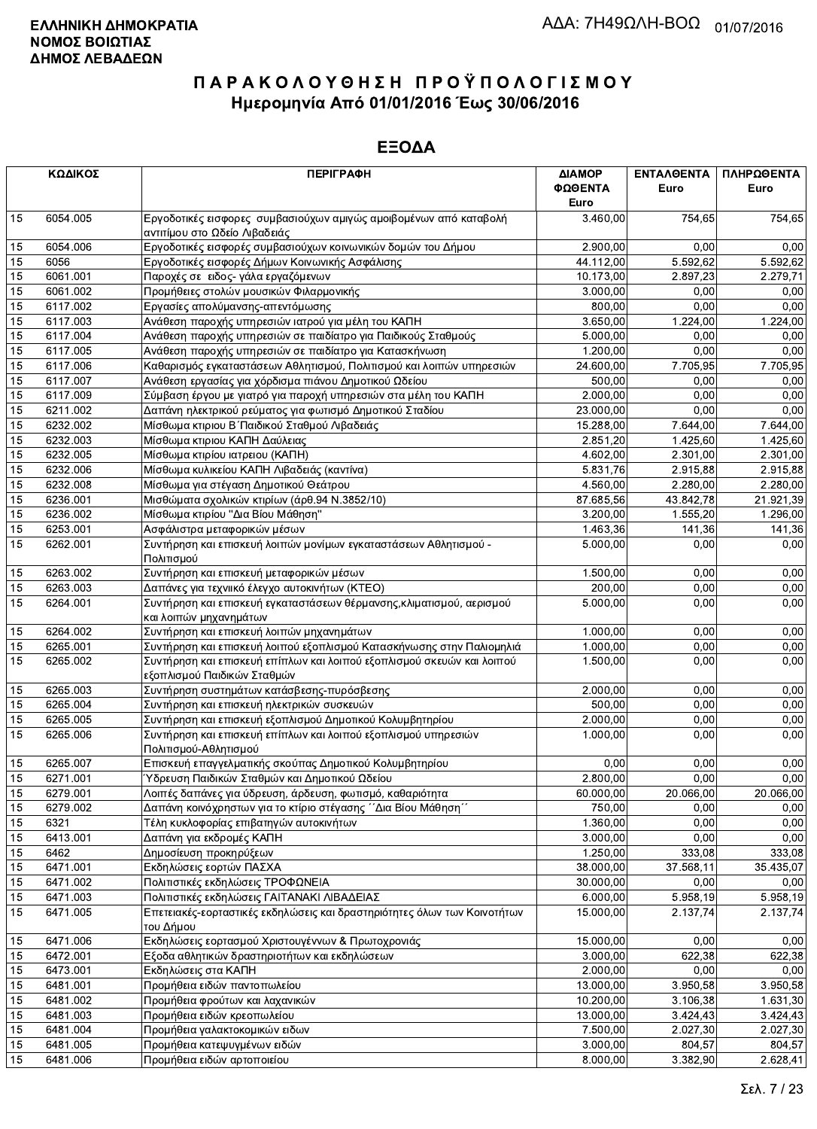|    | ΚΩΔΙΚΟΣ  | <b>ПЕРІГРАФН</b>                                                                                      | ΔΙΑΜΟΡ<br>ΦΩΘΕΝΤΑ<br>Euro | <b>ENTAAOENTA</b><br>Euro | ΠΛΗΡΩΘΕΝΤΑ<br>Euro |
|----|----------|-------------------------------------------------------------------------------------------------------|---------------------------|---------------------------|--------------------|
| 15 | 6054.005 | Εργοδοτικές εισφορες συμβασιούχων αμιγώς αμοιβομένων από καταβολή<br>αντιτίμου στο Ωδείο Λιβαδειάς    | 3.460,00                  | 754,65                    | 754,65             |
| 15 | 6054.006 | Εργοδοτικές εισφορές συμβασιούχων κοινωνικών δομών του Δήμου                                          | 2.900,00                  | 0,00                      | 0,00               |
| 15 | 6056     | Εργοδοτικές εισφορές Δήμων Κοινωνικής Ασφάλισης                                                       | 44.112,00                 | 5.592,62                  | 5.592,62           |
| 15 | 6061.001 | Παροχές σε ειδος- γάλα εργαζόμενων                                                                    | 10.173,00                 | 2.897,23                  | 2.279,71           |
| 15 | 6061.002 | Προμήθειες στολών μουσικών Φιλαρμονικής                                                               | 3.000,00                  | 0,00                      | 0,00               |
| 15 | 6117.002 | Εργασίες απολύμανσης-απεντόμωσης                                                                      | 800.00                    | 0,00                      | 0,00               |
| 15 | 6117.003 | Ανάθεση παροχής υπηρεσιών ιατρού για μέλη του ΚΑΠΗ                                                    | 3.650,00                  | 1.224,00                  | 1.224,00           |
| 15 | 6117.004 | Ανάθεση παροχής υπηρεσιών σε παιδίατρο για Παιδικούς Σταθμούς                                         | 5.000,00                  | 0,00                      | 0,00               |
| 15 | 6117.005 | Ανάθεση παροχής υπηρεσιών σε παιδίατρο για Κατασκήνωση                                                | 1.200,00                  | 0.00                      | 0,00               |
| 15 | 6117.006 | Καθαρισμός εγκαταστάσεων Αθλητισμού, Πολιτισμού και λοιπών υπηρεσιών                                  | 24.600,00                 | 7.705,95                  | 7.705,95           |
| 15 | 6117.007 | Ανάθεση εργασίας για χόρδισμα πιάνου Δημοτικού Ωδείου                                                 | 500,00                    | 0,00                      | 0,00               |
| 15 | 6117.009 | Σύμβαση έργου με γιατρό για παροχή υπηρεσιών στα μέλη του ΚΑΠΗ                                        | 2.000,00                  | 0,00                      | 0,00               |
| 15 | 6211.002 | Δαπάνη ηλεκτρικού ρεύματος για φωτισμό Δημοτικού Σταδίου                                              | 23.000,00                 | 0.00                      | 0,00               |
| 15 | 6232.002 | Μίσθωμα κτιριου Β΄ Παιδικού Σταθμού Λιβαδειάς                                                         | 15.288,00                 | 7.644,00                  | 7.644,00           |
| 15 | 6232.003 | Μίσθωμα κτιριου ΚΑΠΗ Δαύλειας                                                                         | 2.851,20                  | 1.425,60                  | 1.425,60           |
| 15 | 6232.005 | Μίσθωμα κτιρίου ιατρειου (ΚΑΠΗ)                                                                       | 4.602,00                  | 2.301,00                  | 2.301,00           |
| 15 | 6232.006 | Μίσθωμα κυλικείου ΚΑΠΗ Λιβαδειάς (καντίνα)                                                            | 5.831,76                  | 2.915,88                  | 2.915,88           |
| 15 | 6232.008 | Μίσθωμα για στέγαση Δημοτικού Θεάτρου                                                                 | 4.560,00                  | 2.280,00                  | 2.280,00           |
| 15 | 6236.001 | Μισθώματα σχολικών κτιρίων (άρθ.94 Ν.3852/10)                                                         | 87.685,56                 | 43.842,78                 | 21.921,39          |
| 15 | 6236.002 | Μίσθωμα κτιρίου "Δια Βίου Μάθηση"                                                                     | 3.200,00                  | 1.555,20                  | 1.296.00           |
| 15 | 6253.001 | Ασφάλιστρα μεταφορικών μέσων                                                                          | 1.463,36                  | 141,36                    | 141,36             |
| 15 | 6262.001 | Συντήρηση και επισκευή λοιπών μονίμων εγκαταστάσεων Αθλητισμού -<br>Πολιτισμού                        | 5.000,00                  | 0,00                      | 0,00               |
| 15 | 6263.002 | Συντήρηση και επισκευή μεταφορικών μέσων                                                              | 1.500,00                  | 0,00                      | 0,00               |
| 15 | 6263.003 | Δαπάνες για τεχνιικό έλεγχο αυτοκινήτων (ΚΤΕΟ)                                                        | 200,00                    | 0.00                      | 0,00               |
| 15 | 6264.001 | Συντήρηση και επισκευή εγκαταστάσεων θέρμανσης, κλιματισμού, αερισμού<br>και λοιπών μηχανημάτων       | 5.000,00                  | 0,00                      | 0,00               |
| 15 | 6264.002 | Συντήρηση και επισκευή λοιπών μηχανημάτων                                                             | 1.000,00                  | 0,00                      | 0,00               |
| 15 | 6265.001 | Συντήρηση και επισκευή λοιπού εξοπλισμού Κατασκήνωσης στην Παλιομηλιά                                 | 1.000,00                  | 0,00                      | 0,00               |
| 15 | 6265.002 | Συντήρηση και επισκευή επίπλων και λοιπού εξοπλισμού σκευών και λοιπού<br>εξοπλισμού Παιδικών Σταθμών | 1.500,00                  | 0,00                      | 0,00               |
| 15 | 6265.003 | Συντήρηση συστημάτων κατάσβεσης-πυρόσβεσης                                                            | 2.000,00                  | 0,00                      | 0,00               |
| 15 | 6265.004 | Συντήρηση και επισκευή ηλεκτρικών συσκευών                                                            | 500,00                    | 0,00                      | 0,00               |
| 15 | 6265.005 | Συντήρηση και επισκευή εξοπλισμού Δημοτικού Κολυμβητηρίου                                             | 2.000,00                  | 0.00                      | 0,00               |
| 15 | 6265.006 | Συντήρηση και επισκευή επίπλων και λοιπού εξοπλισμού υπηρεσιών<br>Πολιτισμού-Αθλητισμού               | 1.000,00                  | 0,00                      | 0,00               |
| 15 | 6265.007 | Επισκευή επαγγελματικής σκούπας Δημοτικού Κολυμβητηρίου                                               | 0,00                      | 0,00                      | 0,00               |
| 15 | 6271.001 | Ύδρευση Παιδικών Σταθμών και Δημοτικού Ωδείου                                                         | 2.800,00                  | 0,00                      | 0,00               |
| 15 | 6279.001 | Λοιπές δαπάνες για ύδρευση, άρδευση, φωτισμό, καθαριότητα                                             | 60.000,00                 | 20.066,00                 | 20.066,00          |
| 15 | 6279.002 | Δαπάνη κοινόχρηστων για το κτίριο στέγασης ΄΄Δια Βίου Μάθηση΄                                         | 750,00                    | 0,00                      | 0,00               |
| 15 | 6321     | Τέλη κυκλοφορίας επιβατηγών αυτοκινήτων                                                               | 1.360,00                  | 0,00                      | 0,00               |
| 15 | 6413.001 | Δαπάνη για εκδρομές ΚΑΠΗ                                                                              | 3.000,00                  | 0,00                      | 0,00               |
| 15 | 6462     | Δημοσίευση προκηρύξεων                                                                                | 1.250,00                  | 333,08                    | 333,08             |
| 15 | 6471.001 | Εκδηλώσεις εορτών ΠΑΣΧΑ                                                                               | 38.000,00                 | 37.568,11                 | 35.435,07          |
| 15 | 6471.002 | Πολιτιστικές εκδηλώσεις ΤΡΟΦΩΝΕΙΑ                                                                     | 30.000,00                 | 0,00                      | 0,00               |
| 15 | 6471.003 | Πολιτιστικές εκδηλώσεις ΓΑΙΤΑΝΑΚΙ ΛΙΒΑΔΕΙΑΣ                                                           | 6.000,00                  | 5.958,19                  | 5.958,19           |
| 15 | 6471.005 | Επετειακές-εορταστικές εκδηλώσεις και δραστηριότητες όλων των Κοινοτήτων<br>του Δήμου                 | 15.000,00                 | 2.137,74                  | 2.137,74           |
| 15 | 6471.006 | Εκδηλώσεις εορτασμού Χριστουγέννων & Πρωτοχρονιάς                                                     | 15.000,00                 | 0,00                      | 0,00               |
| 15 | 6472.001 | Εξοδα αθλητικών δραστηριοτήτων και εκδηλώσεων                                                         | 3.000,00                  | 622,38                    | 622,38             |
| 15 | 6473.001 | Εκδηλώσεις στα ΚΑΠΗ                                                                                   | 2.000,00                  | 0,00                      | 0,00               |
| 15 | 6481.001 | Προμήθεια ειδών παντοπωλείου                                                                          | 13.000,00                 | 3.950,58                  | 3.950,58           |
| 15 | 6481.002 | Προμήθεια φρούτων και λαχανικών                                                                       | 10.200,00                 | 3.106,38                  | 1.631,30           |
| 15 | 6481.003 | Προμήθεια ειδών κρεοπωλείου                                                                           | 13.000,00                 | 3.424,43                  | 3.424,43           |
| 15 | 6481.004 | Προμήθεια γαλακτοκομικών ειδων                                                                        | 7.500,00                  | 2.027,30                  | 2.027,30           |
| 15 | 6481.005 | Προμήθεια κατεψυγμένων ειδών                                                                          | 3.000,00                  | 804,57                    | 804,57             |
| 15 | 6481.006 | Προμήθεια ειδών αρτοποιείου                                                                           | 8.000,00                  | 3.382,90                  | 2.628,41           |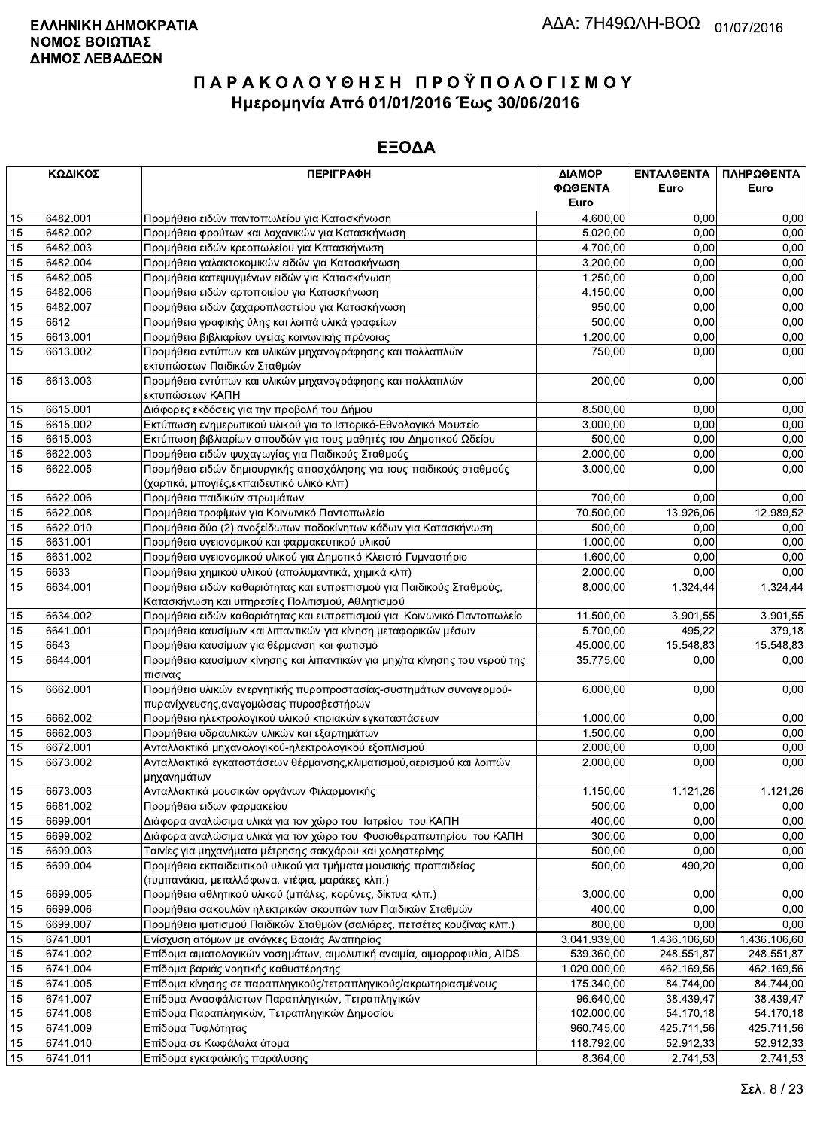|    | ΚΩΔΙΚΟΣ  | <b>ПЕРІГРАФН</b>                                                                                                         | ΔΙΑΜΟΡ<br>ΦΩΘΕΝΤΑ<br>Euro | ΕΝΤΑΛΘΕΝΤΑ<br>Euro | ΠΛΗΡΩΘΕΝΤΑ<br>Euro |
|----|----------|--------------------------------------------------------------------------------------------------------------------------|---------------------------|--------------------|--------------------|
| 15 | 6482.001 | Προμήθεια ειδών παντοπωλείου για Κατασκήνωση                                                                             | 4.600,00                  | 0,00               | 0,00               |
| 15 | 6482.002 | Προμήθεια φρούτων και λαχανικών για Κατασκήνωση                                                                          | 5.020,00                  | 0.00               | 0,00               |
| 15 | 6482.003 | Προμήθεια ειδών κρεοπωλείου για Κατασκήνωση                                                                              | 4.700,00                  | 0,00               | 0,00               |
| 15 | 6482.004 | Προμήθεια γαλακτοκομικών ειδών για Κατασκήνωση                                                                           | 3.200,00                  | 0,00               | 0,00               |
| 15 | 6482.005 | Προμήθεια κατεψυγμένων ειδών για Κατασκήνωση                                                                             | 1.250,00                  | 0,00               | 0,00               |
| 15 | 6482.006 | Προμήθεια ειδών αρτοποιείου για Κατασκήνωση                                                                              | 4.150,00                  | 0,00               | 0,00               |
| 15 | 6482.007 | Προμήθεια ειδών ζαχαροπλαστείου για Κατασκήνωση                                                                          | 950,00                    | 0,00               | 0,00               |
| 15 | 6612     | Προμήθεια γραφικής ύλης και λοιπά υλικά γραφείων                                                                         | 500,00                    | 0,00               | 0,00               |
| 15 | 6613.001 | Προμήθεια βιβλιαρίων υγείας κοινωνικής πρόνοιας                                                                          | 1.200,00                  | 0,00               | 0,00               |
| 15 | 6613.002 | Προμήθεια εντύπων και υλικών μηχανογράφησης και πολλαπλών<br>εκτυπώσεων Παιδικών Σταθμών                                 | 750,00                    | 0,00               | 0,00               |
| 15 | 6613.003 | Προμήθεια εντύπων και υλικών μηχανογράφησης και πολλαπλών<br>εκτυπώσεων ΚΑΠΗ                                             | 200,00                    | 0,00               | 0,00               |
| 15 | 6615.001 | Διάφορες εκδόσεις για την προβολή του Δήμου                                                                              | 8.500,00                  | 0,00               | 0,00               |
| 15 | 6615.002 | Εκτύπωση ενημερωτικού υλικού για το Ιστορικό-Εθνολογικό Μουσείο                                                          | 3.000,00                  | 0,00               | 0,00               |
| 15 | 6615.003 | Εκτύπωση βιβλιαρίων σπουδών για τους μαθητές του Δημοτικού Ωδείου                                                        | 500,00                    | 0,00               | 0,00               |
| 15 | 6622.003 | Προμήθεια ειδών ψυχαγωγίας για Παιδικούς Σταθμούς                                                                        | 2.000,00                  | 0,00               | 0,00               |
| 15 | 6622.005 | Προμήθεια ειδών δημιουργικής απασχόλησης για τους παιδικούς σταθμούς<br>(χαρτικά, μπογιές, εκπαιδευτικό υλικό κλπ)       | 3.000,00                  | 0,00               | 0,00               |
| 15 | 6622.006 | Προμήθεια παιδικών στρωμάτων                                                                                             | 700,00                    | 0,00               | 0,00               |
| 15 | 6622.008 | Προμήθεια τροφίμων για Κοινωνικό Παντοπωλείο                                                                             | 70.500,00                 | 13.926,06          | 12.989,52          |
| 15 | 6622.010 | Προμήθεια δύο (2) ανοξείδωτων ποδοκίνητων κάδων για Κατασκήνωση                                                          | 500,00                    | 0.00               | 0,00               |
| 15 | 6631.001 | Προμήθεια υγειονομικού και φαρμακευτικού υλικού                                                                          | $\overline{1.000,00}$     | 0,00               | 0,00               |
| 15 | 6631.002 | Προμήθεια υγειονομικού υλικού για Δημοτικό Κλειστό Γυμναστήριο                                                           | 1.600,00                  | 0,00               | 0,00               |
| 15 | 6633     | Προμήθεια χημικού υλικού (απολυμαντικά, χημικά κλπ)                                                                      | 2.000,00                  | 0,00               | 0,00               |
| 15 | 6634.001 | Προμήθεια ειδών καθαριότητας και ευπρεπισμού για Παιδικούς Σταθμούς,<br>Κατασκήνωση και υπηρεσίες Πολιτισμού, Αθλητισμού | 8.000,00                  | 1.324,44           | 1.324,44           |
| 15 | 6634.002 | Προμήθεια ειδών καθαριότητας και ευπρεπισμού για Κοινωνικό Παντοπωλείο                                                   | 11.500,00                 | 3.901,55           | 3.901,55           |
| 15 | 6641.001 | Προμήθεια καυσίμων και λιπαντικών για κίνηση μεταφορικών μέσων                                                           | 5.700,00                  | 495.22             | 379,18             |
| 15 | 6643     | Προμήθεια καυσίμων για θέρμανση και φωτισμό                                                                              | 45.000,00                 | 15.548,83          | 15.548,83          |
| 15 | 6644.001 | Προμήθεια καυσίμων κίνησης και λιπαντικών για μηχ/τα κίνησης του νερού της<br>πισινας                                    | 35.775,00                 | 0,00               | 0,00               |
| 15 | 6662.001 | Προμήθεια υλικών ενεργητικής πυροπροστασίας-συστημάτων συναγερμού-<br>πυρανίχνευσης, αναγομώσεις πυροσβεστήρων           | 6.000,00                  | 0,00               | 0,00               |
| 15 | 6662.002 | Προμήθεια ηλεκτρολογικού υλικού κτιριακών εγκαταστάσεων                                                                  | 1.000,00                  | 0,00               | 0,00               |
| 15 | 6662.003 | Προμήθεια υδραυλικών υλικών και εξαρτημάτων                                                                              | 1.500,00                  | 0,00               | 0,00               |
| 15 | 6672.001 | Ανταλλακτικά μηχανολογικού-ηλεκτρολογικού εξοπλισμού                                                                     | 2.000,00                  | 0,00               | 0,00               |
| 15 | 6673.002 | Ανταλλακτικά εγκαταστάσεων θέρμανσης, κλιματισμού, αερισμού και λοιπών<br>∣μηχανημάτων                                   | 2.000,00                  | 0,00               | 0,00               |
| 15 | 6673.003 | Ανταλλακτικά μουσικών οργάνων Φιλαρμονικής                                                                               | 1.150,00                  | 1.121,26           | 1.121,26           |
| 15 | 6681.002 | Προμήθεια ειδων φαρμακείου                                                                                               | 500,00                    | 0,00               | 0,00               |
| 15 | 6699.001 | Διάφορα αναλώσιμα υλικά για τον χώρο του Ιατρείου του ΚΑΠΗ                                                               | 400,00                    | 0,00               | 0,00               |
| 15 | 6699.002 | Διάφορα αναλώσιμα υλικά για τον χώρο του Φυσιοθεραπευτηρίου του ΚΑΠΗ                                                     | 300,00                    | 0,00               | 0,00               |
| 15 | 6699.003 | Ταινίες για μηχανήματα μέτρησης σακχάρου και χοληστερίνης                                                                | 500,00                    | 0,00               | 0,00               |
| 15 | 6699.004 | Προμήθεια εκπαιδευτικού υλικού για τμήματα μουσικής προπαιδείας<br>(τυμπανάκια, μεταλλόφωνα, ντέφια, μαράκες κλπ.)       | 500,00                    | 490,20             | 0,00               |
| 15 | 6699.005 | Προμήθεια αθλητικού υλικού (μπάλες, κορύνες, δίκτυα κλπ.)                                                                | 3.000.00                  | 0.00               | 0,00               |
| 15 | 6699.006 | Προμήθεια σακουλών ηλεκτρικών σκουπών των Παιδικών Σταθμών                                                               | 400,00                    | 0,00               | 0,00               |
| 15 | 6699.007 | Προμήθεια ιματισμού Παιδικών Σταθμών (σαλιάρες, πετσέτες κουζίνας κλπ.)                                                  | 800,00                    | 0,00               | 0,00               |
| 15 | 6741.001 | Ενίσχυση ατόμων με ανάγκες Βαριάς Αναπηρίας                                                                              | 3.041.939,00              | 1.436.106,60       | 1.436.106,60       |
| 15 | 6741.002 | Επίδομα αιματολογικών νοσημάτων, αιμολυτική αναιμία, αιμορροφυλία, AIDS                                                  | 539.360,00                | 248.551,87         | 248.551,87         |
| 15 | 6741.004 | Επίδομα βαριάς νοητικής καθυστέρησης                                                                                     | 1.020.000,00              | 462.169,56         | 462.169,56         |
| 15 | 6741.005 | Επίδομα κίνησης σε παραπληγικούς/τετραπληγικούς/ακρωτηριασμένους                                                         | 175.340,00                | 84.744,00          | 84.744,00          |
| 15 | 6741.007 | Επίδομα Ανασφάλιστων Παραπληγικών, Τετραπληγικών                                                                         | 96.640,00                 | 38.439,47          | 38.439,47          |
| 15 | 6741.008 | Επίδομα Παραπληγικών, Τετραπληγικών Δημοσίου                                                                             | 102.000,00                | 54.170,18          | 54.170,18          |
| 15 | 6741.009 | Επίδομα Τυφλότητας                                                                                                       | 960.745,00                | 425.711,56         | 425.711,56         |
| 15 | 6741.010 | Επίδομα σε Κωφάλαλα άτομα                                                                                                | 118.792,00                | 52.912,33          | 52.912,33          |
| 15 | 6741.011 | Επίδομα εγκεφαλικής παράλυσης                                                                                            | 8.364,00                  | 2.741.53           | 2.741,53           |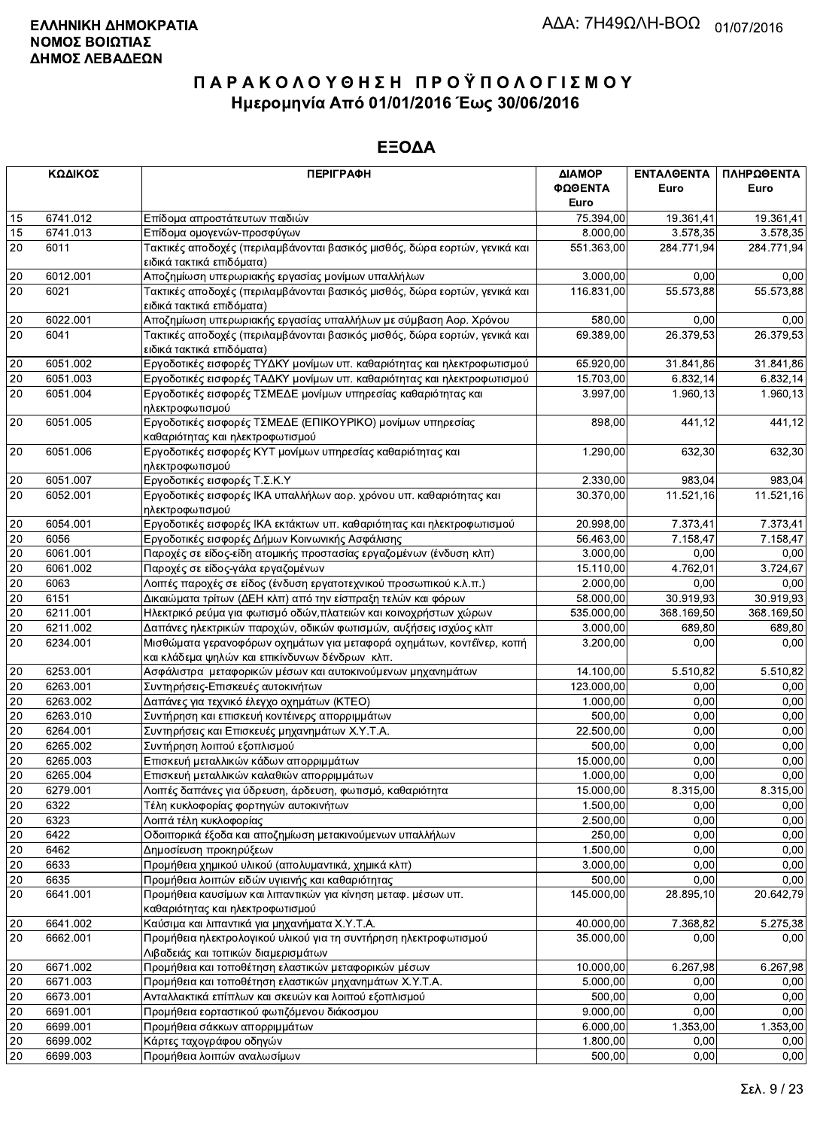|                 | ΚΩΔΙΚΟΣ  | <b>ПЕРІГРАФН</b>                                                                                        | ΔΙΑΜΟΡ     | ΕΝΤΑΛΘΕΝΤΑ | ΠΛΗΡΩΘΕΝΤΑ |
|-----------------|----------|---------------------------------------------------------------------------------------------------------|------------|------------|------------|
|                 |          |                                                                                                         | ΦΩΘΕΝΤΑ    | Euro       | Euro       |
|                 |          |                                                                                                         | Euro       |            |            |
| 15              | 6741.012 | Επίδομα απροστάτευτων παιδιών                                                                           | 75.394,00  | 19.361,41  | 19.361,41  |
| 15              | 6741.013 | Επίδομα ομογενών-προσφύγων                                                                              | 8.000,00   | 3.578,35   | 3.578,35   |
| 20              | 6011     | Τακτικές αποδοχές (περιλαμβάνονται βασικός μισθός, δώρα εορτών, γενικά και<br>ειδικά τακτικά επιδόματα) | 551.363,00 | 284.771,94 | 284.771,94 |
| 20              | 6012.001 | Αποζημίωση υπερωριακής εργασίας μονίμων υπαλλήλων                                                       | 3.000,00   | 0.00       | 0,00       |
| 20              | 6021     | Τακτικές αποδοχές (περιλαμβάνονται βασικός μισθός, δώρα εορτών, γενικά και                              | 116.831,00 | 55.573,88  | 55.573,88  |
|                 |          | ειδικά τακτικά επιδόματα)                                                                               |            |            |            |
| 20              | 6022.001 | Αποζημίωση υπερωριακής εργασίας υπαλλήλων με σύμβαση Αορ. Χρόνου                                        | 580.00     | 0,00       | 0,00       |
| 20              | 6041     | Τακτικές αποδοχές (περιλαμβάνονται βασικός μισθός, δώρα εορτών, γενικά και<br>ειδικά τακτικά επιδόματα) | 69.389,00  | 26.379,53  | 26.379,53  |
| 20              | 6051.002 | Εργοδοτικές εισφορές ΤΥΔΚΥ μονίμων υπ. καθαριότητας και ηλεκτροφωτισμού                                 | 65.920,00  | 31.841,86  | 31.841,86  |
| 20              | 6051.003 | Εργοδοτικές εισφορές ΤΑΔΚΥ μονίμων υπ. καθαριότητας και ηλεκτροφωτισμού                                 | 15.703,00  | 6.832,14   | 6.832,14   |
| 20              | 6051.004 | Εργοδοτικές εισφορές ΤΣΜΕΔΕ μονίμων υπηρεσίας καθαριότητας και                                          | 3.997,00   | 1.960,13   | 1.960,13   |
|                 |          | ηλεκτροφωτισμού                                                                                         |            |            |            |
| 20              | 6051.005 | Εργοδοτικές εισφορές ΤΣΜΕΔΕ (ΕΠΙΚΟΥΡΙΚΟ) μονίμων υπηρεσίας                                              | 898,00     | 441,12     | 441,12     |
|                 |          | καθαριότητας και ηλεκτροφωτισμού                                                                        |            |            |            |
| 20              | 6051.006 | Εργοδοτικές εισφορές ΚΥΤ μονίμων υπηρεσίας καθαριότητας και                                             | 1.290,00   | 632,30     | 632,30     |
|                 |          | ηλεκτροφωτισμού                                                                                         |            |            |            |
| 20              | 6051.007 | Εργοδοτικές εισφορές Τ.Σ.Κ.Υ                                                                            | 2.330,00   | 983.04     | 983,04     |
| 20              | 6052.001 | Εργοδοτικές εισφορές ΙΚΑ υπαλλήλων αορ. χρόνου υπ. καθαριότητας και                                     | 30.370,00  | 11.521,16  | 11.521,16  |
|                 |          | ηλεκτροφωτισμού                                                                                         |            |            |            |
| 20              | 6054.001 | Εργοδοτικές εισφορές ΙΚΑ εκτάκτων υπ. καθαριότητας και ηλεκτροφωτισμού                                  | 20.998,00  | 7.373,41   | 7.373,41   |
| 20              | 6056     | Εργοδοτικές εισφορές Δήμων Κοινωνικής Ασφάλισης                                                         | 56.463,00  | 7.158,47   | 7.158,47   |
| 20              | 6061.001 | Παροχές σε είδος-είδη ατομικής προστασίας εργαζομένων (ένδυση κλπ)                                      | 3.000,00   | 0,00       | 0,00       |
| 20              | 6061.002 | Παροχές σε είδος-γάλα εργαζομένων                                                                       | 15.110,00  | 4.762,01   | 3.724,67   |
| 20              | 6063     | Λοιπές παροχές σε είδος (ένδυση εργατοτεχνικού προσωπικού κ.λ.π.)                                       | 2.000,00   | 0,00       | 0,00       |
| 20              | 6151     | Δικαιώματα τρίτων (ΔΕΗ κλπ) από την είσπραξη τελών και φόρων                                            | 58.000,00  | 30.919,93  | 30.919,93  |
| 20              | 6211.001 | Ηλεκτρικό ρεύμα για φωτισμό οδών, πλατειών και κοινοχρήστων χώρων                                       | 535.000,00 | 368.169,50 | 368.169,50 |
| 20              | 6211.002 | Δαπάνες ηλεκτρικών παροχών, οδικών φωτισμών, αυξήσεις ισχύος κλπ                                        | 3.000,00   | 689,80     | 689,80     |
| $\overline{20}$ | 6234.001 | Μισθώματα γερανοφόρων οχημάτων για μεταφορά οχημάτων, κοντέϊνερ, κοπή                                   | 3.200,00   | 0,00       | 0,00       |
|                 |          | και κλάδεμα ψηλών και επικίνδυνων δένδρων κλπ.                                                          |            |            |            |
| 20              | 6253.001 | Ασφάλιστρα μεταφορικών μέσων και αυτοκινούμενων μηχανημάτων                                             | 14.100,00  | 5.510,82   | 5.510,82   |
| 20              | 6263.001 | Συντηρήσεις-Επισκευές αυτοκινήτων                                                                       | 123.000,00 | 0,00       | 0,00       |
| 20              | 6263.002 | Δαπάνες για τεχνικό έλεγχο οχημάτων (ΚΤΕΟ)                                                              | 1.000,00   | 0,00       | 0,00       |
| 20              | 6263.010 | Συντήρηση και επισκευή κοντέινερς απορριμμάτων                                                          | 500,00     | 0,00       | 0,00       |
| 20              | 6264.001 | Συντηρήσεις και Επισκευές μηχανημάτων Χ.Υ.Τ.Α.                                                          | 22.500,00  | 0,00       | 0,00       |
| $20\,$          | 6265.002 | Συντήρηση λοιπού εξοπλισμού                                                                             | 500,00     | 0.00       | 0,00       |
| 20              | 6265.003 | Επισκευή μεταλλικών κάδων απορριμμάτων                                                                  | 15.000,00  | 0,00       | 0,00       |
| 20              | 6265.004 | Επισκευή μεταλλικών καλαθιών απορριμμάτων                                                               | 1.000,00   | 0,00       | 0,00       |
| 20              | 6279.001 | Λοιπές δαπάνες για ύδρευση, άρδευση, φωτισμό, καθαριότητα                                               | 15.000,00  | 8.315,00   | 8.315,00   |
| 20              | 6322     | Τέλη κυκλοφορίας φορτηγών αυτοκινήτων                                                                   | 1.500,00   | 0,00       | 0,00       |
| 20              | 6323     | Λοιπά τέλη κυκλοφορίας                                                                                  | 2.500,00   | 0,00       | 0,00       |
| 20              | 6422     | Οδοιπορικά έξοδα και αποζημίωση μετακινούμενων υπαλλήλων                                                | 250,00     | 0,00       | 0,00       |
| 20              | 6462     | Δημοσίευση προκηρύξεων                                                                                  | 1.500,00   | 0,00       | 0,00       |
| 20              | 6633     | Προμήθεια χημικού υλικού (απολυμαντικά, χημικά κλπ)                                                     | 3.000,00   | 0,00       | 0,00       |
| 20              | 6635     | Προμήθεια λοιπών ειδών υγιεινής και καθαριότητας                                                        | 500,00     | 0,00       | 0,00       |
| 20              | 6641.001 | Προμήθεια καυσίμων και λιπαντικών για κίνηση μεταφ. μέσων υπ.                                           | 145.000,00 | 28.895,10  | 20.642,79  |
|                 |          | καθαριότητας και ηλεκτροφωτισμού                                                                        |            |            |            |
| 20              | 6641.002 | Καύσιμα και λιπαντικά για μηχανήματα Χ.Υ.Τ.Α.                                                           | 40.000,00  | 7.368,82   | 5.275,38   |
| 20              | 6662.001 | Προμήθεια ηλεκτρολογικού υλικού για τη συντήρηση ηλεκτροφωτισμού<br>Λιβαδειάς και τοπικών διαμερισμάτων | 35.000,00  | 0,00       | 0,00       |
| 20              | 6671.002 | Προμήθεια και τοποθέτηση ελαστικών μεταφορικών μέσων                                                    | 10.000,00  | 6.267,98   | 6.267,98   |
| 20              | 6671.003 | Προμήθεια και τοποθέτηση ελαστικών μηχανημάτων Χ.Υ.Τ.Α.                                                 | 5.000,00   | 0,00       | 0,00       |
| 20              | 6673.001 | Ανταλλακτικά επίπλων και σκευών και λοιπού εξοπλισμού                                                   | 500,00     | 0,00       | 0,00       |
| 20              | 6691.001 | Προμήθεια εορταστικού φωτιζόμενου διάκοσμου                                                             | 9.000,00   | 0,00       | 0,00       |
| 20              | 6699.001 | Προμήθεια σάκκων απορριμμάτων                                                                           | 6.000,00   | 1.353,00   | 1.353,00   |
| 20              | 6699.002 | Κάρτες ταχογράφου οδηγών                                                                                | 1.800,00   | 0,00       | 0,00       |
| 20              | 6699.003 | Προμήθεια λοιπών αναλωσίμων                                                                             | 500,00     | 0,00       | 0,00       |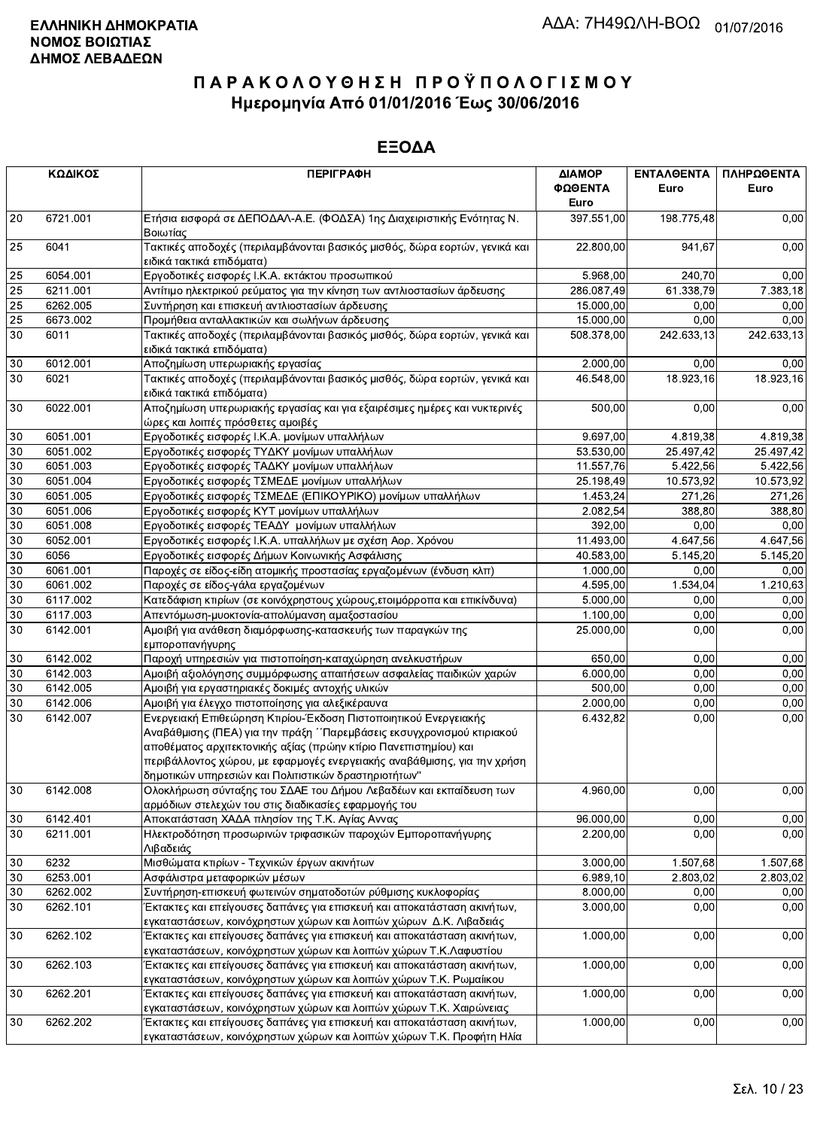|    | ΚΩΔΙΚΟΣ  | <b>ПЕРІГРАФН</b>                                                                                                                                                                                                                                                                                                                                  | ΔΙΑΜΟΡ<br>ΦΩΘΕΝΤΑ<br>Euro | ΕΝΤΑΛΘΕΝΤΑ<br>Euro    | ΠΛΗΡΩΘΕΝΤΑ<br>Euro |
|----|----------|---------------------------------------------------------------------------------------------------------------------------------------------------------------------------------------------------------------------------------------------------------------------------------------------------------------------------------------------------|---------------------------|-----------------------|--------------------|
| 20 | 6721.001 | Ετήσια εισφορά σε ΔΕΠΟΔΑΛ-Α.Ε. (ΦΟΔΣΑ) 1ης Διαχειριστικής Ενότητας Ν.<br>Βοιωτίας                                                                                                                                                                                                                                                                 | 397.551,00                | 198.775,48            | 0,00               |
| 25 | 6041     | Τακτικές αποδοχές (περιλαμβάνονται βασικός μισθός, δώρα εορτών, γενικά και<br>ειδικά τακτικά επιδόματα)                                                                                                                                                                                                                                           | 22.800,00                 | 941,67                | 0,00               |
| 25 | 6054.001 | Εργοδοτικές εισφορές Ι.Κ.Α. εκτάκτου προσωπικού                                                                                                                                                                                                                                                                                                   | 5.968,00                  | 240.70                | 0,00               |
| 25 | 6211.001 | Αντίτιμο ηλεκτρικού ρεύματος για την κίνηση των αντλιοστασίων άρδευσης                                                                                                                                                                                                                                                                            | 286.087,49                | 61.338,79             | 7.383,18           |
| 25 | 6262.005 | Συντήρηση και επισκευή αντλιοστασίων άρδευσης                                                                                                                                                                                                                                                                                                     | 15.000,00                 | 0,00                  | 0,00               |
| 25 | 6673.002 | Προμήθεια ανταλλακτικών και σωλήνων άρδευσης                                                                                                                                                                                                                                                                                                      | 15.000,00                 | 0,00                  | 0,00               |
| 30 | 6011     | Τακτικές αποδοχές (περιλαμβάνονται βασικός μισθός, δώρα εορτών, γενικά και<br>ειδικά τακτικά επιδόματα)                                                                                                                                                                                                                                           | 508.378,00                | 242.633,13            | 242.633,13         |
| 30 | 6012.001 | Αποζημίωση υπερωριακής εργασίας                                                                                                                                                                                                                                                                                                                   | 2.000,00                  | 0,00                  | 0,00               |
| 30 | 6021     | Τακτικές αποδοχές (περιλαμβάνονται βασικός μισθός, δώρα εορτών, γενικά και<br>ειδικά τακτικά επιδόματα)                                                                                                                                                                                                                                           | 46.548,00                 | 18.923,16             | 18.923,16          |
| 30 | 6022.001 | Αποζημίωση υπερωριακής εργασίας και για εξαιρέσιμες ημέρες και νυκτερινές<br>ώρες και λοιπές πρόσθετες αμοιβές                                                                                                                                                                                                                                    | 500,00                    | 0,00                  | 0,00               |
| 30 | 6051.001 | Εργοδοτικές εισφορές Ι.Κ.Α. μονίμων υπαλλήλων                                                                                                                                                                                                                                                                                                     | 9.697,00                  | 4.819,38              | 4.819,38           |
| 30 | 6051.002 | Εργοδοτικές εισφορές ΤΥΔΚΥ μονίμων υπαλλήλων                                                                                                                                                                                                                                                                                                      | 53.530,00                 | 25.497,42             | 25.497,42          |
| 30 | 6051.003 | Εργοδοτικές εισφορές ΤΑΔΚΥ μονίμων υπαλλήλων                                                                                                                                                                                                                                                                                                      | 11.557,76                 | $\overline{5.422,56}$ | 5.422,56           |
| 30 | 6051.004 | Εργοδοτικές εισφορές ΤΣΜΕΔΕ μονίμων υπαλλήλων                                                                                                                                                                                                                                                                                                     | 25.198,49                 | 10.573,92             | 10.573,92          |
| 30 | 6051.005 | Εργοδοτικές εισφορές ΤΣΜΕΔΕ (ΕΠΙΚΟΥΡΙΚΟ) μονίμων υπαλλήλων                                                                                                                                                                                                                                                                                        | 1.453,24                  | 271.26                | 271,26             |
| 30 | 6051.006 | Εργοδοτικές εισφορές ΚΥΤ μονίμων υπαλλήλων                                                                                                                                                                                                                                                                                                        | 2.082,54                  | 388,80                | 388,80             |
| 30 | 6051.008 | Εργοδοτικές εισφορές ΤΕΑΔΥ μονίμων υπαλλήλων                                                                                                                                                                                                                                                                                                      | 392,00                    | 0,00                  | 0,00               |
| 30 | 6052.001 | Εργοδοτικές εισφορές Ι.Κ.Α. υπαλλήλων με σχέση Αορ. Χρόνου                                                                                                                                                                                                                                                                                        | 11.493,00                 | 4.647,56              | 4.647,56           |
| 30 | 6056     | Εργοδοτικές εισφορές Δήμων Κοινωνικής Ασφάλισης                                                                                                                                                                                                                                                                                                   | 40.583,00                 | 5.145,20              | 5.145,20           |
| 30 | 6061.001 | Παροχές σε είδος-είδη ατομικής προστασίας εργαζομένων (ένδυση κλπ)                                                                                                                                                                                                                                                                                | 1.000,00                  | 0,00                  | 0,00               |
| 30 | 6061.002 | Παροχές σε είδος-γάλα εργαζομένων                                                                                                                                                                                                                                                                                                                 | 4.595,00                  | 1.534,04              | 1.210,63           |
| 30 | 6117.002 | Κατεδάφιση κτιρίων (σε κοινόχρηστους χώρους, ετοιμόρροπα και επικίνδυνα)                                                                                                                                                                                                                                                                          | 5.000,00                  | 0,00                  | 0,00               |
| 30 | 6117.003 | Απεντόμωση-μυοκτονία-απολύμανση αμαξοστασίου                                                                                                                                                                                                                                                                                                      | 1.100,00                  | 0,00                  | 0,00               |
| 30 | 6142.001 | Αμοιβή για ανάθεση διαμόρφωσης-κατασκευής των παραγκών της<br>εμποροπανήγυρης                                                                                                                                                                                                                                                                     | 25.000,00                 | 0,00                  | 0,00               |
| 30 | 6142.002 | Παροχή υπηρεσιών για πιστοποίηση-καταχώρηση ανελκυστήρων                                                                                                                                                                                                                                                                                          | 650,00                    | 0,00                  | 0,00               |
| 30 | 6142.003 | Αμοιβή αξιολόγησης συμμόρφωσης απαιτήσεων ασφαλείας παιδικών χαρών                                                                                                                                                                                                                                                                                | 6.000,00                  | 0,00                  | 0,00               |
| 30 | 6142.005 | Αμοιβή για εργαστηριακές δοκιμές αντοχής υλικών                                                                                                                                                                                                                                                                                                   | 500,00                    | 0,00                  | 0,00               |
| 30 | 6142.006 | Αμοιβή για έλεγχο πιστοποίησης για αλεξικέραυνα                                                                                                                                                                                                                                                                                                   | 2.000,00                  | 0,00                  | 0,00               |
| 30 | 6142.007 | Ενεργειακή Επιθεώρηση Κτιρίου-Έκδοση Πιστοποιητικού Ενεργειακής<br>Αναβάθμισης (ΠΕΑ) για την πράξη ΄΄Παρεμβάσεις εκσυγχρονισμού κτιριακού<br>αποθέματος αρχιτεκτονικής αξίας (πρώην κτίριο Πανεπιστημίου) και<br>περιβάλλοντος χώρου, με εφαρμογές ενεργειακής αναβάθμισης, για την χρήση<br>δημοτικών υπηρεσιών και Πολιτιστικών δραστηριοτήτων" | 6.432,82                  | 0,00                  | 0,00               |
| 30 | 6142.008 | Ολοκλήρωση σύνταξης του ΣΔΑΕ του Δήμου Λεβαδέων και εκπαίδευση των<br>αρμόδιων στελεχών του στις διαδικασίες εφαρμογής του                                                                                                                                                                                                                        | 4.960,00                  | 0,00                  | 0,00               |
| 30 | 6142.401 | Αποκατάσταση ΧΑΔΑ πλησίον της Τ.Κ. Αγίας Αννας                                                                                                                                                                                                                                                                                                    | 96.000,00                 | 0,00                  | 0,00               |
| 30 | 6211.001 | Ηλεκτροδότηση προσωρινών τριφασικών παροχών Εμποροπανήγυρης<br>Λιβαδειάς                                                                                                                                                                                                                                                                          | 2.200,00                  | 0,00                  | 0,00               |
| 30 | 6232     | Μισθώματα κτιρίων - Τεχνικών έργων ακινήτων                                                                                                                                                                                                                                                                                                       | 3.000,00                  | 1.507,68              | 1.507,68           |
| 30 | 6253.001 | Ασφάλιστρα μεταφορικών μέσων                                                                                                                                                                                                                                                                                                                      | 6.989, 10                 | 2.803,02              | 2.803,02           |
| 30 | 6262.002 | Συντήρηση-επισκευή φωτεινών σηματοδοτών ρύθμισης κυκλοφορίας                                                                                                                                                                                                                                                                                      | 8.000,00                  | 0,00                  | 0,00               |
| 30 | 6262.101 | Έκτακτες και επείγουσες δαπάνες για επισκευή και αποκατάσταση ακινήτων,<br>εγκαταστάσεων, κοινόχρηστων χώρων και λοιπών χώρων Δ.Κ. Λιβαδειάς                                                                                                                                                                                                      | 3.000,00                  | 0,00                  | 0,00               |
| 30 | 6262.102 | Έκτακτες και επείγουσες δαπάνες για επισκευή και αποκατάσταση ακινήτων,<br>εγκαταστάσεων, κοινόχρηστων χώρων και λοιπών χώρων Τ.Κ.Λαφυστίου                                                                                                                                                                                                       | 1.000,00                  | 0,00                  | 0,00               |
| 30 | 6262.103 | Έκτακτες και επείγουσες δαπάνες για επισκευή και αποκατάσταση ακινήτων,<br>εγκαταστάσεων, κοινόχρηστων χώρων και λοιπών χώρων Τ.Κ. Ρωμαίικου                                                                                                                                                                                                      | 1.000,00                  | 0,00                  | 0,00               |
| 30 | 6262.201 | Έκτακτες και επείγουσες δαπάνες για επισκευή και αποκατάσταση ακινήτων,<br>εγκαταστάσεων, κοινόχρηστων χώρων και λοιπών χώρων Τ.Κ. Χαιρώνειας                                                                                                                                                                                                     | 1.000,00                  | 0,00                  | 0,00               |
| 30 | 6262.202 | Έκτακτες και επείγουσες δαπάνες για επισκευή και αποκατάσταση ακινήτων,<br>ενκαταστάσεων, κοινόχρηστων χώρων και λοιπών χώρων Τ.Κ. Προφήτη Ηλία                                                                                                                                                                                                   | 1.000,00                  | 0,00                  | 0,00               |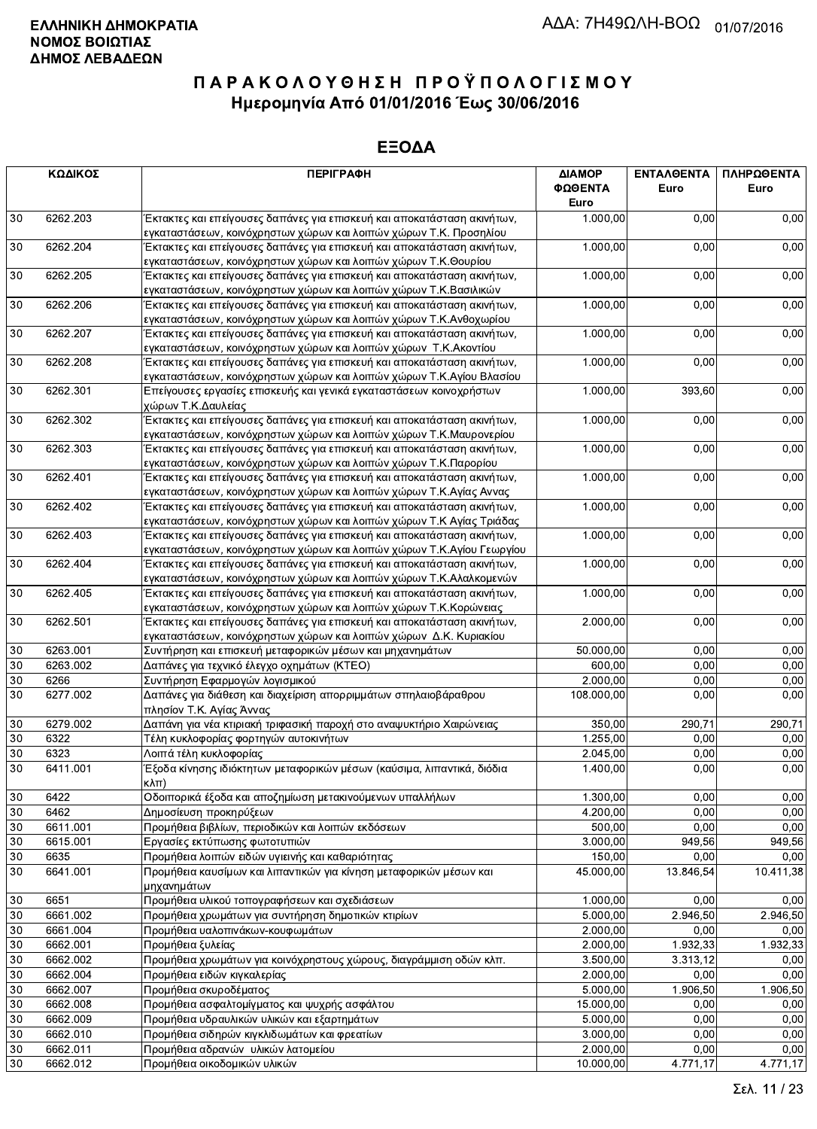|        | ΚΩΔΙΚΟΣ  | <b>ПЕРІГРАФН</b>                                                        | ΔΙΑΜΟΡ<br>ΦΩΘΕΝΤΑ<br>Euro | <b>ENTAA@ENTA</b><br>Euro | ΠΛΗΡΩΘΕΝΤΑ<br>Euro |
|--------|----------|-------------------------------------------------------------------------|---------------------------|---------------------------|--------------------|
| 30     | 6262.203 | Έκτακτες και επείγουσες δαπάνες για επισκευή και αποκατάσταση ακινήτων, | 1.000,00                  | 0,00                      | 0,00               |
|        |          | εγκαταστάσεων, κοινόχρηστων χώρων και λοιπών χώρων Τ.Κ. Προσηλίου       |                           |                           |                    |
| 30     | 6262.204 | Έκτακτες και επείγουσες δαπάνες για επισκευή και αποκατάσταση ακινήτων, | 1.000,00                  | 0,00                      | 0,00               |
|        |          | εγκαταστάσεων, κοινόχρηστων χώρων και λοιπών χώρων Τ.Κ.Θουρίου          |                           |                           |                    |
| 30     | 6262.205 | Έκτακτες και επείγουσες δαπάνες για επισκευή και αποκατάσταση ακινήτων, | 1.000,00                  | 0,00                      | 0,00               |
|        |          | εγκαταστάσεων, κοινόχρηστων χώρων και λοιπών χώρων Τ.Κ.Βασιλικών        |                           |                           |                    |
| 30     | 6262.206 | Έκτακτες και επείγουσες δαπάνες για επισκευή και αποκατάσταση ακινήτων, | 1.000,00                  | 0,00                      | 0,00               |
|        |          | εγκαταστάσεων, κοινόχρηστων χώρων και λοιπών χώρων Τ.Κ.Ανθοχωρίου       |                           |                           |                    |
| 30     | 6262.207 | Έκτακτες και επείγουσες δαπάνες για επισκευή και αποκατάσταση ακινήτων, | 1.000,00                  | 0,00                      | 0,00               |
|        |          | εγκαταστάσεων, κοινόχρηστων χώρων και λοιπών χώρων Τ.Κ. Ακοντίου        |                           |                           |                    |
| 30     | 6262.208 | Έκτακτες και επείγουσες δαπάνες για επισκευή και αποκατάσταση ακινήτων, | 1.000,00                  | 0,00                      | 0,00               |
|        |          | εγκαταστάσεων, κοινόχρηστων χώρων και λοιπών χώρων Τ.Κ.Αγίου Βλασίου    |                           |                           |                    |
| 30     | 6262.301 | Επείγουσες εργασίες επισκευής και γενικά εγκαταστάσεων κοινοχρήστων     | 1.000,00                  | 393,60                    | 0,00               |
|        |          | χώρων Τ.Κ.Δαυλείας                                                      |                           |                           |                    |
| 30     | 6262.302 | Έκτακτες και επείγουσες δαπάνες για επισκευή και αποκατάσταση ακινήτων, | 1.000,00                  | 0,00                      | 0,00               |
|        |          | εγκαταστάσεων, κοινόχρηστων χώρων και λοιπών χώρων Τ.Κ.Μαυρονερίου      |                           |                           |                    |
| 30     | 6262.303 | Έκτακτες και επείγουσες δαπάνες για επισκευή και αποκατάσταση ακινήτων, | 1.000,00                  | 0,00                      | 0,00               |
|        |          | εγκαταστάσεων, κοινόχρηστων χώρων και λοιπών χώρων Τ.Κ.Παρορίου         |                           |                           |                    |
| 30     | 6262.401 | Έκτακτες και επείγουσες δαπάνες για επισκευή και αποκατάσταση ακινήτων, | 1.000,00                  | 0,00                      | 0,00               |
|        |          | εγκαταστάσεων, κοινόχρηστων χώρων και λοιπών χώρων Τ.Κ.Αγίας Αννας      |                           |                           |                    |
| $30\,$ | 6262.402 | Έκτακτες και επείγουσες δαπάνες για επισκευή και αποκατάσταση ακινήτων, | 1.000,00                  | 0,00                      | 0,00               |
|        |          | εγκαταστάσεων, κοινόχρηστων χώρων και λοιπών χώρων Τ.Κ Αγίας Τριάδας    |                           |                           |                    |
| 30     | 6262.403 | Έκτακτες και επείγουσες δαπάνες για επισκευή και αποκατάσταση ακινήτων, | 1.000,00                  | 0,00                      | 0,00               |
|        |          | εγκαταστάσεων, κοινόχρηστων χώρων και λοιπών χώρων Τ.Κ.Αγίου Γεωργίου   |                           |                           |                    |
| 30     | 6262.404 | Έκτακτες και επείγουσες δαπάνες για επισκευή και αποκατάσταση ακινήτων, | 1.000,00                  | 0,00                      | 0,00               |
|        |          | εγκαταστάσεων, κοινόχρηστων χώρων και λοιπών χώρων Τ.Κ.Αλαλκομενών      |                           |                           |                    |
| 30     | 6262.405 | Έκτακτες και επείγουσες δαπάνες για επισκευή και αποκατάσταση ακινήτων, | 1.000,00                  | 0,00                      | 0,00               |
|        |          | εγκαταστάσεων, κοινόχρηστων χώρων και λοιπών χώρων Τ.Κ.Κορώνειας        |                           |                           |                    |
| 30     | 6262.501 | Έκτακτες και επείγουσες δαπάνες για επισκευή και αποκατάσταση ακινήτων, | 2.000,00                  | 0,00                      | 0,00               |
|        |          | εγκαταστάσεων, κοινόχρηστων χώρων και λοιπών χώρων Δ.Κ. Κυριακίου       |                           |                           |                    |
| 30     | 6263.001 | Συντήρηση και επισκευή μεταφορικών μέσων και μηχανημάτων                | 50.000,00                 | 0,00                      | 0,00               |
| 30     | 6263.002 | Δαπάνες για τεχνικό έλεγχο οχημάτων (ΚΤΕΟ)                              | 600,00                    | 0,00                      | 0,00               |
| 30     | 6266     | Συντήρηση Εφαρμογών λογισμικού                                          | 2.000,00                  | 0,00                      | 0,00               |
| 30     | 6277.002 | Δαπάνες για διάθεση και διαχείριση απορριμμάτων σπηλαιοβάραθρου         | 108.000,00                | 0,00                      | 0,00               |
|        |          | πλησίον Τ.Κ. Αγίας Άννας                                                |                           |                           |                    |
| 30     | 6279.002 | Δαπάνη για νέα κτιριακή τριφασική παροχή στο αναψυκτήριο Χαιρώνειας     | 350,00                    | 290,71                    | 290,71             |
| 30     | 6322     | Τέλη κυκλοφορίας φορτηγών αυτοκινήτων                                   | 1.255,00                  | 0,00                      | 0,00               |
| 30     | 6323     | Λοιπά τέλη κυκλοφορίας                                                  | 2.045,00                  | 0,00                      | 0,00               |
| 30     | 6411.001 | Έξοδα κίνησης ιδιόκτητων μεταφορικών μέσων (καύσιμα, λιπαντικά, διόδια  | 1.400,00                  | 0,00                      | 0,00               |
|        |          | Kλπ)                                                                    |                           |                           |                    |
| 30     | 6422     | Οδοιπορικά έξοδα και αποζημίωση μετακινούμενων υπαλλήλων                | 1.300,00                  | 0,00                      | 0,00               |
| 30     | 6462     | Δημοσίευση προκηρύξεων                                                  | 4.200,00                  | 0,00                      | 0,00               |
| 30     | 6611.001 | Προμήθεια βιβλίων, περιοδικών και λοιπών εκδόσεων                       | 500,00                    | 0,00                      | 0,00               |
| 30     | 6615.001 | Εργασίες εκτύπωσης φωτοτυπιών                                           | 3.000,00                  | 949,56                    | 949,56             |
| $30\,$ | 6635     | Προμήθεια λοιπών ειδών υγιεινής και καθαριότητας                        | 150,00                    | 0,00                      | 0,00               |
| 30     | 6641.001 | Προμήθεια καυσίμων και λιπαντικών για κίνηση μεταφορικών μέσων και      | 45.000,00                 | 13.846,54                 | 10.411,38          |
|        |          | μηχανημάτων                                                             |                           |                           |                    |
| 30     | 6651     | Προμήθεια υλικού τοπογραφήσεων και σχεδιάσεων                           | 1.000,00                  | 0,00                      | 0,00               |
| 30     | 6661.002 | Προμήθεια χρωμάτων για συντήρηση δημοτικών κτιρίων                      | 5.000,00                  | 2.946,50                  | 2.946,50           |
| 30     | 6661.004 | Προμήθεια υαλοπινάκων-κουφωμάτων                                        | 2.000,00                  | 0,00                      | 0,00               |
| 30     | 6662.001 | Προμήθεια ξυλείας                                                       | 2.000,00                  | 1.932,33                  | 1.932,33           |
| 30     | 6662.002 | Προμήθεια χρωμάτων για κοινόχρηστους χώρους, διαγράμμιση οδών κλπ.      | 3.500,00                  | 3.313,12                  | 0,00               |
| 30     | 6662.004 | Προμήθεια ειδών κιγκαλερίας                                             | 2.000,00                  | 0,00                      | 0,00               |
| 30     | 6662.007 | Προμήθεια σκυροδέματος                                                  | 5.000,00                  | 1.906,50                  | 1.906,50           |
| 30     | 6662.008 | Προμήθεια ασφαλτομίγματος και ψυχρής ασφάλτου                           | 15.000,00                 | 0,00                      | 0,00               |
| 30     | 6662.009 | Προμήθεια υδραυλικών υλικών και εξαρτημάτων                             | 5.000,00                  | 0,00                      | 0,00               |
| 30     | 6662.010 | Προμήθεια σιδηρών κιγκλιδωμάτων και φρεατίων                            | 3.000,00                  | 0,00                      | 0,00               |
| 30     | 6662.011 | Προμήθεια αδρανών υλικών λατομείου                                      | 2.000,00                  | 0,00                      | 0,00               |
| 30     | 6662.012 | Προμήθεια οικοδομικών υλικών                                            | 10.000,00                 | 4.771,17                  | 4.771,17           |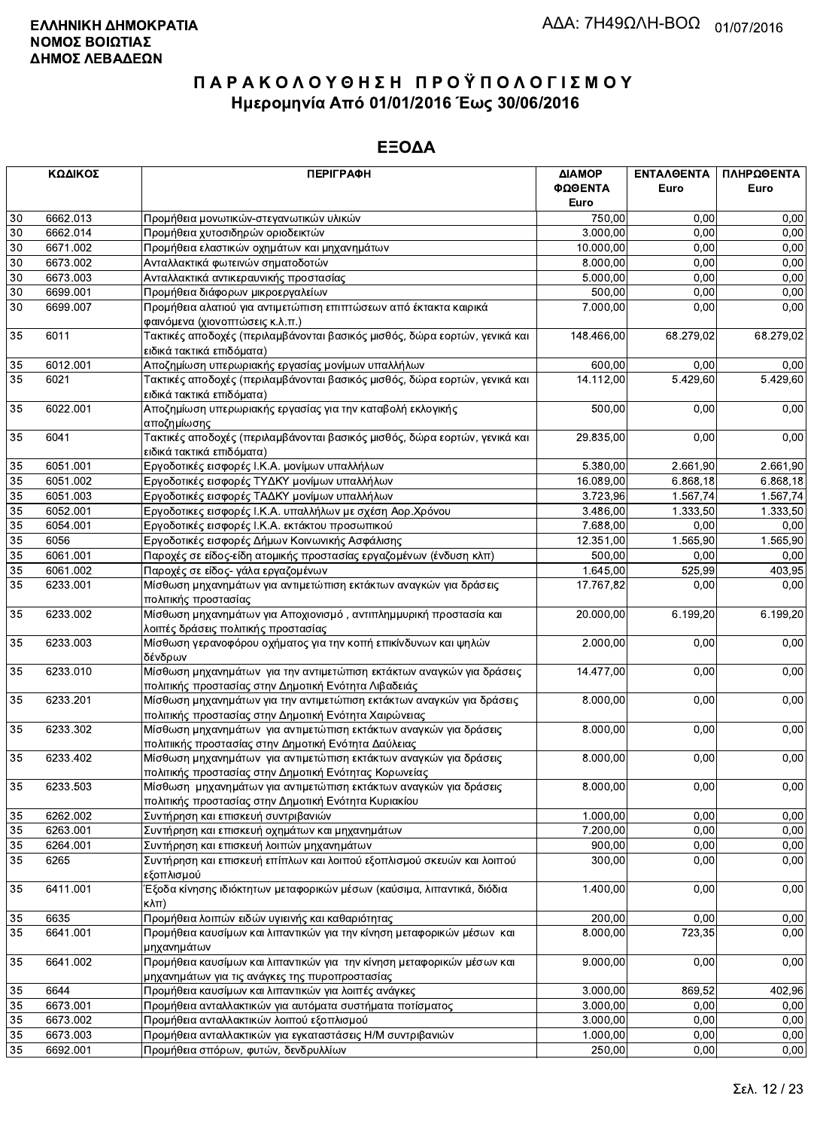|                       | ΚΩΔΙΚΟΣ              | <b>ПЕРІГРАФН</b>                                                                                                              | ΔΙΑΜΟΡ               | ΕΝΤΑΛΘΕΝΤΑ   | ΠΛΗΡΩΘΕΝΤΑ     |
|-----------------------|----------------------|-------------------------------------------------------------------------------------------------------------------------------|----------------------|--------------|----------------|
|                       |                      |                                                                                                                               | ΦΩΘΕΝΤΑ              | Euro         | Euro           |
|                       |                      |                                                                                                                               | Euro                 |              |                |
| 30                    | 6662.013             | Προμήθεια μονωτικών-στεγανωτικών υλικών                                                                                       | 750,00               | 0,00         | 0,00           |
| 30                    | 6662.014             | Προμήθεια χυτοσιδηρών οριοδεικτών                                                                                             | 3.000,00             | 0,00         | 0,00           |
| 30                    | 6671.002             | Προμήθεια ελαστικών οχημάτων και μηχανημάτων                                                                                  | 10.000,00            | 0,00         | 0,00           |
| 30                    | 6673.002             | Ανταλλακτικά φωτεινών σηματοδοτών                                                                                             | 8.000,00             | 0,00         | 0,00           |
| $30\,$                | 6673.003             | Ανταλλακτικά αντικεραυνικής προστασίας                                                                                        | 5.000,00             | 0,00         | 0,00           |
| 30                    | 6699.001             | Προμήθεια διάφορων μικροεργαλείων                                                                                             | 500,00               | 0,00         | 0,00           |
| 30                    | 6699.007             | Προμήθεια αλατιού για αντιμετώπιση επιπτώσεων από έκτακτα καιρικά                                                             | 7.000,00             | 0,00         | 0,00           |
|                       |                      | φαινόμενα (χιονοπτώσεις κ.λ.π.)                                                                                               |                      |              |                |
| 35                    | 6011                 | Τακτικές αποδοχές (περιλαμβάνονται βασικός μισθός, δώρα εορτών, γενικά και<br>ειδικά τακτικά επιδόματα)                       | 148.466,00           | 68.279,02    | 68.279,02      |
| 35                    | 6012.001             | Αποζημίωση υπερωριακής εργασίας μονίμων υπαλλήλων                                                                             | 600,00               | 0,00         | 0,00           |
| 35                    | 6021                 | Τακτικές αποδοχές (περιλαμβάνονται βασικός μισθός, δώρα εορτών, γενικά και<br>ειδικά τακτικά επιδόματα)                       | 14.112,00            | 5.429,60     | 5.429,60       |
| 35                    | 6022.001             | Αποζημίωση υπερωριακής εργασίας για την καταβολή εκλογικής<br>αποζημίωσης                                                     | 500,00               | 0,00         | 0,00           |
| 35                    | 6041                 | Τακτικές αποδοχές (περιλαμβάνονται βασικός μισθός, δώρα εορτών, γενικά και                                                    | 29.835,00            | 0,00         | 0,00           |
|                       |                      | ειδικά τακτικά επιδόματα)                                                                                                     |                      |              |                |
| 35                    | 6051.001             | Εργοδοτικές εισφορές Ι.Κ.Α. μονίμων υπαλλήλων                                                                                 | 5.380,00             | 2.661,90     | 2.661,90       |
| 35                    | 6051.002             | Εργοδοτικές εισφορές ΤΥΔΚΥ μονίμων υπαλλήλων                                                                                  | 16.089,00            | 6.868,18     | 6.868,18       |
| 35                    | 6051.003             | Εργοδοτικές εισφορές ΤΑΔΚΥ μονίμων υπαλλήλων                                                                                  | 3.723,96             | 1.567,74     | 1.567,74       |
| 35                    | 6052.001             | Εργοδοτικες εισφορές Ι.Κ.Α. υπαλλήλων με σχέση Αορ.Χρόνου                                                                     | 3.486,00             | 1.333,50     | 1.333,50       |
| 35                    | 6054.001             | Εργοδοτικές εισφορές Ι.Κ.Α. εκτάκτου προσωπικού                                                                               | 7.688,00             | 0,00         | 0,00           |
| 35                    | 6056                 | Εργοδοτικές εισφορές Δήμων Κοινωνικής Ασφάλισης                                                                               | 12.351,00            | 1.565,90     | 1.565,90       |
| 35                    | 6061.001             | Παροχές σε είδος-είδη ατομικής προστασίας εργαζομένων (ένδυση κλπ)                                                            | 500,00               | 0,00         | 0,00           |
| 35<br>$\overline{35}$ | 6061.002             | Παροχές σε είδος- γάλα εργαζομένων                                                                                            | 1.645,00             | 525,99       | 403,95         |
|                       | 6233.001             | Μίσθωση μηχανημάτων για αντιμετώπιση εκτάκτων αναγκών για δράσεις<br>πολιτικής προστασίας                                     | 17.767,82            | 0,00         | 0,00           |
| 35                    | 6233.002             | Μίσθωση μηχανημάτων για Αποχιονισμό, αντιπλημμυρική προστασία και<br>λοιπές δράσεις πολιτικής προστασίας                      | 20.000,00            | 6.199,20     | 6.199,20       |
| 35                    | 6233.003             | Μίσθωση γερανοφόρου οχήματος για την κοπή επικίνδυνων και ψηλών<br>δένδρων                                                    | 2.000,00             | 0,00         | 0,00           |
| 35                    | 6233.010             | Μίσθωση μηχανημάτων για την αντιμετώπιση εκτάκτων αναγκών για δράσεις                                                         | 14.477,00            | 0,00         | 0,00           |
| 35                    | 6233.201             | πολιτικής προστασίας στην Δημοτική Ενότητα Λιβαδειάς<br>Μίσθωση μηχανημάτων για την αντιμετώπιση εκτάκτων αναγκών για δράσεις | 8.000,00             | 0,00         | 0,00           |
|                       |                      | πολιτικής προστασίας στην Δημοτική Ενότητα Χαιρώνειας                                                                         |                      |              |                |
| 35                    | 6233.302             | Μίσθωση μηχανημάτων για αντιμετώπιση εκτάκτων αναγκών για δράσεις<br>πολιτιικής προστασίας στην Δημοτική Ενότητα Δαύλειας     | 8.000,00             | 0,00         | 0,00           |
| 35                    | 6233.402             | Μίσθωση μηχανημάτων για αντιμετώπιση εκτάκτων αναγκών για δράσεις<br>πολιτικής προστασίας στην Δημοτική Ενότητας Κορωνείας    | 8.000,00             | 0,00         | 0,00           |
| 35                    | 6233.503             | Μίσθωση μηχανημάτων για αντιμετώπιση εκτάκτων αναγκών για δράσεις                                                             | 8.000,00             | 0,00         | 0,00           |
| 35                    | 6262.002             | πολιτικής προστασίας στην Δημοτική Ενότητα Κυριακίου<br>Συντήρηση και επισκευή συντριβανιών                                   | 1.000,00             | 0,00         | 0,00           |
|                       |                      |                                                                                                                               |                      |              |                |
| 35                    | 6263.001             | Συντήρηση και επισκευή οχημάτων και μηχανημάτων                                                                               | 7.200,00             | 0,00         | 0,00           |
| 35<br>35              | 6264.001             | Συντήρηση και επισκευή λοιπών μηχανημάτων<br>Συντήρηση και επισκευή επίπλων και λοιπού εξοπλισμού σκευών και λοιπού           | 900,00               | 0,00         | 0,00           |
|                       | 6265                 | εξοπλισμού                                                                                                                    | 300,00               | 0,00         | 0,00           |
| 35                    | 6411.001             | Έξοδα κίνησης ιδιόκτητων μεταφορικών μέσων (καύσιμα, λιπαντικά, διόδια<br>$K\lambda\pi$ )                                     | 1.400,00             | 0,00         | 0,00           |
| 35                    | 6635                 | Προμήθεια λοιπών ειδών υγιεινής και καθαριότητας                                                                              | 200,00               | 0,00         | 0,00           |
| 35                    | 6641.001             | Προμήθεια καυσίμων και λιπαντικών για την κίνηση μεταφορικών μέσων και<br>μηχανημάτων                                         | 8.000,00             | 723,35       | 0,00           |
| 35                    | 6641.002             | Προμήθεια καυσίμων και λιπαντικών για την κίνηση μεταφορικών μέσων και                                                        | 9.000,00             | 0.00         | 0,00           |
|                       |                      | μηχανημάτων για τις ανάγκες της πυροπροστασίας<br>Προμήθεια καυσίμων και λιπαντικών για λοιπές ανάγκες                        |                      |              |                |
| 35<br>35              | 6644                 |                                                                                                                               | 3.000,00<br>3.000,00 | 869,52       | 402,96<br>0,00 |
| 35                    | 6673.001<br>6673.002 | Προμήθεια ανταλλακτικών για αυτόματα συστήματα ποτίσματος<br>Προμήθεια ανταλλακτικών λοιπού εξοπλισμού                        | 3.000,00             | 0,00<br>0,00 | 0,00           |
| 35                    | 6673.003             | Προμήθεια ανταλλακτικών για εγκαταστάσεις Η/Μ συντριβανιών                                                                    | 1.000,00             | 0,00         | 0,00           |
| 35                    | 6692.001             | Προμήθεια σπόρων, φυτών, δενδρυλλίων                                                                                          | 250,00               | 0,00         | 0,00           |
|                       |                      |                                                                                                                               |                      |              |                |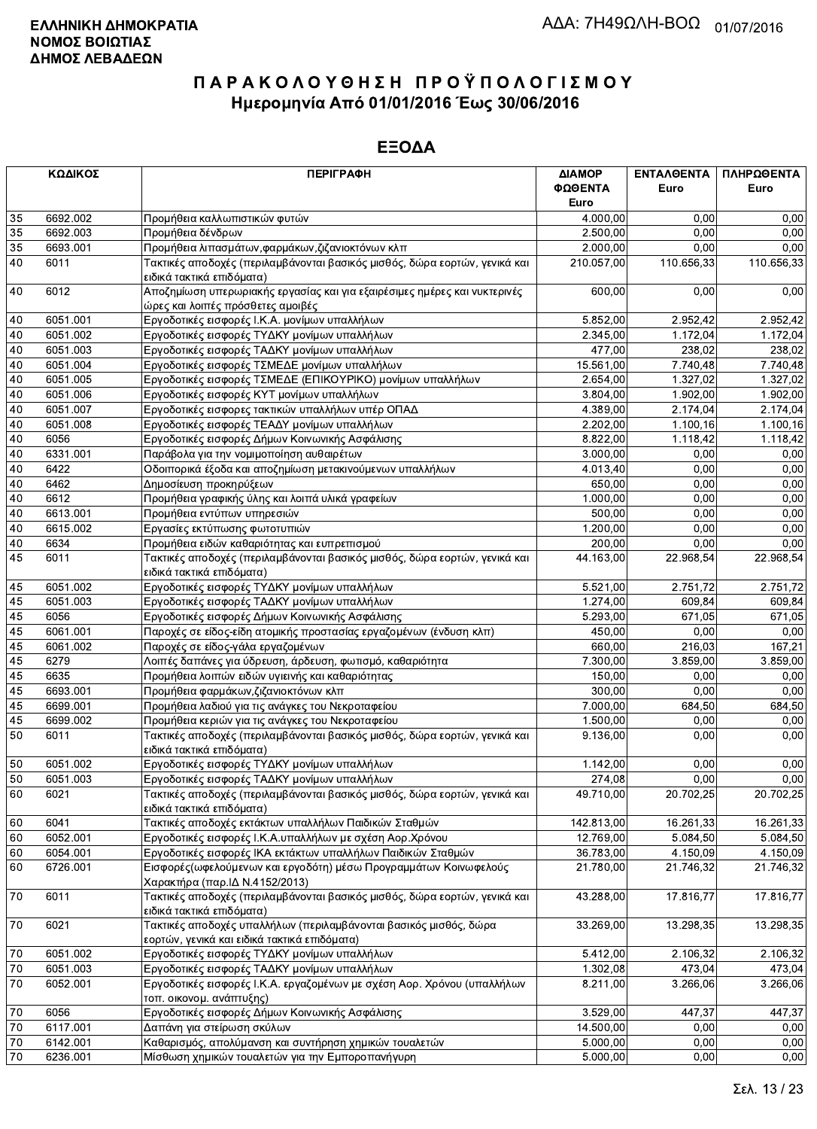|                       | ΚΩΔΙΚΟΣ              | <b>ПЕРІГРАФН</b>                                                                                                  | ΔΙΑΜΟΡ<br>ΦΩΘΕΝΤΑ | <b>ENTAAGENTA</b><br>Euro | ΠΛΗΡΩΘΕΝΤΑ<br>Euro |
|-----------------------|----------------------|-------------------------------------------------------------------------------------------------------------------|-------------------|---------------------------|--------------------|
|                       |                      |                                                                                                                   | Euro              |                           |                    |
| 35                    | 6692.002             | Προμήθεια καλλωπιστικών φυτών                                                                                     | 4.000,00          | 0,00<br>0.00              | 0,00               |
| 35<br>$\overline{35}$ | 6692.003<br>6693.001 | Προμήθεια δένδρων                                                                                                 | 2.500,00          | 0,00                      | 0,00<br>0,00       |
|                       |                      | Προμήθεια λιπασμάτων, φαρμάκων, ζιζανιοκτόνων κλπ                                                                 | 2.000,00          |                           |                    |
| 40                    | 6011                 | Τακτικές αποδοχές (περιλαμβάνονται βασικός μισθός, δώρα εορτών, γενικά και<br>ειδικά τακτικά επιδόματα)           | 210.057,00        | 110.656,33                | 110.656,33         |
| 40                    | 6012                 | Αποζημίωση υπερωριακής εργασίας και για εξαιρέσιμες ημέρες και νυκτερινές<br>ώρες και λοιπές πρόσθετες αμοιβές    | 600,00            | 0,00                      | 0,00               |
| 40                    | 6051.001             | Εργοδοτικές εισφορές Ι.Κ.Α. μονίμων υπαλλήλων                                                                     | 5.852,00          | 2.952,42                  | 2.952,42           |
| 40                    | 6051.002             | Εργοδοτικές εισφορές ΤΥΔΚΥ μονίμων υπαλλήλων                                                                      | 2.345,00          | 1.172,04                  | 1.172,04           |
| 40                    | 6051.003             | Εργοδοτικές εισφορές ΤΑΔΚΥ μονίμων υπαλλήλων                                                                      | 477,00            | 238.02                    | 238,02             |
| 40                    | 6051.004             | Εργοδοτικές εισφορές ΤΣΜΕΔΕ μονίμων υπαλλήλων                                                                     | 15.561,00         | 7.740,48                  | 7.740,48           |
| 40                    | 6051.005             | Εργοδοτικές εισφορές ΤΣΜΕΔΕ (ΕΠΙΚΟΥΡΙΚΟ) μονίμων υπαλλήλων                                                        | 2.654,00          | 1.327,02                  | 1.327,02           |
| 40                    | 6051.006             | Εργοδοτικές εισφορές ΚΥΤ μονίμων υπαλλήλων                                                                        | 3.804,00          | 1.902,00                  | 1.902,00           |
| 40                    | 6051.007             | Εργοδοτικές εισφορες τακτικών υπαλλήλων υπέρ ΟΠΑΔ                                                                 | 4.389,00          | 2.174,04                  | 2.174,04           |
| 40                    | 6051.008             | Εργοδοτικές εισφορές ΤΕΑΔΥ μονίμων υπαλλήλων                                                                      | 2.202,00          | 1.100, 16                 | 1.100,16           |
| 40                    | 6056                 | Εργοδοτικές εισφορές Δήμων Κοινωνικής Ασφάλισης                                                                   | 8.822,00          | 1.118,42                  | 1.118,42           |
| 40                    | 6331.001             | Παράβολα για την νομιμοποίηση αυθαιρέτων                                                                          | 3.000,00          | 0,00                      | 0,00               |
| 40                    | 6422                 | Οδοιπορικά έξοδα και αποζημίωση μετακινούμενων υπαλλήλων                                                          | 4.013,40          | 0,00                      | 0,00               |
| 40                    | 6462                 | Δημοσίευση προκηρύξεων                                                                                            | 650,00            | 0.00                      | 0,00               |
| 40                    | 6612                 | Προμήθεια γραφικής ύλης και λοιπά υλικά γραφείων                                                                  | 1.000,00          | 0,00                      | 0,00               |
| 40                    | 6613.001             | Προμήθεια εντύπων υπηρεσιών                                                                                       | 500,00            | 0,00                      | 0,00               |
| 40                    | 6615.002             | Εργασίες εκτύπωσης φωτοτυπιών                                                                                     | 1.200,00          | 0,00                      | 0,00               |
| 40                    | 6634                 | Προμήθεια ειδών καθαριότητας και ευπρεπισμού                                                                      | 200,00            | 0,00                      | 0,00               |
| 45                    | 6011                 | Τακτικές αποδοχές (περιλαμβάνονται βασικός μισθός, δώρα εορτών, γενικά και<br>ειδικά τακτικά επιδόματα)           | 44.163,00         | 22.968,54                 | 22.968,54          |
| 45                    | 6051.002             | Εργοδοτικές εισφορές ΤΥΔΚΥ μονίμων υπαλλήλων                                                                      | 5.521,00          | 2.751,72                  | 2.751,72           |
| 45                    | 6051.003             | Εργοδοτικές εισφορές ΤΑΔΚΥ μονίμων υπαλλήλων                                                                      | 1.274,00          | 609,84                    | 609,84             |
| 45                    | 6056                 | Εργοδοτικές εισφορές Δήμων Κοινωνικής Ασφάλισης                                                                   | 5.293,00          | 671,05                    | 671,05             |
| 45                    | 6061.001             | Παροχές σε είδος-είδη ατομικής προστασίας εργαζομένων (ένδυση κλπ)                                                | 450,00            | 0,00                      | 0,00               |
| 45                    | 6061.002             | Παροχές σε είδος-γάλα εργαζομένων                                                                                 | 660,00            | 216,03                    | 167,21             |
| 45                    | 6279                 | Λοιπές δαπάνες για ύδρευση, άρδευση, φωτισμό, καθαριότητα                                                         | 7.300,00          | 3.859,00                  | 3.859,00           |
| 45                    | 6635                 | Προμήθεια λοιπών ειδών υγιεινής και καθαριότητας                                                                  | 150,00            | 0,00                      | 0,00               |
| 45                    | 6693.001             | Προμήθεια φαρμάκων, ζιζανιοκτόνων κλπ                                                                             | 300,00            | 0,00                      | 0,00               |
| 45                    | 6699.001             | Προμήθεια λαδιού για τις ανάγκες του Νεκροταφείου                                                                 | 7.000,00          | 684,50                    | 684,50             |
| 45                    | 6699.002             | Προμήθεια κεριών για τις ανάγκες του Νεκροταφείου                                                                 | 1.500,00          | 0,00                      | 0,00               |
| 50                    | 6011                 | Τακτικές αποδοχές (περιλαμβάνονται βασικός μισθός, δώρα εορτών, γενικά και<br>ειδικά τακτικά επιδόματα)           | 9.136,00          | 0,00                      | 0,00               |
| 50                    | 6051.002             | Εργοδοτικές εισφορές ΤΥΔΚΥ μονίμων υπαλλήλων                                                                      | 1.142,00          | 0,00                      | 0,00               |
| 50                    | 6051.003             | Εργοδοτικές εισφορές ΤΑΔΚΥ μονίμων υπαλλήλων                                                                      | 274,08            | 0,00                      | 0,00               |
| 60                    | 6021                 | Τακτικές αποδοχές (περιλαμβάνονται βασικός μισθός, δώρα εορτών, γενικά και<br>ειδικά τακτικά επιδόματα)           | 49.710,00         | 20.702,25                 | 20.702,25          |
| 60                    | 6041                 | Τακτικές αποδοχές εκτάκτων υπαλλήλων Παιδικών Σταθμών                                                             | 142.813,00        | 16.261,33                 | 16.261,33          |
| 60                    | 6052.001             | Εργοδοτικές εισφορές Ι.Κ.Α.υπαλλήλων με σχέση Αορ.Χρόνου                                                          | 12.769,00         | 5.084,50                  | 5.084,50           |
| 60                    | 6054.001             | Εργοδοτικές εισφορές ΙΚΑ εκτάκτων υπαλλήλων Παιδικών Σταθμών                                                      | 36.783,00         | 4.150,09                  | 4.150,09           |
| 60                    | 6726.001             | Εισφορές (ωφελούμενων και εργοδότη) μέσω Προγραμμάτων Κοινωφελούς                                                 | 21.780,00         | 21.746,32                 | 21.746,32          |
|                       |                      | Χαρακτήρα (παρ.ΙΔ Ν.4152/2013)                                                                                    |                   |                           |                    |
| 70                    | 6011                 | Τακτικές αποδοχές (περιλαμβάνονται βασικός μισθός, δώρα εορτών, γενικά και<br>ειδικά τακτικά επιδόματα)           | 43.288,00         | 17.816,77                 | 17.816,77          |
| 70                    | 6021                 | Τακτικές αποδοχές υπαλλήλων (περιλαμβάνονται βασικός μισθός, δώρα<br>εορτών, γενικά και ειδικά τακτικά επιδόματα) | 33.269,00         | 13.298,35                 | 13.298,35          |
| 70                    | 6051.002             | Εργοδοτικές εισφορές ΤΥΔΚΥ μονίμων υπαλλήλων                                                                      | 5.412,00          | 2.106,32                  | 2.106,32           |
| $70\,$                | 6051.003             | Εργοδοτικές εισφορές ΤΑΔΚΥ μονίμων υπαλλήλων                                                                      | 1.302,08          | 473,04                    | 473,04             |
| 70                    | 6052.001             | Εργοδοτικές εισφορές Ι.Κ.Α. εργαζομένων με σχέση Αορ. Χρόνου (υπαλλήλων<br>τοπ. οικονομ. ανάπτυξης)               | 8.211,00          | 3.266,06                  | 3.266,06           |
| 70                    | 6056                 | Εργοδοτικές εισφορές Δήμων Κοινωνικής Ασφάλισης                                                                   | 3.529,00          | 447,37                    | 447,37             |
| 70                    | 6117.001             | Δαπάνη για στείρωση σκύλων                                                                                        | 14.500,00         | 0,00                      | 0,00               |
| $70\,$                | 6142.001             | Καθαρισμός, απολύμανση και συντήρηση χημικών τουαλετών                                                            | 5.000,00          | 0,00                      | 0,00               |
| 70                    | 6236.001             | Μίσθωση χημικών τουαλετών για την Εμποροπανήγυρη                                                                  | 5.000,00          | 0,00                      | 0,00               |
|                       |                      |                                                                                                                   |                   |                           |                    |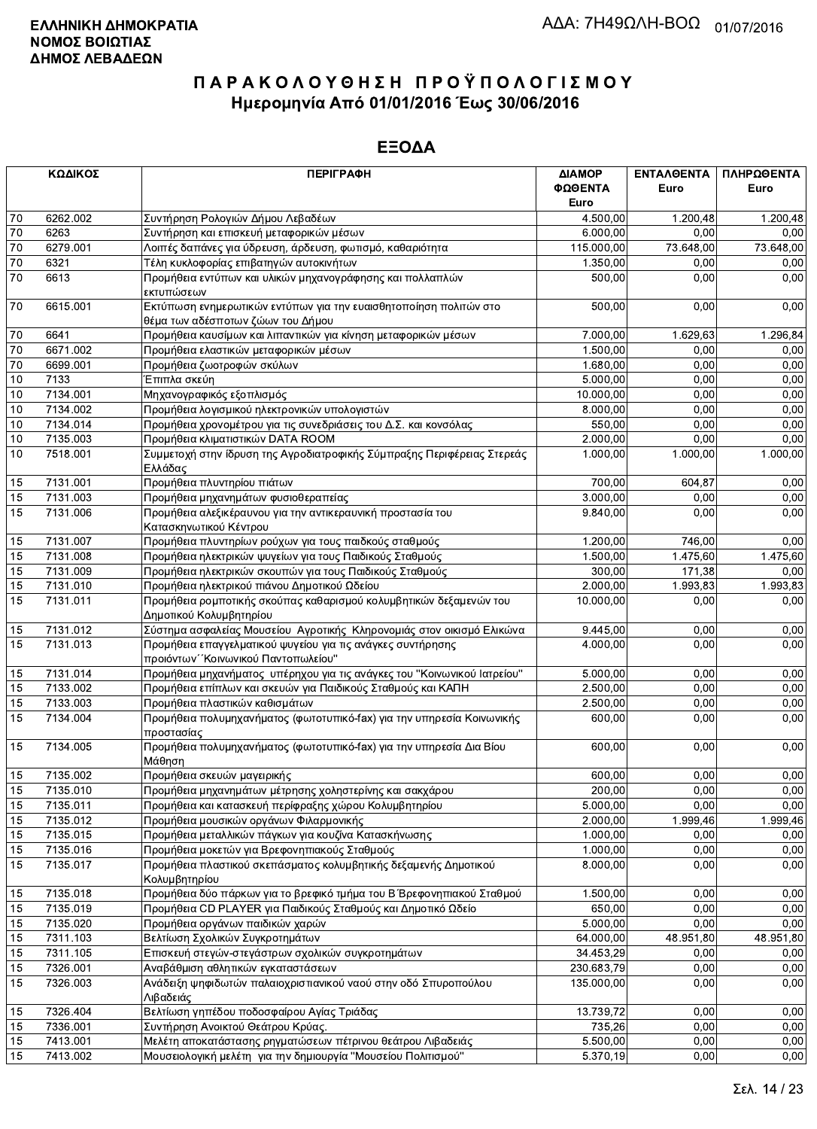|                 | ΚΩΔΙΚΟΣ  | <b>ПЕРІГРАФН</b>                                                                        | ΔΙΑΜΟΡ<br>ΦΩΘΕΝΤΑ<br>Euro | ΕΝΤΑΛΘΕΝΤΑ<br>Euro | ΠΛΗΡΩΘΕΝΤΑ<br>Euro |
|-----------------|----------|-----------------------------------------------------------------------------------------|---------------------------|--------------------|--------------------|
| 70              | 6262.002 | Συντήρηση Ρολογιών Δήμου Λεβαδέων                                                       | 4.500,00                  | 1.200,48           | 1.200,48           |
| $70\,$          | 6263     | Συντήρηση και επισκευή μεταφορικών μέσων                                                | 6.000,00                  | 0,00               | 0,00               |
| 70              | 6279.001 | Λοιπές δαπάνες για ύδρευση, άρδευση, φωτισμό, καθαριότητα                               | 115.000,00                | 73.648,00          | 73.648,00          |
| $\overline{70}$ | 6321     | Τέλη κυκλοφορίας επιβατηγών αυτοκινήτων                                                 | 1.350,00                  | 0,00               | 0,00               |
| 70              | 6613     | Προμήθεια εντύπων και υλικών μηχανογράφησης και πολλαπλών                               | 500,00                    | 0,00               | 0,00               |
| 70              | 6615.001 | εκτυπώσεων<br>Εκτύπωση ενημερωτικών εντύπων για την ευαισθητοποίηση πολιτών στο         | 500,00                    | 0,00               | 0,00               |
|                 |          | θέμα των αδέσποτων ζώων του Δήμου                                                       |                           |                    |                    |
| 70              | 6641     | Προμήθεια καυσίμων και λιπαντικών για κίνηση μεταφορικών μέσων                          | 7.000.00                  | 1.629,63           | 1.296,84           |
| 70              | 6671.002 | Προμήθεια ελαστικών μεταφορικών μέσων                                                   | 1.500,00                  | 0,00               | 0,00               |
| $70\,$          | 6699.001 | Προμήθεια ζωοτροφών σκύλων                                                              | 1.680,00                  | 0,00               | 0,00               |
| 10              | 7133     | Έπιπλα σκεύη                                                                            | 5.000,00                  | 0,00               | 0,00               |
| $\overline{10}$ | 7134.001 | Μηχανογραφικός εξοπλισμός                                                               | 10.000,00                 | 0.00               | 0,00               |
| 10              | 7134.002 | Προμήθεια λογισμικού ηλεκτρονικών υπολογιστών                                           | 8.000,00                  | 0,00               | 0,00               |
| 10              | 7134.014 | Προμήθεια χρονομέτρου για τις συνεδριάσεις του Δ.Σ. και κονσόλας                        | 550,00                    | 0,00               | 0,00               |
| 10              | 7135.003 | Προμήθεια κλιματιστικών DATA ROOM                                                       | 2.000.00                  | 0,00               | 0,00               |
| 10              | 7518.001 | Συμμετοχή στην ίδρυση της Αγροδιατροφικής Σύμπραξης Περιφέρειας Στερεάς<br>Ελλάδας      | 1.000,00                  | 1.000,00           | 1.000,00           |
| 15              | 7131.001 | Προμήθεια πλυντηρίου πιάτων                                                             | 700,00                    | 604,87             | 0,00               |
| 15              | 7131.003 | Προμήθεια μηχανημάτων φυσιοθεραπείας                                                    | 3.000,00                  | 0.00               | 0,00               |
| 15              | 7131.006 | Προμήθεια αλεξικέραυνου για την αντικεραυνική προστασία του                             | 9.840,00                  | 0,00               | 0,00               |
| 15              | 7131.007 | Κατασκηνωτικού Κέντρου<br>Προμήθεια πλυντηρίων ρούχων για τους παιδκούς σταθμούς        | 1.200,00                  | 746,00             | 0,00               |
| 15              | 7131.008 | Προμήθεια ηλεκτρικών ψυγείων για τους Παιδικούς Σταθμούς                                | 1.500,00                  | 1.475,60           | 1.475,60           |
| 15              | 7131.009 | Προμήθεια ηλεκτρικών σκουπών για τους Παιδικούς Σταθμούς                                | 300,00                    | 171,38             | 0,00               |
| 15              | 7131.010 | Προμήθεια ηλεκτρικού πιάνου Δημοτικού Ωδείου                                            | 2.000,00                  | 1.993,83           | 1.993,83           |
| 15              | 7131.011 | Προμήθεια ρομποτικής σκούπας καθαρισμού κολυμβητικών δεξαμενών του                      | 10.000,00                 | 0,00               | 0,00               |
|                 |          | Δημοτικού Κολυμβητηρίου                                                                 |                           |                    |                    |
| 15              | 7131.012 | Σύστημα ασφαλείας Μουσείου Αγροτικής Κληρονομιάς στον οικισμό Ελικώνα                   | 9.445,00                  | 0,00               | 0,00               |
| 15              | 7131.013 | Προμήθεια επαγγελματικού ψυγείου για τις ανάγκες συντήρησης                             | 4.000,00                  | 0,00               | 0,00               |
|                 |          | προιόντων "Κοινωνικού Παντοπωλείου"                                                     |                           |                    |                    |
| 15              | 7131.014 | Προμήθεια μηχανήματος υπέρηχου για τις ανάγκες του "Κοινωνικού Ιατρείου"                | 5.000,00                  | 0,00               | 0,00               |
| 15              | 7133.002 | Προμήθεια επίπλων και σκευών για Παιδικούς Σταθμούς και ΚΑΠΗ                            | 2.500,00                  | 0,00               | 0,00               |
| 15              | 7133.003 | Προμήθεια πλαστικών καθισμάτων                                                          | 2.500,00                  | 0,00               | 0,00               |
| 15              | 7134.004 | Προμήθεια πολυμηχανήματος (φωτοτυπικό-fax) για την υπηρεσία Κοινωνικής<br>προστασίας    | 600,00                    | 0,00               | 0,00               |
| 15              | 7134.005 | Προμήθεια πολυμηχανήματος (φωτοτυπικό-fax) για την υπηρεσία Δια Βίου<br>Μάθηση          | 600,00                    | 0,00               | 0,00               |
| 15              | 7135.002 | Προμήθεια σκευών μαγειρικής                                                             | 600,00                    | 0,00               | 0,00               |
| 15              | 7135.010 | Προμήθεια μηχανημάτων μέτρησης χοληστερίνης και σακχάρου                                | 200.00                    | 0,00               | 0,00               |
| 15              | 7135.011 | Προμήθεια και κατασκευή περίφραξης χώρου Κολυμβητηρίου                                  | 5.000,00                  | 0,00               | 0,00               |
| 15              | 7135.012 | Προμήθεια μουσικών οργάνων Φιλαρμονικής                                                 | 2.000,00                  | 1.999,46           | 1.999,46           |
| 15              | 7135.015 | Προμήθεια μεταλλικών πάγκων για κουζίνα Κατασκήνωσης                                    | 1.000,00                  | 0,00               | 0,00               |
| 15              | 7135.016 | Προμήθεια μοκετών για Βρεφονηπιακούς Σταθμούς                                           | 1.000,00                  | 0,00               | 0,00               |
| 15              | 7135.017 | Προμήθεια πλαστικού σκεπάσματος κολυμβητικής δεξαμενής Δημοτικού                        | 8.000,00                  | 0,00               | 0,00               |
| 15              | 7135.018 | Κολυμβητηρίου<br>Προμήθεια δύο πάρκων για το βρεφικό τμήμα του Β΄ Βρεφονηπιακού Σταθμού | 1.500,00                  | 0,00               | 0,00               |
| 15              | 7135.019 | Προμήθεια CD PLAYER για Παιδικούς Σταθμούς και Δημοτικό Ωδείο                           | 650,00                    | 0,00               | 0,00               |
| 15              | 7135.020 | Προμήθεια οργάνων παιδικών χαρών                                                        | 5.000,00                  | 0,00               | 0,00               |
| 15              | 7311.103 | Βελτίωση Σχολικών Συγκροτημάτων                                                         | 64.000,00                 | 48.951,80          | 48.951,80          |
| 15              | 7311.105 | Επισκευή στεγών-στεγάστρων σχολικών συγκροτημάτων                                       | 34.453,29                 | 0,00               | 0,00               |
| 15              | 7326.001 | Αναβάθμιση αθλητικών εγκαταστάσεων                                                      | 230.683,79                | 0,00               | 0,00               |
| 15              | 7326.003 | Ανάδειξη ψηφιδωτών παλαιοχριστιανικού ναού στην οδό Σπυροπούλου                         | 135.000,00                | 0,00               | 0,00               |
|                 |          | Λιβαδειάς                                                                               |                           |                    |                    |
| 15              | 7326.404 | Βελτίωση γηπέδου ποδοσφαίρου Αγίας Τριάδας                                              | 13.739,72                 | 0,00               | 0,00               |
| 15              | 7336.001 | Συντήρηση Ανοικτού Θεάτρου Κρύας.                                                       | 735,26                    | 0,00               | 0,00               |
| 15              | 7413.001 | Μελέτη αποκατάστασης ρηγματώσεων πέτρινου θεάτρου Λιβαδειάς                             | 5.500,00                  | 0,00               | 0,00               |
| 15              | 7413.002 | Μουσειολογική μελέτη για την δημιουργία "Μουσείου Πολιτισμού"                           | 5.370,19                  | 0,00               | 0,00               |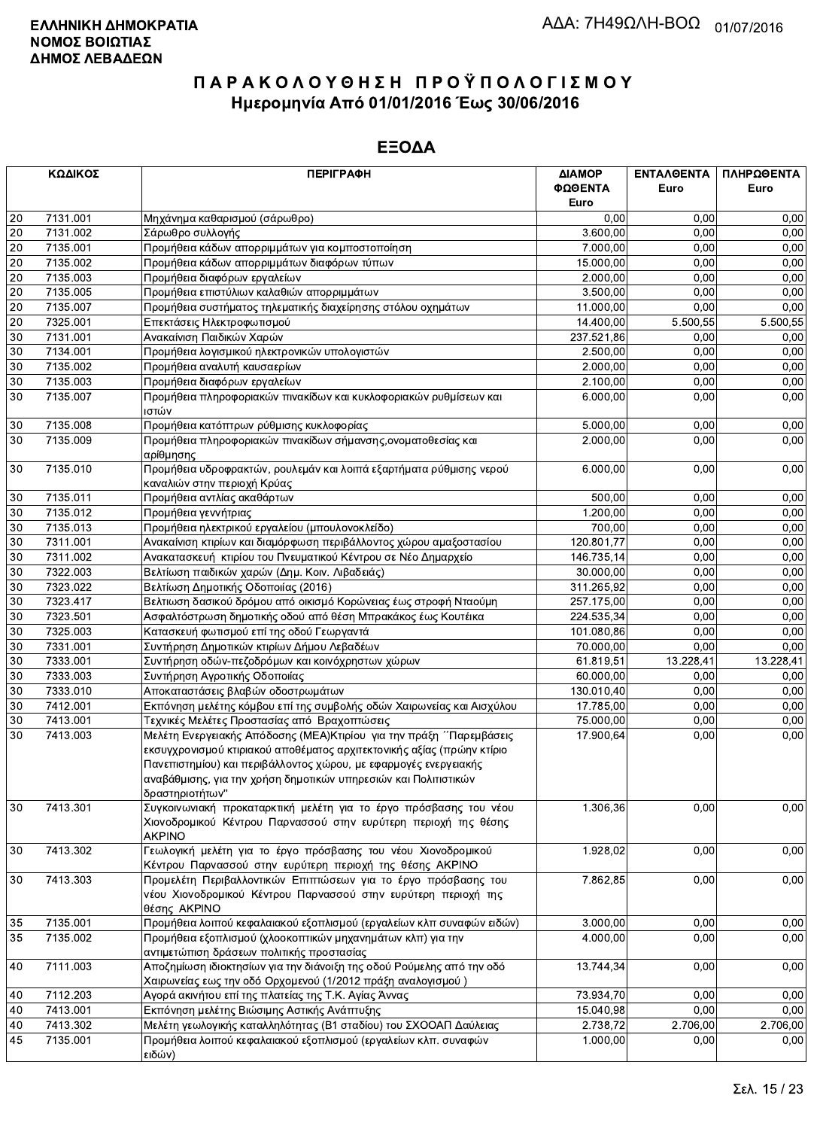|    | ΚΩΔΙΚΟΣ  | <b>ПЕРІГРАФН</b>                                                                                                                                                                                                                                                                                          | ΔΙΑΜΟΡ<br>ΦΩΘΕΝΤΑ<br>Euro | ΕΝΤΑΛΘΕΝΤΑ<br>Euro | ΠΛΗΡΩΘΕΝΤΑ<br>Euro |
|----|----------|-----------------------------------------------------------------------------------------------------------------------------------------------------------------------------------------------------------------------------------------------------------------------------------------------------------|---------------------------|--------------------|--------------------|
| 20 | 7131.001 | Μηχάνημα καθαρισμού (σάρωθρο)                                                                                                                                                                                                                                                                             | 0.00                      | 0,00               | 0,00               |
| 20 | 7131.002 | Σάρωθρο συλλογής                                                                                                                                                                                                                                                                                          | 3.600,00                  | 0,00               | 0,00               |
| 20 | 7135.001 | Προμήθεια κάδων απορριμμάτων για κομποστοποίηση                                                                                                                                                                                                                                                           | 7.000,00                  | 0,00               | 0,00               |
| 20 | 7135.002 | Προμήθεια κάδων απορριμμάτων διαφόρων τύπων                                                                                                                                                                                                                                                               | 15.000,00                 | 0,00               | 0,00               |
| 20 | 7135.003 | Προμήθεια διαφόρων εργαλείων                                                                                                                                                                                                                                                                              | 2.000,00                  | 0,00               | 0,00               |
| 20 | 7135.005 | Προμήθεια επιστύλιων καλαθιών απορριμμάτων                                                                                                                                                                                                                                                                | 3.500,00                  | 0,00               | 0,00               |
| 20 | 7135.007 | Προμήθεια συστήματος τηλεματικής διαχείρησης στόλου οχημάτων                                                                                                                                                                                                                                              | 11.000.00                 | 0,00               | 0,00               |
| 20 | 7325.001 | Επεκτάσεις Ηλεκτροφωτισμού                                                                                                                                                                                                                                                                                | 14.400,00                 | 5.500,55           | 5.500,55           |
| 30 | 7131.001 | Ανακαίνιση Παιδικών Χαρών                                                                                                                                                                                                                                                                                 | 237.521,86                | 0.00               | 0,00               |
| 30 | 7134.001 | Προμήθεια λογισμικού ηλεκτρονικών υπολογιστών                                                                                                                                                                                                                                                             | 2.500,00                  | 0,00               | 0,00               |
| 30 | 7135.002 | Προμήθεια αναλυτή καυσαερίων                                                                                                                                                                                                                                                                              | 2.000,00                  | 0,00               | 0,00               |
| 30 | 7135.003 | Προμήθεια διαφόρων εργαλείων                                                                                                                                                                                                                                                                              | 2.100,00                  | 0,00               | 0,00               |
| 30 | 7135.007 | Προμήθεια πληροφοριακών πινακίδων και κυκλοφοριακών ρυθμίσεων και<br>ιστών                                                                                                                                                                                                                                | 6.000,00                  | 0,00               | 0,00               |
| 30 | 7135.008 | Προμήθεια κατόπτρων ρύθμισης κυκλοφορίας                                                                                                                                                                                                                                                                  | 5.000,00                  | 0,00               | 0,00               |
| 30 | 7135.009 | Προμήθεια πληροφοριακών πινακίδων σήμανσης, ονοματοθεσίας και<br>αρίθμησης                                                                                                                                                                                                                                | 2.000,00                  | 0,00               | 0,00               |
| 30 | 7135.010 | Προμήθεια υδροφρακτών, ρουλεμάν και λοιπά εξαρτήματα ρύθμισης νερού<br>καναλιών στην περιοχή Κρύας                                                                                                                                                                                                        | 6.000,00                  | 0,00               | 0,00               |
| 30 | 7135.011 | Προμήθεια αντλίας ακαθάρτων                                                                                                                                                                                                                                                                               | 500,00                    | 0,00               | 0,00               |
| 30 | 7135.012 | Προμήθεια γεννήτριας                                                                                                                                                                                                                                                                                      | 1.200,00                  | 0,00               | 0,00               |
| 30 | 7135.013 | Προμήθεια ηλεκτρικού εργαλείου (μπουλονοκλείδο)                                                                                                                                                                                                                                                           | 700,00                    | 0,00               | 0,00               |
| 30 | 7311.001 | Ανακαίνιση κτιρίων και διαμόρφωση περιβάλλοντος χώρου αμαξοστασίου                                                                                                                                                                                                                                        | 120.801,77                | 0,00               | 0,00               |
| 30 | 7311.002 | Ανακατασκευή κτιρίου του Πνευματικού Κέντρου σε Νέο Δημαρχείο                                                                                                                                                                                                                                             | 146.735,14                | 0,00               | 0,00               |
| 30 | 7322.003 | Βελτίωση παιδικών χαρών (Δημ. Κοιν. Λιβαδειάς)                                                                                                                                                                                                                                                            | 30.000,00                 | 0,00               | 0,00               |
| 30 | 7323.022 | Βελτίωση Δημοτικής Οδοποιίας (2016)                                                                                                                                                                                                                                                                       | 311.265,92                | 0,00               | 0,00               |
| 30 | 7323.417 | Βελτιωση δασικού δρόμου από οικισμό Κορώνειας έως στροφή Νταούμη                                                                                                                                                                                                                                          | 257.175,00                | 0,00               | 0,00               |
| 30 | 7323.501 | Ασφαλτόστρωση δημοτικής οδού από θέση Μπρακάκος έως Κουτέικα                                                                                                                                                                                                                                              | 224.535,34                | 0.00               | 0,00               |
| 30 | 7325.003 | Κατασκευή φωτισμού επί της οδού Γεωργαντά                                                                                                                                                                                                                                                                 | 101.080,86                | 0,00               | 0,00               |
| 30 | 7331.001 | Συντήρηση Δημοτικών κτιρίων Δήμου Λεβαδέων                                                                                                                                                                                                                                                                | 70.000,00                 | 0,00               | 0,00               |
| 30 | 7333.001 | Συντήρηση οδών-πεζοδρόμων και κοινόχρηστων χώρων                                                                                                                                                                                                                                                          | 61.819,51                 | 13.228,41          | 13.228,41          |
| 30 | 7333.003 | Συντήρηση Αγροτικής Οδοποιίας                                                                                                                                                                                                                                                                             | 60.000,00                 | 0,00               | 0,00               |
| 30 | 7333.010 | Αποκαταστάσεις βλαβών οδοστρωμάτων                                                                                                                                                                                                                                                                        | 130.010,40                | 0,00               | 0,00               |
| 30 | 7412.001 | Εκπόνηση μελέτης κόμβου επί της συμβολής οδών Χαιρωνείας και Αισχύλου                                                                                                                                                                                                                                     | 17.785,00                 | 0,00               | 0,00               |
| 30 | 7413.001 | Τεχνικές Μελέτες Προστασίας από Βραχοπτώσεις                                                                                                                                                                                                                                                              | 75.000,00                 | 0,00               | 0,00               |
| 30 | 7413.003 | Μελέτη Ενεργειακής Απόδοσης (ΜΕΑ) Κτιρίου για την πράξη ΄ Παρεμβάσεις<br>εκσυγχρονισμού κτιριακού αποθέματος αρχιτεκτονικής αξίας (πρώην κτίριο<br>Πανεπιστημίου) και περιβάλλοντος χώρου, με εφαρμογές ενεργειακής<br>αναβάθμισης, για την χρήση δημοτικών υπηρεσιών και Πολιτιστικών<br>δραστηριοτήτων" | 17.900,64                 | 0,00               | 0,00               |
| 30 | 7413.301 | Συγκοινωνιακή προκαταρκτική μελέτη για το έργο πρόσβασης του νέου<br>Χιονοδρομικού Κέντρου Παρνασσού στην ευρύτερη περιοχή της θέσης<br><b>AKPINO</b>                                                                                                                                                     | 1.306,36                  | 0,00               | 0,00               |
| 30 | 7413.302 | Γεωλογική μελέτη για το έργο πρόσβασης του νέου Χιονοδρομικού<br>Κέντρου Παρνασσού στην ευρύτερη περιοχή της θέσης ΑΚΡΙΝΟ                                                                                                                                                                                 | 1.928,02                  | 0,00               | 0,00               |
| 30 | 7413.303 | Προμελέτη Περιβαλλοντικών Επιπτώσεων για το έργο πρόσβασης του<br>νέου Χιονοδρομικού Κέντρου Παρνασσού στην ευρύτερη περιοχή της<br>θέσης AKPINO                                                                                                                                                          | 7.862,85                  | 0,00               | 0,00               |
| 35 | 7135.001 | Προμήθεια λοιπού κεφαλαιακού εξοπλισμού (εργαλείων κλπ συναφών ειδών)                                                                                                                                                                                                                                     | 3.000,00                  | 0,00               | 0,00               |
| 35 | 7135.002 | Προμήθεια εξοπλισμού (χλοοκοπτικών μηχανημάτων κλπ) για την<br>αντιμετώπιση δράσεων πολιτικής προστασίας                                                                                                                                                                                                  | 4.000,00                  | 0,00               | 0,00               |
| 40 | 7111.003 | Αποζημίωση ιδιοκτησίων για την διάνοιξη της οδού Ρούμελης από την οδό<br>Χαιρωνείας εως την οδό Ορχομενού (1/2012 πράξη αναλογισμού)                                                                                                                                                                      | 13.744,34                 | 0,00               | 0,00               |
| 40 | 7112.203 | Αγορά ακινήτου επί της πλατείας της Τ.Κ. Αγίας Άννας                                                                                                                                                                                                                                                      | 73.934,70                 | 0,00               | 0,00               |
| 40 | 7413.001 | Εκπόνηση μελέτης Βιώσιμης Αστικής Ανάπτυξης                                                                                                                                                                                                                                                               | 15.040,98                 | 0,00               | 0,00               |
| 40 | 7413.302 | Μελέτη γεωλογικής καταλληλότητας (Β1 σταδίου) του ΣΧΟΟΑΠ Δαύλειας                                                                                                                                                                                                                                         | 2.738,72                  | 2.706,00           | 2.706,00           |
| 45 | 7135.001 | Προμήθεια λοιπού κεφαλαιακού εξοπλισμού (εργαλείων κλπ. συναφών<br>ειδών).                                                                                                                                                                                                                                | 1.000,00                  | 0,00               | 0,00               |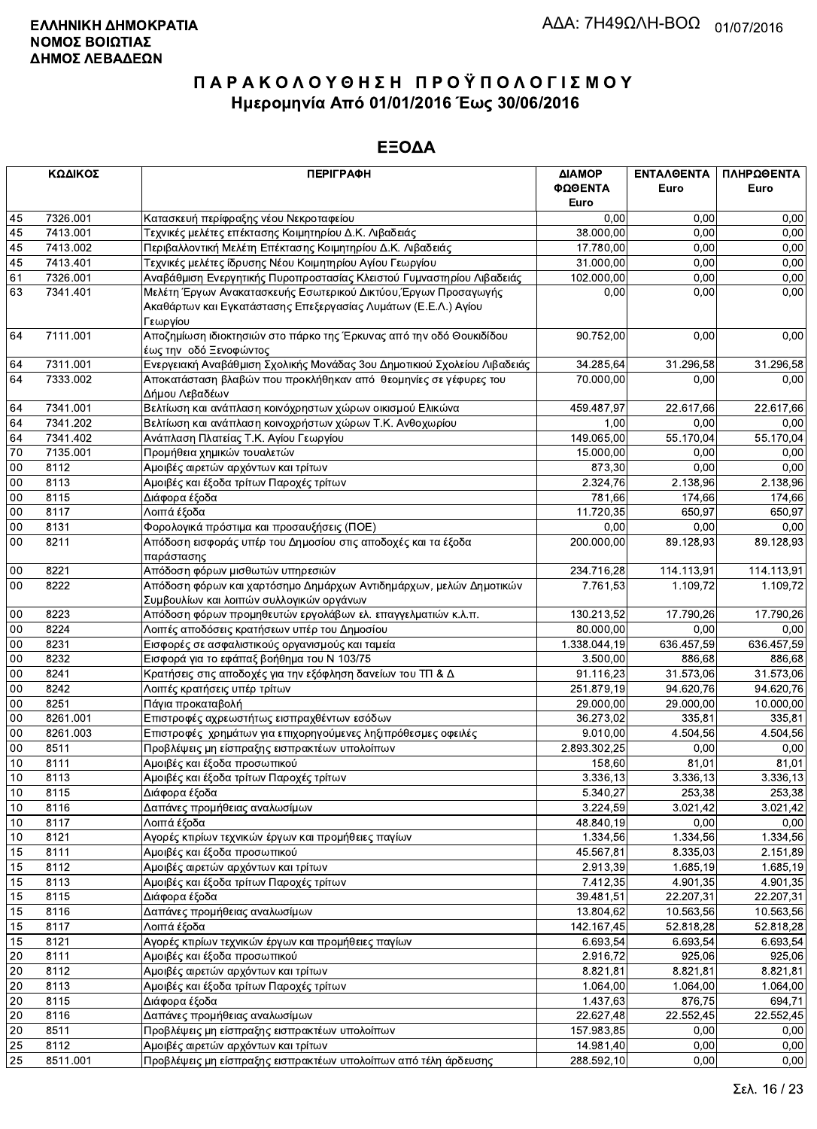|        | ΚΩΔΙΚΟΣ  | <b>ПЕРІГРАФН</b>                                                                                                                              | ΔΙΑΜΟΡ<br>ΦΩΘΕΝΤΑ         | <b>ENTAA@ENTA</b><br>Euro | ΠΛΗΡΩΘΕΝΤΑ<br>Euro    |
|--------|----------|-----------------------------------------------------------------------------------------------------------------------------------------------|---------------------------|---------------------------|-----------------------|
|        |          |                                                                                                                                               | Euro                      |                           |                       |
| 45     | 7326.001 | Κατασκευή περίφραξης νέου Νεκροταφείου                                                                                                        | 0,00                      | 0,00                      | 0,00                  |
| 45     | 7413.001 | Τεχνικές μελέτες επέκτασης Κοιμητηρίου Δ.Κ. Λιβαδειάς                                                                                         | 38.000,00                 | 0.00                      | 0,00                  |
| 45     | 7413.002 | Περιβαλλοντική Μελέτη Επέκτασης Κοιμητηρίου Δ.Κ. Λιβαδειάς                                                                                    | 17.780,00                 | 0.00                      | 0,00                  |
| 45     | 7413.401 | Τεχνικές μελέτες ίδρυσης Νέου Κοιμητηρίου Αγίου Γεωργίου                                                                                      | 31.000,00                 | 0,00                      | 0,00                  |
| 61     | 7326.001 | Αναβάθμιση Ενεργητικής Πυροπροστασίας Κλειστού Γυμναστηρίου Λιβαδειάς                                                                         | 102.000,00                | 0,00                      | 0,00                  |
| 63     | 7341.401 | Μελέτη Έργων Ανακατασκευής Εσωτερικού Δικτύου, Έργων Προσαγωγής<br>Ακαθάρτων και Εγκατάστασης Επεξεργασίας Λυμάτων (Ε.Ε.Λ.) Αγίου<br>Γεωργίου | 0,00                      | 0,00                      | 0,00                  |
| 64     | 7111.001 | Αποζημίωση ιδιοκτησιών στο πάρκο της Έρκυνας από την οδό Θουκιδίδου<br>έως την οδό Ξενοφώντος                                                 | 90.752,00                 | 0,00                      | 0,00                  |
| 64     | 7311.001 | Ενεργειακή Αναβάθμιση Σχολικής Μονάδας 3ου Δημοτικιού Σχολείου Λιβαδειάς                                                                      | 34.285,64                 | 31.296,58                 | 31.296,58             |
| 64     | 7333.002 | Αποκατάσταση βλαβών που προκλήθηκαν από θεομηνίες σε γέφυρες του                                                                              | 70.000,00                 | 0,00                      | 0,00                  |
|        |          | Δήμου Λεβαδέων                                                                                                                                |                           |                           |                       |
| 64     | 7341.001 | Βελτίωση και ανάπλαση κοινόχρηστων χώρων οικισμού Ελικώνα                                                                                     | 459.487,97                | 22.617,66                 | 22.617,66             |
| 64     | 7341.202 | Βελτίωση και ανάπλαση κοινοχρήστων χώρων Τ.Κ. Ανθοχωρίου                                                                                      | 1,00                      | 0.00                      | 0,00                  |
| 64     | 7341.402 | Ανάπλαση Πλατείας Τ.Κ. Αγίου Γεωργίου                                                                                                         | 149.065,00                | 55.170,04                 | 55.170,04             |
| 70     | 7135.001 | Προμήθεια χημικών τουαλετών                                                                                                                   | 15.000,00                 | 0,00                      | 0,00                  |
| 00     | 8112     | Αμοιβές αιρετών αρχόντων και τρίτων                                                                                                           | 873,30                    | 0,00                      | 0,00                  |
| 00     | 8113     | Αμοιβές και έξοδα τρίτων Παροχές τρίτων                                                                                                       | 2.324,76                  | 2.138,96                  | 2.138,96              |
| 00     | 8115     | Διάφορα έξοδα                                                                                                                                 | 781,66                    | 174,66                    | 174,66                |
| 00     | 8117     | Λοιπά έξοδα                                                                                                                                   | 11.720,35                 | 650,97                    | 650,97                |
| $00\,$ | 8131     | Φορολογικά πρόστιμα και προσαυξήσεις (ΠΟΕ)                                                                                                    | 0,00                      | 0,00                      | 0,00                  |
| $00\,$ | 8211     | Απόδοση εισφοράς υπέρ του Δημοσίου στις αποδοχές και τα έξοδα<br>παράστασης                                                                   | 200.000,00                | 89.128,93                 | 89.128,93             |
| $00\,$ | 8221     | Απόδοση φόρων μισθωτών υπηρεσιών                                                                                                              | 234.716,28                | 114.113,91                | 114.113,91            |
| 00     | 8222     | Απόδοση φόρων και χαρτόσημο Δημάρχων Αντιδημάρχων, μελών Δημοτικών<br>Συμβουλίων και λοιπών συλλογικών οργάνων                                | 7.761,53                  | 1.109.72                  | 1.109,72              |
| 00     | 8223     | Απόδοση φόρων προμηθευτών εργολάβων ελ. επαγγελματιών κ.λ.π.                                                                                  | 130.213,52                | 17.790,26                 | 17.790,26             |
| 00     | 8224     | Λοιπές αποδόσεις κρατήσεων υπέρ του Δημοσίου                                                                                                  | 80.000,00                 | 0,00                      | 0,00                  |
| 00     | 8231     | Εισφορές σε ασφαλιστικούς οργανισμούς και ταμεία                                                                                              | $\overline{1.338.044,19}$ | 636.457,59                | 636.457,59            |
| $00\,$ | 8232     | Εισφορά για το εφάπαξ βοήθημα του Ν 103/75                                                                                                    | 3.500,00                  | 886,68                    | 886,68                |
| $00\,$ | 8241     | Κρατήσεις στις αποδοχές για την εξόφληση δανείων του ΤΠ & Δ                                                                                   | 91.116,23                 | 31.573,06                 | 31.573,06             |
| 00     | 8242     | Λοιπές κρατήσεις υπέρ τρίτων                                                                                                                  | 251.879,19                | 94.620,76                 | 94.620,76             |
| 00     | 8251     | Πάγια προκαταβολή                                                                                                                             | 29.000,00                 | 29.000,00                 | 10.000,00             |
| 00     | 8261.001 | Επιστροφές αχρεωστήτως εισπραχθέντων εσόδων                                                                                                   | 36.273,02                 | 335,81                    | 335,81                |
| $00\,$ | 8261.003 | Επιστροφές χρημάτων για επιχορηγούμενες ληξιπρόθεσμες οφειλές                                                                                 | 9.010,00                  | 4.504,56                  | 4.504,56              |
| $00\,$ | 8511     | Προβλέψεις μη είσπραξης εισπρακτέων υπολοίπων                                                                                                 | 2.893.302,25              | 0,00                      | 0,00                  |
| 10     | 8111     | Αμοιβές και έξοδα προσωπικού                                                                                                                  | 158,60                    | 81,01                     | 81,01                 |
| $10$   | 8113     | Αμοιβές και έξοδα τρίτων Παροχές τρίτων                                                                                                       | 3.336, 13                 | 3.336,13                  | 3.336,13              |
| 10     | 8115     | Διάφορα έξοδα                                                                                                                                 | 5.340,27                  | 253,38                    | 253,38                |
| 10     | 8116     | Δαπάνες προμήθειας αναλωσίμων                                                                                                                 | 3.224,59                  | 3.021,42                  | 3.021,42              |
| 10     | 8117     | Λοιπά έξοδα                                                                                                                                   | 48.840,19                 | 0,00                      | 0,00                  |
| 10     | 8121     | Αγορές κτιρίων τεχνικών έργων και προμήθειες παγίων                                                                                           | 1.334,56                  | 1.334,56                  | 1.334,56              |
| 15     | 8111     | Αμοιβές και έξοδα προσωπικού                                                                                                                  | 45.567,81                 | 8.335,03                  | 2.151,89              |
| 15     | 8112     | Αμοιβές αιρετών αρχόντων και τρίτων                                                                                                           | 2.913,39                  | 1.685,19                  | 1.685,19              |
| 15     | 8113     | Αμοιβές και έξοδα τρίτων Παροχές τρίτων                                                                                                       | 7.412,35                  | 4.901,35                  | 4.901,35              |
| 15     | 8115     | Διάφορα έξοδα                                                                                                                                 | 39.481,51                 | 22.207,31                 | 22.207,31             |
| 15     | 8116     | Δαπάνες προμήθειας αναλωσίμων                                                                                                                 | 13.804,62                 | 10.563,56                 | 10.563,56             |
| 15     | 8117     | Λοιπά έξοδα                                                                                                                                   | 142.167,45                | 52.818,28                 | 52.818,28             |
| 15     | 8121     | Αγορές κτιρίων τεχνικών έργων και προμήθειες παγίων                                                                                           | 6.693,54                  | 6.693,54                  | 6.693,54              |
| 20     | 8111     | Αμοιβές και έξοδα προσωπικού                                                                                                                  | 2.916,72                  | 925,06                    | 925,06                |
| $20\,$ | 8112     | Αμοιβές αιρετών αρχόντων και τρίτων                                                                                                           | 8.821,81                  | 8.821,81                  | 8.821,81              |
| 20     | 8113     | Αμοιβές και έξοδα τρίτων Παροχές τρίτων                                                                                                       | 1.064,00                  | 1.064,00                  | $\overline{1.064,00}$ |
| 20     | 8115     | Διάφορα έξοδα                                                                                                                                 | 1.437,63                  | 876,75                    | 694,71                |
| 20     | 8116     | Δαπάνες προμήθειας αναλωσίμων                                                                                                                 | 22.627,48                 | 22.552,45                 | 22.552,45             |
| 20     | 8511     | Προβλέψεις μη είσπραξης εισπρακτέων υπολοίπων                                                                                                 | 157.983,85                | 0,00                      | 0,00                  |
| 25     | 8112     | Αμοιβές αιρετών αρχόντων και τρίτων                                                                                                           | 14.981,40                 | 0,00                      | 0,00                  |
| 25     | 8511.001 | Προβλέψεις μη είσπραξης εισπρακτέων υπολοίπων από τέλη άρδευσης                                                                               | 288.592,10                | 0,00                      | 0,00                  |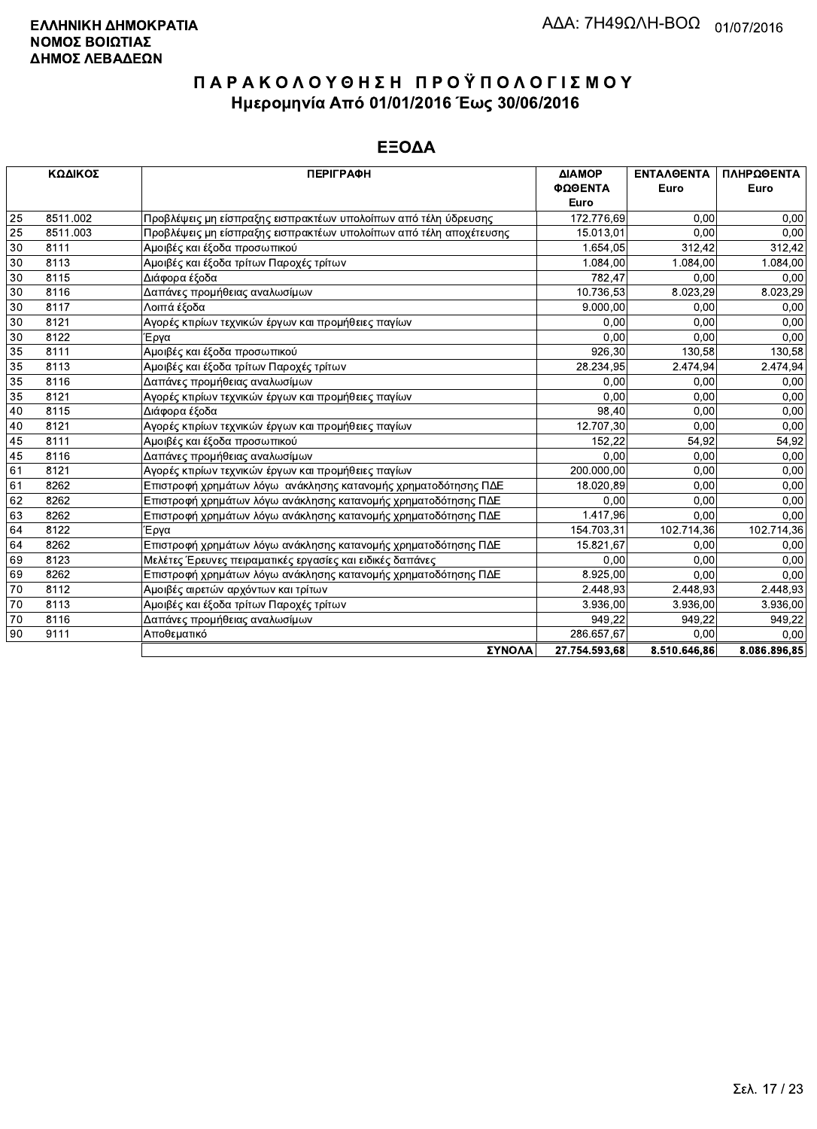|    | ΚΩΔΙΚΟΣ  | <b>ПЕРІГРАФН</b>                                                   | ΔΙΑΜΟΡ        | <b>ENTAAGENTA</b> | ΠΛΗΡΩΘΕΝΤΑ   |
|----|----------|--------------------------------------------------------------------|---------------|-------------------|--------------|
|    |          |                                                                    | ΦΩΘΕΝΤΑ       | Euro              | Euro         |
|    |          |                                                                    | Euro          |                   |              |
| 25 | 8511.002 | Προβλέψεις μη είσπραξης εισπρακτέων υπολοίπων από τέλη ύδρευσης    | 172.776,69    | 0,00              | 0,00         |
| 25 | 8511.003 | Προβλέψεις μη είσπραξης εισπρακτέων υπολοίπων από τέλη αποχέτευσης | 15.013,01     | 0.00              | 0,00         |
| 30 | 8111     | Αμοιβές και έξοδα προσωπικού                                       | 1.654,05      | 312.42            | 312,42       |
| 30 | 8113     | Αμοιβές και έξοδα τρίτων Παροχές τρίτων                            | 1.084,00      | 1.084,00          | 1.084,00     |
| 30 | 8115     | Διάφορα έξοδα                                                      | 782.47        | 0.00              | 0,00         |
| 30 | 8116     | Δαπάνες προμήθειας αναλωσίμων                                      | 10.736.53     | 8.023.29          | 8.023,29     |
| 30 | 8117     | Λοιπά έξοδα                                                        | 9.000,00      | 0,00              | 0.00         |
| 30 | 8121     | Αγορές κτιρίων τεχνικών έργων και προμήθειες παγίων                | 0.00          | 0,00              | 0,00         |
| 30 | 8122     | Έρνα                                                               | 0,00          | 0.00              | 0,00         |
| 35 | 8111     | Αμοιβές και έξοδα προσωπικού                                       | 926,30        | 130,58            | 130,58       |
| 35 | 8113     | Αμοιβές και έξοδα τρίτων Παροχές τρίτων                            | 28.234,95     | 2.474,94          | 2.474,94     |
| 35 | 8116     | Δαπάνες προμήθειας αναλωσίμων                                      | 0.00          | 0.00              | 0.00         |
| 35 | 8121     | Αγορές κτιρίων τεχνικών έργων και προμήθειες παγίων                | 0.00          | 0,00              | 0,00         |
| 40 | 8115     | Διάφορα έξοδα                                                      | 98,40         | 0,00              | 0.00         |
| 40 | 8121     | Αγορές κτιρίων τεχνικών έργων και προμήθειες παγίων                | 12.707,30     | 0,00              | 0,00         |
| 45 | 8111     | Αμοιβές και έξοδα προσωπικού                                       | 152,22        | 54,92             | 54,92        |
| 45 | 8116     | Δαπάνες προμήθειας αναλωσίμων                                      | 0.00          | 0,00              | 0,00         |
| 61 | 8121     | Αγορές κτιρίων τεχνικών έργων και προμήθειες παγίων                | 200.000,00    | 0,00              | 0,00         |
| 61 | 8262     | Επιστροφή χρημάτων λόγω ανάκλησης κατανομής χρηματοδότησης ΠΔΕ     | 18.020,89     | 0,00              | 0,00         |
| 62 | 8262     | Επιστροφή χρημάτων λόγω ανάκλησης κατανομής χρηματοδότησης ΠΔΕ     | 0.00          | 0.00              | 0,00         |
| 63 | 8262     | Επιστροφή χρημάτων λόγω ανάκλησης κατανομής χρηματοδότησης ΠΔΕ     | 1.417,96      | 0.00              | 0.00         |
| 64 | 8122     | Έργα                                                               | 154.703,31    | 102.714,36        | 102.714,36   |
| 64 | 8262     | Επιστροφή χρημάτων λόγω ανάκλησης κατανομής χρηματοδότησης ΠΔΕ     | 15.821,67     | 0,00              | 0,00         |
| 69 | 8123     | Μελέτες Έρευνες πειραματικές εργασίες και ειδικές δαπάνες          | 0.00          | 0,00              | 0.00         |
| 69 | 8262     | Επιστροφή χρημάτων λόγω ανάκλησης κατανομής χρηματοδότησης ΠΔΕ     | 8.925,00      | 0,00              | 0,00         |
| 70 | 8112     | Αμοιβές αιρετών αρχόντων και τρίτων                                | 2.448,93      | 2.448,93          | 2.448,93     |
| 70 | 8113     | Αμοιβές και έξοδα τρίτων Παροχές τρίτων                            | 3.936.00      | 3.936,00          | 3.936,00     |
| 70 | 8116     | Δαπάνες προμήθειας αναλωσίμων                                      | 949,22        | 949,22            | 949,22       |
| 90 | 9111     | Αποθεματικό                                                        | 286.657,67    | 0.00              | 0.00         |
|    |          | ΣΥΝΟΛΑ                                                             | 27.754.593.68 | 8.510.646.86      | 8.086.896.85 |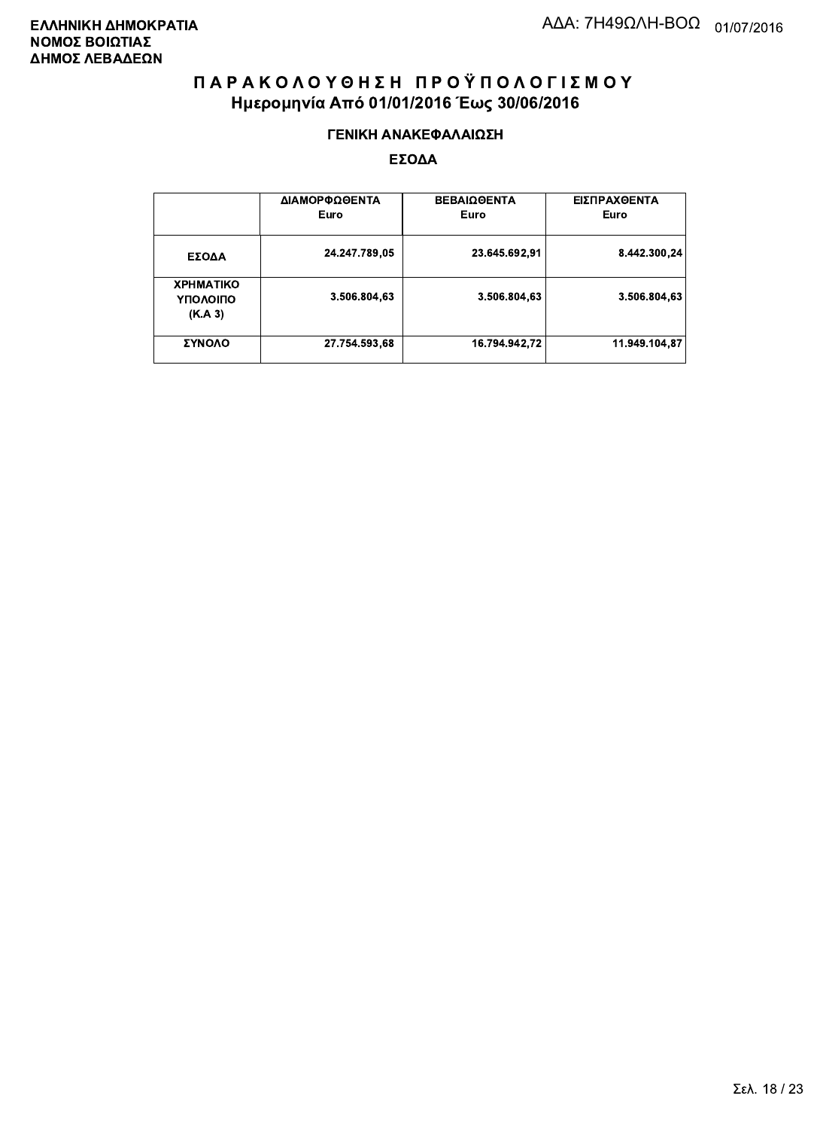#### ΓΕΝΙΚΗ ΑΝΑΚΕΦΑΛΑΙΩΣΗ

|                                         | ΔΙΑΜΟΡΦΩΘΕΝΤΑ<br>Euro | <b>ΒΕΒΑΙΩΘΕΝΤΑ</b><br>Euro | ΕΙΣΠΡΑΧΘΕΝΤΑ<br>Euro |
|-----------------------------------------|-----------------------|----------------------------|----------------------|
| ΕΣΟΔΑ                                   | 24.247.789,05         | 23.645.692,91              | 8.442.300,24         |
| <b>XPHMATIKO</b><br>ΥΠΟΛΟΙΠΟ<br>(K.A.3) | 3.506.804,63          | 3.506.804,63               | 3.506.804,63         |
| ΣΥΝΟΛΟ                                  | 27.754.593,68         | 16.794.942,72              | 11.949.104.87        |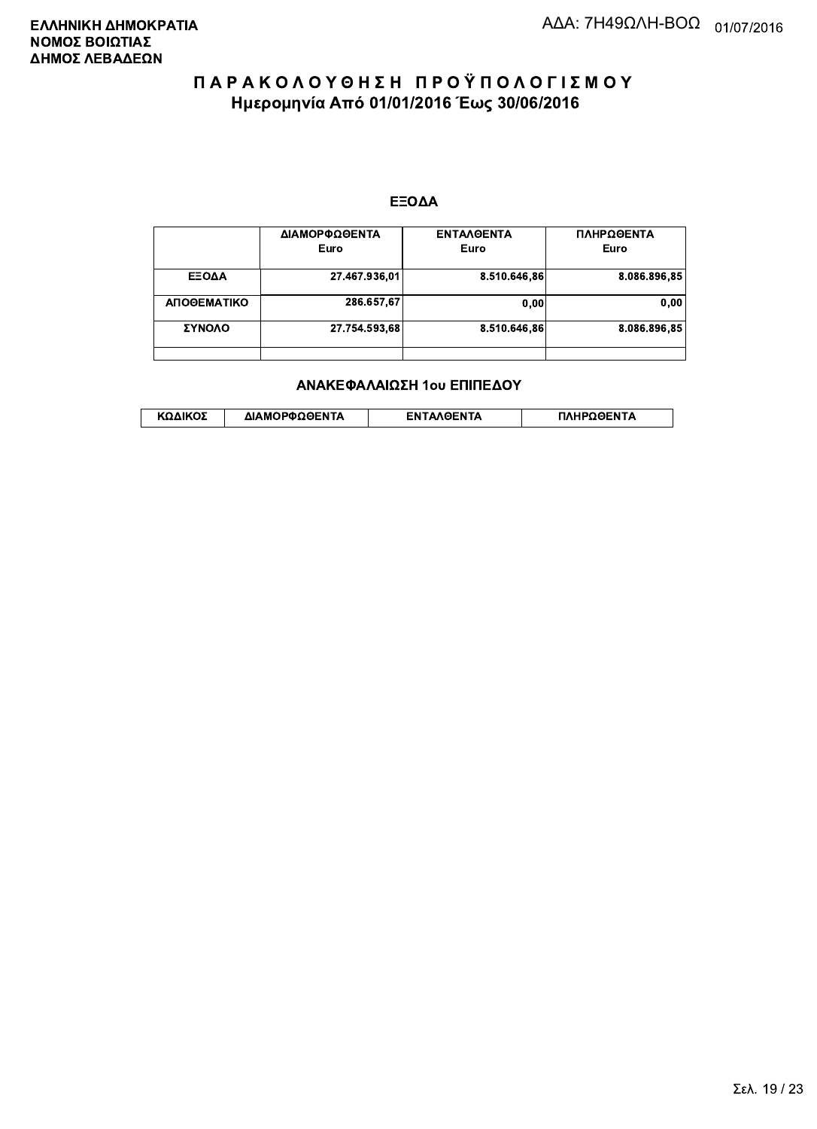#### ΕΞΟΔΑ

|             | ΔΙΑΜΟΡΦΩΘΕΝΤΑ<br>Euro | <b>ENTAAGENTA</b><br>Euro | ΠΛΗΡΩΘΕΝΤΑ<br>Euro |
|-------------|-----------------------|---------------------------|--------------------|
| ΕΞΟΔΑ       | 27.467.936,01         | 8.510.646,86              | 8.086.896,85       |
| ΑΠΟΘΕΜΑΤΙΚΟ | 286.657,67            | 0.00                      | 0,00               |
| ΣΥΝΟΛΟ      | 27.754.593,68         | 8.510.646.86              | 8.086.896.85       |
|             |                       |                           |                    |

#### ΑΝΑΚΕΦΑΛΑΙΩΣΗ 1ου ΕΠΙΠΕΔΟΥ

|  | ΚΩΔΙΚΟΣ | ΔΙΑΜΟΡΦΩΘΕΝΤΑ | <b>AOENTA</b><br>FΝ | ≀OΘFNTA |
|--|---------|---------------|---------------------|---------|
|--|---------|---------------|---------------------|---------|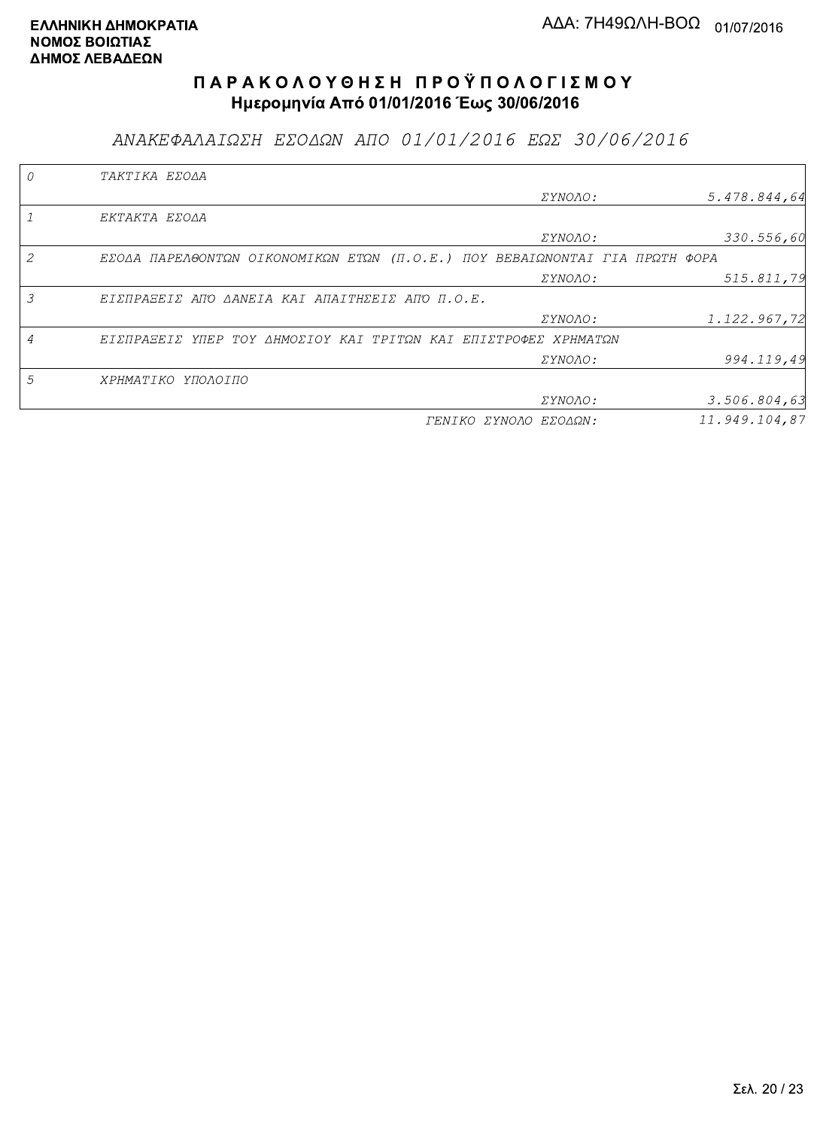ΑΝΑΚΕΦΑΛΑΙΩΣΗ ΕΣΟΔΩΝ ΑΠΟ 01/01/2016 ΕΩΣ 30/06/2016

|   | TAKTIKA EZOAA                                                               |                       |               |
|---|-----------------------------------------------------------------------------|-----------------------|---------------|
|   |                                                                             | ΣΥΝΟΛΟ:               | 5.478.844,64  |
|   | EKTAKTA EZOAA                                                               |                       |               |
|   |                                                                             | ΣΥΝΟΛΟ:               | 330.556,60    |
|   | EZOAA ΠΑΡΕΛΘΟΝΤΩΝ ΟΙΚΟΝΟΜΙΚΩΝ ΕΤΩΝ (Π.Ο.Ε.) ΠΟΥ ΒΕΒΑΙΩΝΟΝΤΑΙ ΓΙΑ ΠΡΩΤΗ ΦΟΡΑ |                       |               |
|   |                                                                             | ΣΥΝΟΛΟ:               | 515.811,79    |
| 3 | ΕΙΣΠΡΑΞΕΙΣ ΑΠΌ ΔΑΝΕΙΑ ΚΑΙ ΑΠΑΙΤΗΣΕΙΣ ΑΠΌ Π.Ο.Ε.                             |                       |               |
|   |                                                                             | ΣΥΝΟΛΟ:               | 1.122.967,72  |
|   | ΕΙΣΠΡΑΞΕΙΣ ΥΠΕΡ ΤΟΥ ΔΗΜΟΣΙΟΥ ΚΑΙ ΤΡΙΤΩΝ ΚΑΙ ΕΠΙΣΤΡΟΦΕΣ ΧΡΗΜΑΤΩΝ             |                       |               |
|   |                                                                             | <i>EYNOAO:</i>        | 994.119,49    |
| 5 | ΧΡΗΜΑΤΙΚΟ ΥΠΟΛΟΙΠΟ                                                          |                       |               |
|   |                                                                             | <i>EYNOAO:</i>        | 3.506.804, 63 |
|   |                                                                             | ΓΕΝΙΚΟ ΣΥΝΟΛΟ ΕΣΟΔΩΝ: | 11.949.104.87 |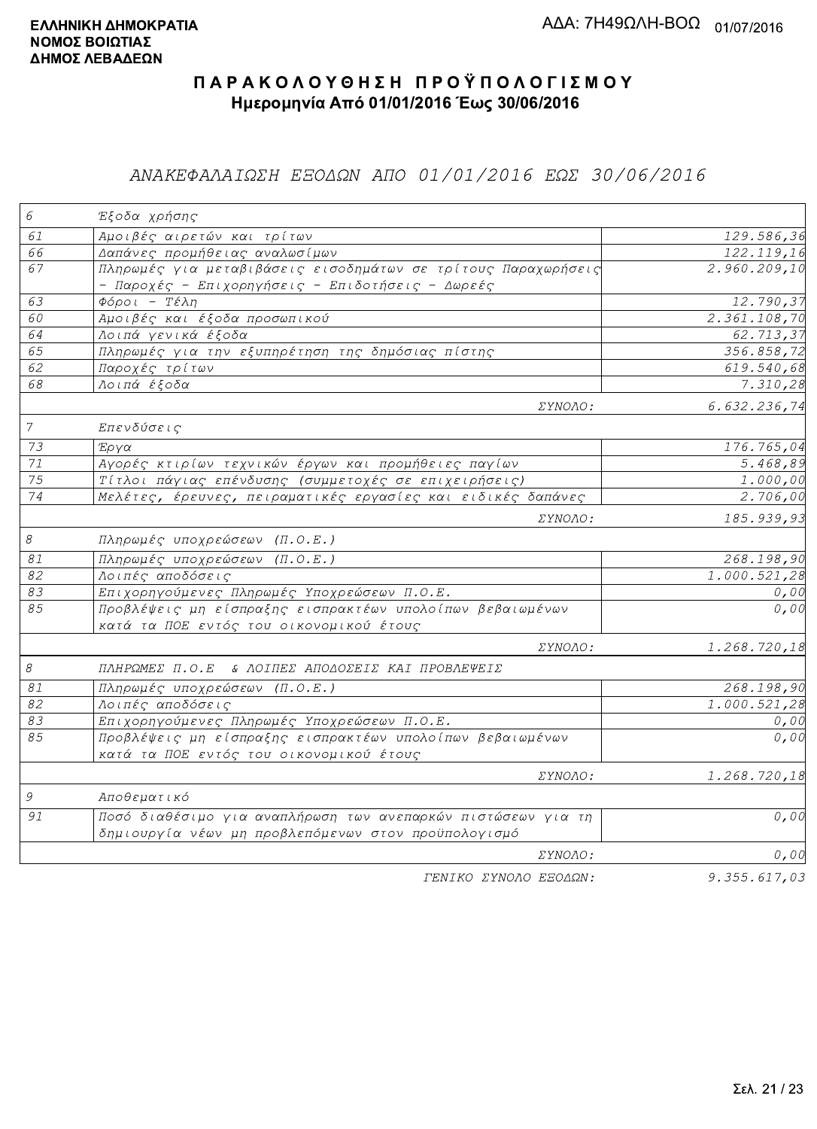### ΑΝΑΚΕΦΑΛΑΙΩΣΗ ΕΞΟΔΩΝ ΑΠΟ 01/01/2016 ΕΩΣ 30/06/2016

| $\epsilon$                | Έξοδα χρήσης                                                  |                           |
|---------------------------|---------------------------------------------------------------|---------------------------|
| 61                        | Αμοιβές αιρετών και τρίτων                                    | 129.586,36                |
| 66                        | Δαπάνες προμήθειας αναλωσίμων                                 | 122.119,16                |
| 67                        | Πληρωμές για μεταβιβάσεις εισοδημάτων σε τρίτους Παραχωρήσεις | 2.960.209,10              |
|                           | - Παροχές - Επιχορηγήσεις - Επιδοτήσεις - Δωρεές              |                           |
| 63                        | $Φ$ όροι - Τέλη                                               | 12.790,37                 |
| 60                        | Αμοιβές και έξοδα προσωπικού                                  | 2.361.108,70              |
| 64                        | Λοιπά γενικά έξοδα                                            | $\overline{62}$ , 713, 37 |
| 65                        | Πληρωμές για την εξυπηρέτηση της δημόσιας πίστης              | $\overline{356.858}$ , 72 |
| 62                        | Παροχές τρίτων                                                | 619.540,68                |
| 68                        | Λοιπά έξοδα                                                   | 7.310,28                  |
|                           | ΣΥΝΟΛΟ:                                                       | 6.632.236,74              |
| $\overline{7}$            | Επενδύσεις                                                    |                           |
| 73                        | Έργα                                                          | 176.765,04                |
| $71\,$                    | Αγορές κτιρίων τεχνικών έργων και προμήθειες παγίων           | $\overline{5.468,89}$     |
| $\overline{75}$           | Τίτλοι πάγιας επένδυσης (συμμετοχές σε επιχειρήσεις)          | 1.000,00                  |
| 74                        | Μελέτες, έρευνες, πειραματικές εργασίες και ειδικές δαπάνες   | 2.706,00                  |
|                           | <i>EYNOAO:</i>                                                | 185.939,93                |
| $\mathcal S$              | Πληρωμές υποχρεώσεων (Π.Ο.Ε.)                                 |                           |
| $\mathcal{S} \mathcal{I}$ | Πληρωμές υποχρεώσεων (Π.Ο.Ε.)                                 | 268.198,90                |
| $\overline{82}$           | Λοιπές αποδόσεις                                              | 1.000.521,28              |
| 83                        | Επιχορηγούμενες Πληρωμές Υποχρεώσεων Π.Ο.Ε.                   | 0,00                      |
| 85                        | Προβλέψεις μη είσπραξης εισπρακτέων υπολοίπων βεβαιωμένων     | 0,00                      |
|                           | κατά τα ΠΟΕ εντός του οικονομικού έτους                       |                           |
|                           | ΣΥΝΟΛΟ:                                                       | 1.268.720,18              |
| $\mathcal S$              | ΠΛΗΡΩΜΕΣ Π.Ο.Ε & ΛΟΙΠΕΣ ΑΠΟΔΟΣΕΙΣ ΚΑΙ ΠΡΟΒΛΕΨΕΙΣ              |                           |
| $\mathcal{S}1$            | Πληρωμές υποχρεώσεων (Π.Ο.Ε.)                                 | 268.198,90                |
| 82                        | Λοιπές αποδόσεις                                              | 1.000.521,28              |
| 83                        | Επιχορηγούμενες Πληρωμές Υποχρεώσεων Π.Ο.Ε.                   | 0,00                      |
| 85                        | Προβλέψεις μη είσπραξης εισπρακτέων υπολοίπων βεβαιωμένων     | 0,00                      |
|                           | κατά τα ΠΟΕ εντός του οικονομικού έτους                       |                           |
|                           | ΣΥΝΟΛΟ:                                                       | 1.268.720,18              |
| 9                         | Αποθεματικό                                                   |                           |
| 91                        | Ποσό διαθέσιμο για αναπλήρωση των ανεπαρκών πιστώσεων για τη  | 0,00                      |
|                           | δημιουργία νέων μη προβλεπόμενων στον προϋπολογισμό           |                           |
|                           | ΣΥΝΟΛΟ:                                                       | 0,00                      |
|                           | FENIKO XYNOAO EFOAQN:                                         | 9.355.617.03              |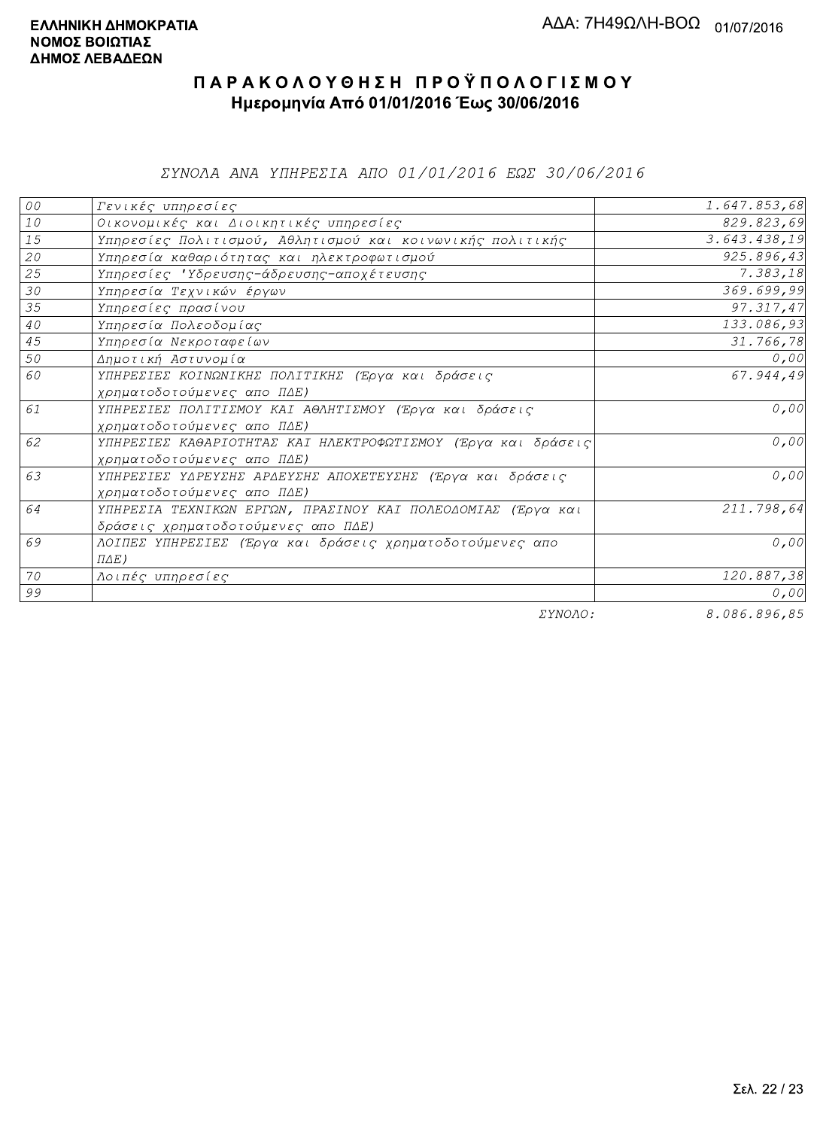ΣΥΝΟΛΑ ΑΝΑ ΥΠΗΡΕΣΙΑ ΑΠΟ 01/01/2016 ΕΩΣ 30/06/2016

| ${\cal O} \, {\cal O}$ | Γενικές υπηρεσίες                                             | 1.647.853,68 |
|------------------------|---------------------------------------------------------------|--------------|
| $1\,0$                 | Οικονομικές και Διοικητικές υπηρεσίες                         | 829.823,69   |
| 15                     | Υπηρεσίες Πολιτισμού, Αθλητισμού και κοινωνικής πολιτικής     | 3.643.438,19 |
| 20                     | Υπηρεσία καθαριότητας και ηλεκτροφωτισμού                     | 925.896,43   |
| 25                     | Υπηρεσίες 'Υδρευσης-άδρευσης-αποχέτευσης                      | 7.383,18     |
| 30                     | Υπηρεσία Τεχνικών έργων                                       | 369.699,99   |
| 35                     | Υπηρεσίες πρασίνου                                            | 97.317,47    |
| $4\,0$                 | Υπηρεσία Πολεοδομίας                                          | 133.086,93   |
| 45                     | Υπηρεσία Νεκροταφείων                                         | 31.766,78    |
| 50                     | Δημοτική Αστυνομία                                            | 0,00         |
| 60                     | ΥΠΗΡΕΣΙΕΣ ΚΟΙΝΩΝΙΚΗΣ ΠΟΛΙΤΙΚΗΣ (Έργα και δράσεις              | 67.944,49    |
|                        | χρηματοδοτούμενες απο ΠΔΕ)                                    |              |
| 61                     | ΥΠΗΡΕΣΙΕΣ ΠΟΛΙΤΙΣΜΟΥ ΚΑΙ ΑΘΛΗΤΙΣΜΟΥ (Έργα και δράσεις         | 0,00         |
|                        | χρηματοδοτούμενες απο ΠΔΕ)                                    |              |
| 62                     | ΥΠΗΡΕΣΙΕΣ ΚΑΘΑΡΙΟΤΗΤΑΣ ΚΑΙ ΗΛΕΚΤΡΟΦΩΤΙΣΜΟΥ (Έργα και δράσεις) | 0,00         |
|                        | χρηματοδοτούμενες απο ΠΔΕ)                                    |              |
| 63                     | ΥΠΗΡΕΣΙΕΣ ΥΔΡΕΥΣΗΣ ΑΡΔΕΥΣΗΣ ΑΠΟΧΕΤΕΥΣΗΣ (Έργα και δράσεις     | 0,00         |
|                        | χρηματοδοτούμενες απο ΠΔΕ)                                    |              |
| 64                     | ΥΠΗΡΕΣΙΑ ΤΕΧΝΙΚΩΝ ΕΡΓΩΝ, ΠΡΑΣΙΝΟΥ ΚΑΙ ΠΟΛΕΟΔΟΜΙΑΣ (Έργα και   | 211.798,64   |
|                        | δράσεις χρηματοδοτούμενες απο ΠΔΕ)                            |              |
| 69                     | ΛΟΙΠΕΣ ΥΠΗΡΕΣΙΕΣ (Έργα και δράσεις χρηματοδοτούμενες απο      | 0,00         |
|                        | $\Pi\Delta E$ )                                               |              |
| 70                     | Λοιπές υπηρεσίες                                              | 120.887,38   |
| 99                     |                                                               | 0,00         |
|                        | $    -$                                                       | 0.000000000  |

ΣΥΝΟΛΟ:

8.086.896,85